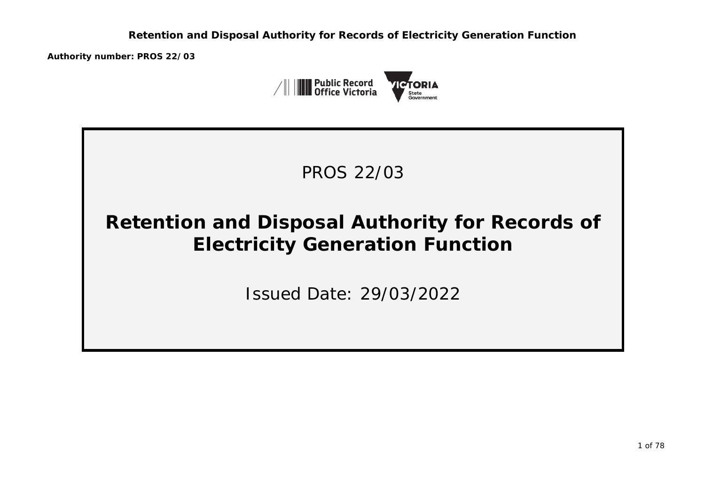**Authority number: PROS 22/03**





# **Retention and Disposal Authority for Records of Electricity Generation Function**

Issued Date: 29/03/2022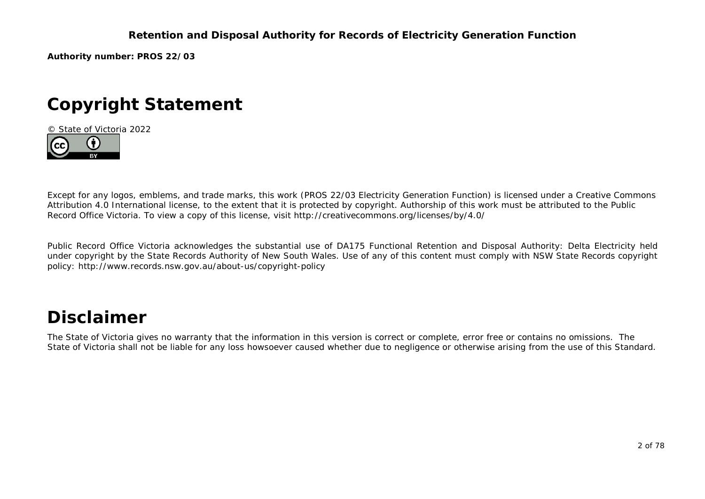**Authority number: PROS 22/03**

# **Copyright Statement**

© State of Victoria 2022



Except for any logos, emblems, and trade marks, this work (PROS 22/03 Electricity Generation Function) is licensed under a Creative Commons Attribution 4.0 International license, to the extent that it is protected by copyright. Authorship of this work must be attributed to the Public Record Office Victoria. To view a copy of this license, visit http://creativecommons.org/licenses/by/4.0/

Public Record Office Victoria acknowledges the substantial use of DA175 Functional Retention and Disposal Authority: Delta Electricity held under copyright by the State Records Authority of New South Wales. Use of any of this content must comply with NSW State Records copyright policy: http://www.records.nsw.gov.au/about-us/copyright-policy

# **Disclaimer**

The State of Victoria gives no warranty that the information in this version is correct or complete, error free or contains no omissions. The State of Victoria shall not be liable for any loss howsoever caused whether due to negligence or otherwise arising from the use of this Standard.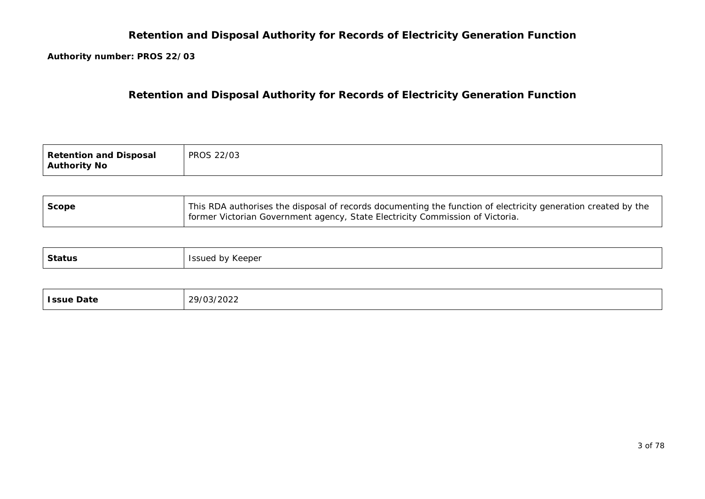**Authority number: PROS 22/03**

**Retention and Disposal Authority for Records of Electricity Generation Function**

| <b>Retention and Disposal</b><br><b>Authority No</b> | <b>PROS 22/03</b> |
|------------------------------------------------------|-------------------|
|------------------------------------------------------|-------------------|

| <b>Scope</b> | This RDA authorises the disposal of records documenting the function of electricity generation created by the |
|--------------|---------------------------------------------------------------------------------------------------------------|
|              | former Victorian Government agency, State Electricity Commission of Victoria.                                 |

| <b>Status</b> | ued by Keeper,<br>100<br>- DOUCH<br>the contract of the contract of the contract of the contract of the contract of the contract of the contract of |
|---------------|-----------------------------------------------------------------------------------------------------------------------------------------------------|
|---------------|-----------------------------------------------------------------------------------------------------------------------------------------------------|

| <b>Issue Date</b> | 29/03/2022 |
|-------------------|------------|
|-------------------|------------|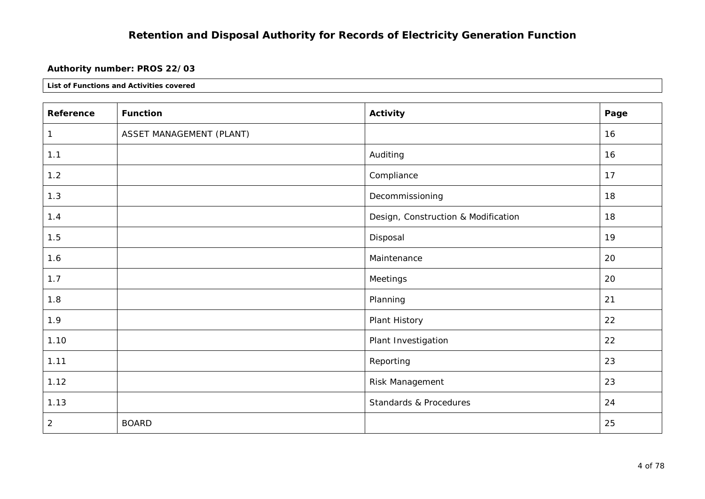### **Authority number: PROS 22/03**

| Reference      | <b>Function</b>          | Activity                            | Page |
|----------------|--------------------------|-------------------------------------|------|
| 1              | ASSET MANAGEMENT (PLANT) |                                     | 16   |
| 1.1            |                          | Auditing                            | 16   |
| 1.2            |                          | Compliance                          | 17   |
| 1.3            |                          | Decommissioning                     | 18   |
| 1.4            |                          | Design, Construction & Modification | 18   |
| 1.5            |                          | Disposal                            | 19   |
| 1.6            |                          | Maintenance                         | 20   |
| 1.7            |                          | Meetings                            | 20   |
| 1.8            |                          | Planning                            | 21   |
| 1.9            |                          | Plant History                       | 22   |
| 1.10           |                          | Plant Investigation                 | 22   |
| 1.11           |                          | Reporting                           | 23   |
| 1.12           |                          | Risk Management                     | 23   |
| 1.13           |                          | Standards & Procedures              | 24   |
| $\overline{c}$ | <b>BOARD</b>             |                                     | 25   |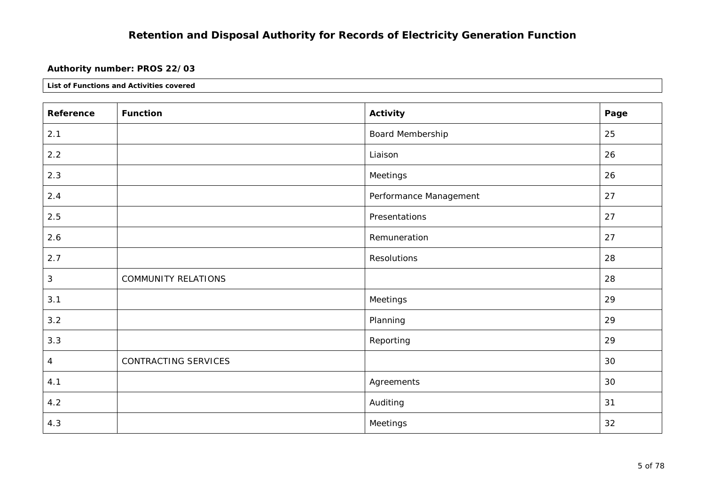### **Authority number: PROS 22/03**

| Reference | <b>Function</b>            | Activity               | Page |
|-----------|----------------------------|------------------------|------|
| 2.1       |                            | Board Membership       | 25   |
| 2.2       |                            | Liaison                | 26   |
| 2.3       |                            | Meetings               | 26   |
| 2.4       |                            | Performance Management | 27   |
| 2.5       |                            | Presentations          | 27   |
| 2.6       |                            | Remuneration           | 27   |
| 2.7       |                            | Resolutions            | 28   |
| 3         | <b>COMMUNITY RELATIONS</b> |                        | 28   |
| 3.1       |                            | Meetings               | 29   |
| 3.2       |                            | Planning               | 29   |
| 3.3       |                            | Reporting              | 29   |
| 4         | CONTRACTING SERVICES       |                        | 30   |
| 4.1       |                            | Agreements             | 30   |
| 4.2       |                            | Auditing               | 31   |
| 4.3       |                            | Meetings               | 32   |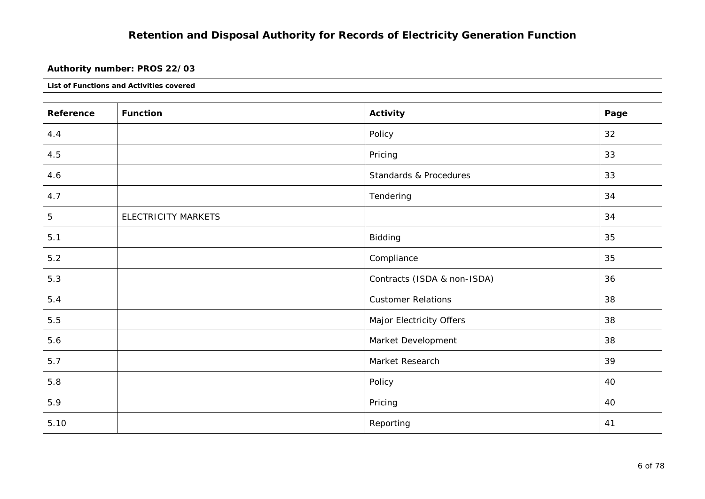### **Authority number: PROS 22/03**

| Reference   | <b>Function</b>            | Activity                    | Page |
|-------------|----------------------------|-----------------------------|------|
| 4.4         |                            | Policy                      | 32   |
| 4.5         |                            | Pricing                     | 33   |
| 4.6         |                            | Standards & Procedures      | 33   |
| 4.7         |                            | Tendering                   | 34   |
| $\mathbf 5$ | <b>ELECTRICITY MARKETS</b> |                             | 34   |
| $5.1$       |                            | Bidding                     | 35   |
| $5.2$       |                            | Compliance                  | 35   |
| 5.3         |                            | Contracts (ISDA & non-ISDA) | 36   |
| 5.4         |                            | <b>Customer Relations</b>   | 38   |
| 5.5         |                            | Major Electricity Offers    | 38   |
| 5.6         |                            | Market Development          | 38   |
| 5.7         |                            | Market Research             | 39   |
| 5.8         |                            | Policy                      | 40   |
| 5.9         |                            | Pricing                     | 40   |
| 5.10        |                            | Reporting                   | 41   |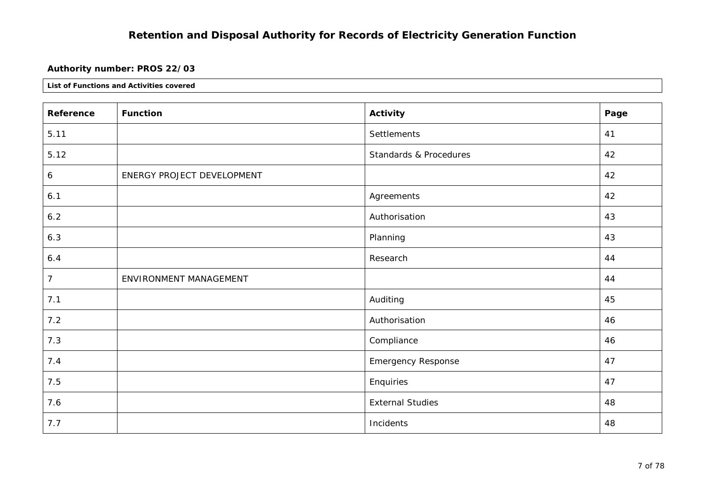### **Authority number: PROS 22/03**

| Reference      | <b>Function</b>            | <b>Activity</b>           | Page |
|----------------|----------------------------|---------------------------|------|
| 5.11           |                            | Settlements               | 41   |
| 5.12           |                            | Standards & Procedures    | 42   |
| 6              | ENERGY PROJECT DEVELOPMENT |                           | 42   |
| 6.1            |                            | Agreements                | 42   |
| 6.2            |                            | Authorisation             | 43   |
| 6.3            |                            | Planning                  | 43   |
| 6.4            |                            | Research                  | 44   |
| $\overline{7}$ | ENVIRONMENT MANAGEMENT     |                           | 44   |
| 7.1            |                            | Auditing                  | 45   |
| 7.2            |                            | Authorisation             | 46   |
| 7.3            |                            | Compliance                | 46   |
| 7.4            |                            | <b>Emergency Response</b> | 47   |
| 7.5            |                            | Enquiries                 | 47   |
| 7.6            |                            | <b>External Studies</b>   | 48   |
| 7.7            |                            | Incidents                 | 48   |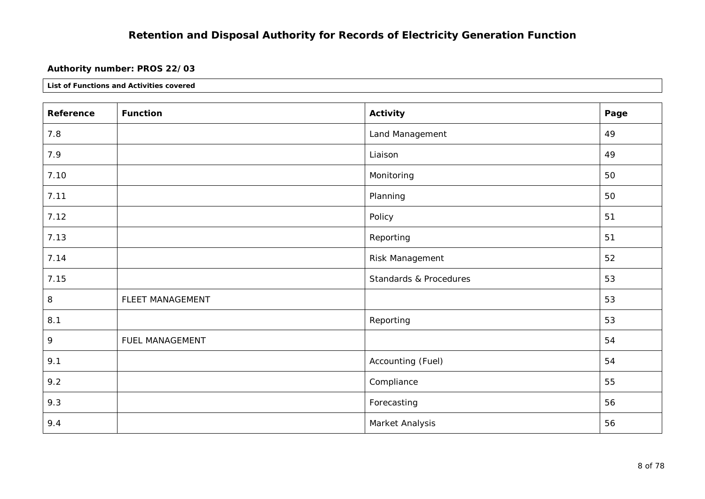#### **Authority number: PROS 22/03**

| Reference | <b>Function</b>  | <b>Activity</b>                   | Page |
|-----------|------------------|-----------------------------------|------|
| 7.8       |                  | Land Management                   | 49   |
| 7.9       |                  | Liaison                           | 49   |
| 7.10      |                  | Monitoring                        | 50   |
| 7.11      |                  | Planning                          | 50   |
| 7.12      |                  | Policy                            | 51   |
| 7.13      |                  | Reporting                         | 51   |
| 7.14      |                  | Risk Management                   | 52   |
| 7.15      |                  | <b>Standards &amp; Procedures</b> | 53   |
| 8         | FLEET MANAGEMENT |                                   | 53   |
| 8.1       |                  | Reporting                         | 53   |
| 9         | FUEL MANAGEMENT  |                                   | 54   |
| 9.1       |                  | Accounting (Fuel)                 | 54   |
| 9.2       |                  | Compliance                        | 55   |
| 9.3       |                  | Forecasting                       | 56   |
| 9.4       |                  | Market Analysis                   | 56   |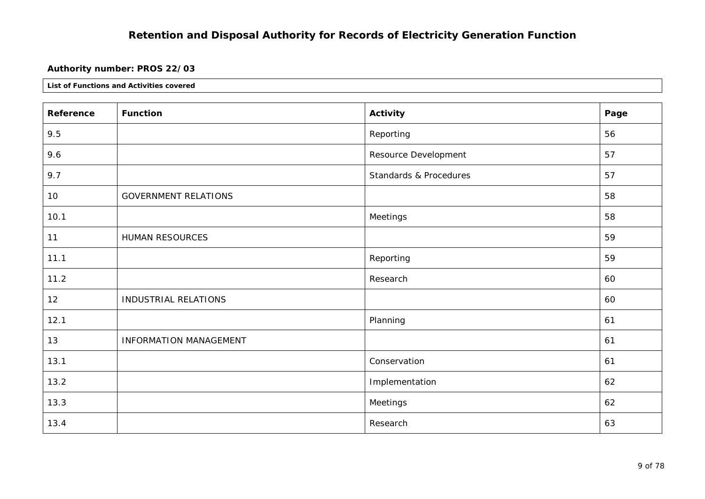### **Authority number: PROS 22/03**

| Reference | <b>Function</b>               | <b>Activity</b>        | Page |
|-----------|-------------------------------|------------------------|------|
| 9.5       |                               | Reporting              | 56   |
| 9.6       |                               | Resource Development   | 57   |
| 9.7       |                               | Standards & Procedures | 57   |
| 10        | <b>GOVERNMENT RELATIONS</b>   |                        | 58   |
| 10.1      |                               | Meetings               | 58   |
| 11        | HUMAN RESOURCES               |                        | 59   |
| 11.1      |                               | Reporting              | 59   |
| 11.2      |                               | Research               | 60   |
| 12        | <b>INDUSTRIAL RELATIONS</b>   |                        | 60   |
| 12.1      |                               | Planning               | 61   |
| 13        | <b>INFORMATION MANAGEMENT</b> |                        | 61   |
| 13.1      |                               | Conservation           | 61   |
| 13.2      |                               | Implementation         | 62   |
| 13.3      |                               | Meetings               | 62   |
| 13.4      |                               | Research               | 63   |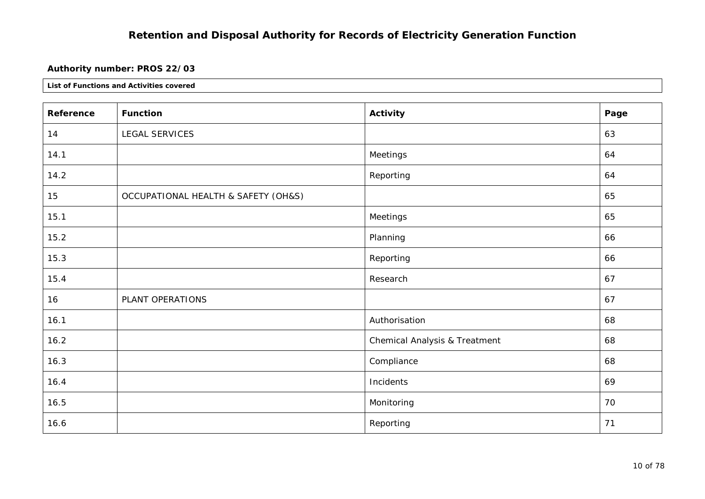#### **Authority number: PROS 22/03**

| Reference | <b>Function</b>                     | <b>Activity</b>                          | Page |
|-----------|-------------------------------------|------------------------------------------|------|
| 14        | LEGAL SERVICES                      |                                          | 63   |
| 14.1      |                                     | Meetings                                 | 64   |
| 14.2      |                                     | Reporting                                | 64   |
| 15        | OCCUPATIONAL HEALTH & SAFETY (OH&S) |                                          | 65   |
| 15.1      |                                     | Meetings                                 | 65   |
| 15.2      |                                     | Planning                                 | 66   |
| 15.3      |                                     | Reporting                                | 66   |
| 15.4      |                                     | Research                                 | 67   |
| 16        | PLANT OPERATIONS                    |                                          | 67   |
| 16.1      |                                     | Authorisation                            | 68   |
| 16.2      |                                     | <b>Chemical Analysis &amp; Treatment</b> | 68   |
| 16.3      |                                     | Compliance                               | 68   |
| 16.4      |                                     | Incidents                                | 69   |
| 16.5      |                                     | Monitoring                               | 70   |
| 16.6      |                                     | Reporting                                | 71   |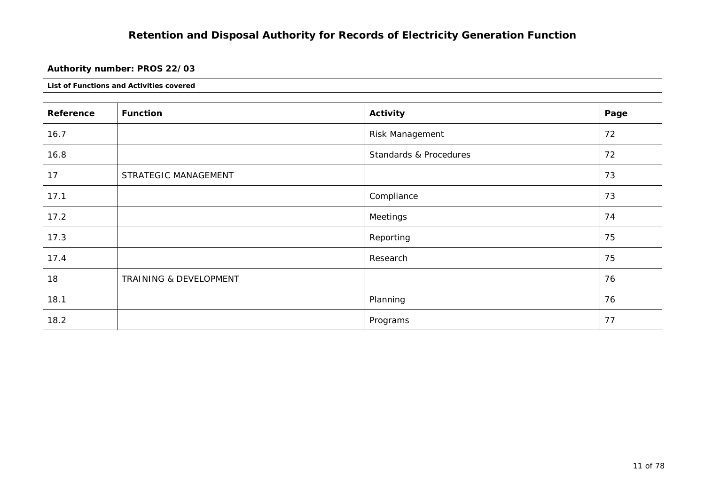### **Authority number: PROS 22/03**

| Reference | <b>Function</b>        | Activity               | Page |
|-----------|------------------------|------------------------|------|
| 16.7      |                        | Risk Management        | 72   |
| 16.8      |                        | Standards & Procedures | 72   |
| 17        | STRATEGIC MANAGEMENT   |                        | 73   |
| 17.1      |                        | Compliance             | 73   |
| 17.2      |                        | Meetings               | 74   |
| 17.3      |                        | Reporting              | 75   |
| 17.4      |                        | Research               | 75   |
| 18        | TRAINING & DEVELOPMENT |                        | 76   |
| 18.1      |                        | Planning               | 76   |
| 18.2      |                        | Programs               | 77   |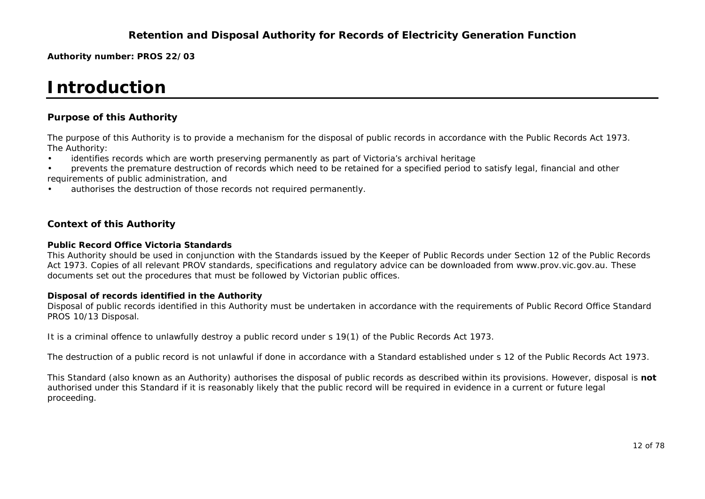**Authority number: PROS 22/03**

# **Introduction**

#### **Purpose of this Authority**

The purpose of this Authority is to provide a mechanism for the disposal of public records in accordance with the *Public Records Act 1973.*  The Authority:

- identifies records which are worth preserving permanently as part of Victoria's archival heritage
- prevents the premature destruction of records which need to be retained for a specified period to satisfy legal, financial and other requirements of public administration, and
- authorises the destruction of those records not required permanently.

#### **Context of this Authority**

#### **Public Record Office Victoria Standards**

This Authority should be used in conjunction with the Standards issued by the Keeper of Public Records under Section 12 of the *Public Records Act 1973.* Copies of all relevant PROV standards, specifications and regulatory advice can be downloaded from www.prov.vic.gov.au. These documents set out the procedures that must be followed by Victorian public offices.

#### **Disposal of records identified in the Authority**

Disposal of public records identified in this Authority must be undertaken in accordance with the requirements of Public Record Office Standard PROS 10/13 *Disposal.* 

```
It is a criminal offence to unlawfully destroy a public record under s 19(1) of the Public Records Act 1973.
```
The destruction of a public record is not unlawful if done in accordance with a Standard established under s 12 of the *Public Records Act 1973.* 

This Standard (also known as an Authority) authorises the disposal of public records as described within its provisions. However, disposal is **not** authorised under this Standard if it is reasonably likely that the public record will be required in evidence in a current or future legal proceeding.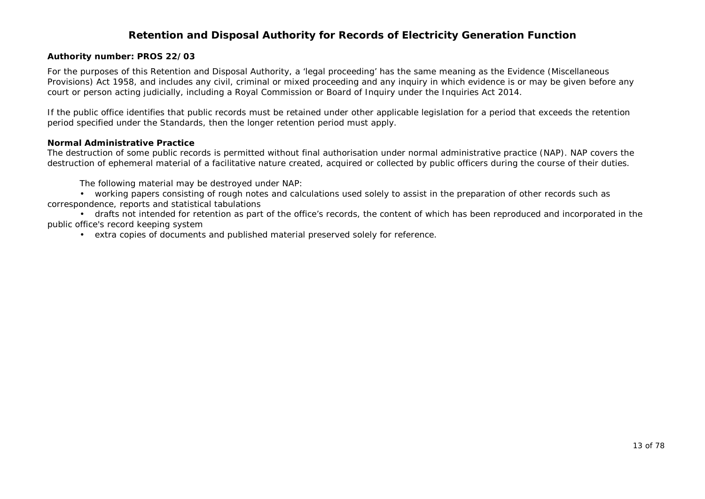#### **Authority number: PROS 22/03**

For the purposes of this Retention and Disposal Authority, a 'legal proceeding' has the same meaning as the *Evidence (Miscellaneous Provisions) Act 1958*, and includes any civil, criminal or mixed proceeding and any inquiry in which evidence is or may be given before any court or person acting judicially, including a Royal Commission or Board of Inquiry under the *Inquiries Act 2014.*

If the public office identifies that public records must be retained under other applicable legislation for a period that exceeds the retention period specified under the Standards, then the longer retention period must apply.

#### **Normal Administrative Practice**

The destruction of some public records is permitted without final authorisation under normal administrative practice (NAP). NAP covers the destruction of ephemeral material of a facilitative nature created, acquired or collected by public officers during the course of their duties.

The following material may be destroyed under NAP:

 • working papers consisting of rough notes and calculations used solely to assist in the preparation of other records such as correspondence, reports and statistical tabulations

 • drafts not intended for retention as part of the office's records, the content of which has been reproduced and incorporated in the public office's record keeping system

• extra copies of documents and published material preserved solely for reference.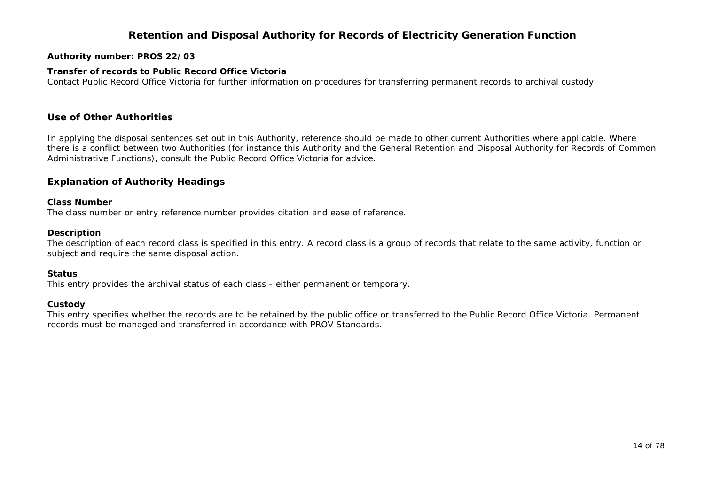#### **Authority number: PROS 22/03**

#### **Transfer of records to Public Record Office Victoria**

Contact Public Record Office Victoria for further information on procedures for transferring permanent records to archival custody.

#### **Use of Other Authorities**

In applying the disposal sentences set out in this Authority, reference should be made to other current Authorities where applicable. Where there is a conflict between two Authorities (for instance this Authority and the General Retention and Disposal Authority for Records of Common Administrative Functions), consult the Public Record Office Victoria for advice.

#### **Explanation of Authority Headings**

#### **Class Number**

The class number or entry reference number provides citation and ease of reference.

#### **Description**

The description of each record class is specified in this entry. A record class is a group of records that relate to the same activity, function or subject and require the same disposal action.

#### **Status**

This entry provides the archival status of each class - either permanent or temporary.

#### **Custody**

This entry specifies whether the records are to be retained by the public office or transferred to the Public Record Office Victoria. Permanent records must be managed and transferred in accordance with PROV Standards.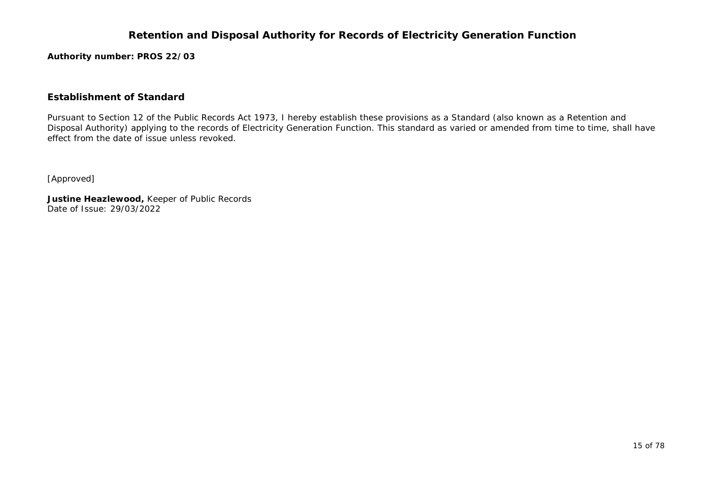**Authority number: PROS 22/03**

#### **Establishment of Standard**

Pursuant to Section 12 of the *Public Records Act 1973*, I hereby establish these provisions as a Standard (also known as a Retention and Disposal Authority) applying to the records of Electricity Generation Function. This standard as varied or amended from time to time, shall have effect from the date of issue unless revoked.

[Approved]

**Justine Heazlewood,** Keeper of Public Records Date of Issue: 29/03/2022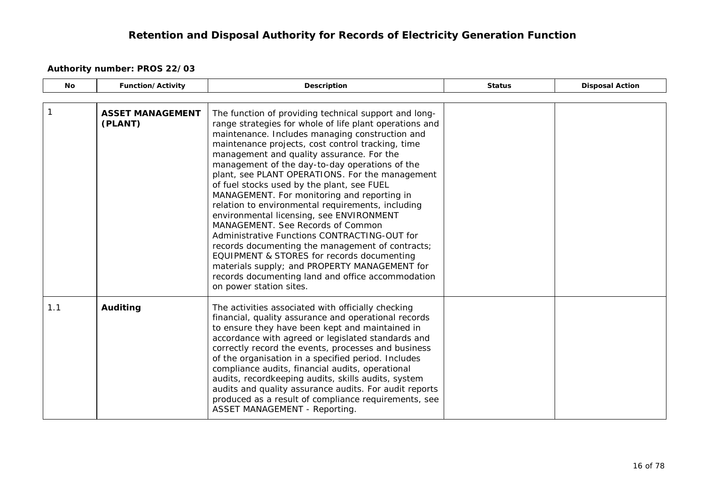<span id="page-15-1"></span><span id="page-15-0"></span>

| <b>No</b> | <b>Function/Activity</b>           | Description                                                                                                                                                                                                                                                                                                                                                                                                                                                                                                                                                                                                                                                                                                                                                                                                                                                                                      | <b>Status</b> | <b>Disposal Action</b> |
|-----------|------------------------------------|--------------------------------------------------------------------------------------------------------------------------------------------------------------------------------------------------------------------------------------------------------------------------------------------------------------------------------------------------------------------------------------------------------------------------------------------------------------------------------------------------------------------------------------------------------------------------------------------------------------------------------------------------------------------------------------------------------------------------------------------------------------------------------------------------------------------------------------------------------------------------------------------------|---------------|------------------------|
|           |                                    |                                                                                                                                                                                                                                                                                                                                                                                                                                                                                                                                                                                                                                                                                                                                                                                                                                                                                                  |               |                        |
|           | <b>ASSET MANAGEMENT</b><br>(PLANT) | The function of providing technical support and long-<br>range strategies for whole of life plant operations and<br>maintenance. Includes managing construction and<br>maintenance projects, cost control tracking, time<br>management and quality assurance. For the<br>management of the day-to-day operations of the<br>plant, see PLANT OPERATIONS. For the management<br>of fuel stocks used by the plant, see FUEL<br>MANAGEMENT. For monitoring and reporting in<br>relation to environmental requirements, including<br>environmental licensing, see ENVIRONMENT<br>MANAGEMENT. See Records of Common<br>Administrative Functions CONTRACTING-OUT for<br>records documenting the management of contracts;<br>EQUIPMENT & STORES for records documenting<br>materials supply; and PROPERTY MANAGEMENT for<br>records documenting land and office accommodation<br>on power station sites. |               |                        |
| 1.1       | Auditing                           | The activities associated with officially checking<br>financial, quality assurance and operational records<br>to ensure they have been kept and maintained in<br>accordance with agreed or legislated standards and<br>correctly record the events, processes and business<br>of the organisation in a specified period. Includes<br>compliance audits, financial audits, operational<br>audits, recordkeeping audits, skills audits, system<br>audits and quality assurance audits. For audit reports<br>produced as a result of compliance requirements, see<br>ASSET MANAGEMENT - Reporting.                                                                                                                                                                                                                                                                                                  |               |                        |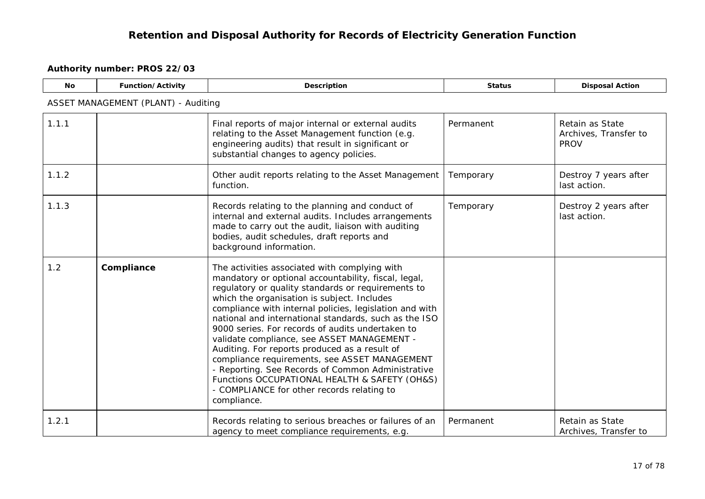<span id="page-16-0"></span>

| <b>No</b> | Function/Activity                   | Description                                                                                                                                                                                                                                                                                                                                                                                                                                                                                                                                                                                                                                                                                            | <b>Status</b> | <b>Disposal Action</b>                                  |  |  |  |
|-----------|-------------------------------------|--------------------------------------------------------------------------------------------------------------------------------------------------------------------------------------------------------------------------------------------------------------------------------------------------------------------------------------------------------------------------------------------------------------------------------------------------------------------------------------------------------------------------------------------------------------------------------------------------------------------------------------------------------------------------------------------------------|---------------|---------------------------------------------------------|--|--|--|
|           | ASSET MANAGEMENT (PLANT) - Auditing |                                                                                                                                                                                                                                                                                                                                                                                                                                                                                                                                                                                                                                                                                                        |               |                                                         |  |  |  |
| 1.1.1     |                                     | Final reports of major internal or external audits<br>relating to the Asset Management function (e.g.<br>engineering audits) that result in significant or<br>substantial changes to agency policies.                                                                                                                                                                                                                                                                                                                                                                                                                                                                                                  | Permanent     | Retain as State<br>Archives, Transfer to<br><b>PROV</b> |  |  |  |
| 1.1.2     |                                     | Other audit reports relating to the Asset Management<br>function.                                                                                                                                                                                                                                                                                                                                                                                                                                                                                                                                                                                                                                      | Temporary     | Destroy 7 years after<br>last action.                   |  |  |  |
| 1.1.3     |                                     | Records relating to the planning and conduct of<br>internal and external audits. Includes arrangements<br>made to carry out the audit, liaison with auditing<br>bodies, audit schedules, draft reports and<br>background information.                                                                                                                                                                                                                                                                                                                                                                                                                                                                  | Temporary     | Destroy 2 years after<br>last action.                   |  |  |  |
| 1.2       | Compliance                          | The activities associated with complying with<br>mandatory or optional accountability, fiscal, legal,<br>regulatory or quality standards or requirements to<br>which the organisation is subject. Includes<br>compliance with internal policies, legislation and with<br>national and international standards, such as the ISO<br>9000 series. For records of audits undertaken to<br>validate compliance, see ASSET MANAGEMENT -<br>Auditing. For reports produced as a result of<br>compliance requirements, see ASSET MANAGEMENT<br>- Reporting. See Records of Common Administrative<br>Functions OCCUPATIONAL HEALTH & SAFETY (OH&S)<br>- COMPLIANCE for other records relating to<br>compliance. |               |                                                         |  |  |  |
| 1.2.1     |                                     | Records relating to serious breaches or failures of an<br>agency to meet compliance requirements, e.g.                                                                                                                                                                                                                                                                                                                                                                                                                                                                                                                                                                                                 | Permanent     | Retain as State<br>Archives, Transfer to                |  |  |  |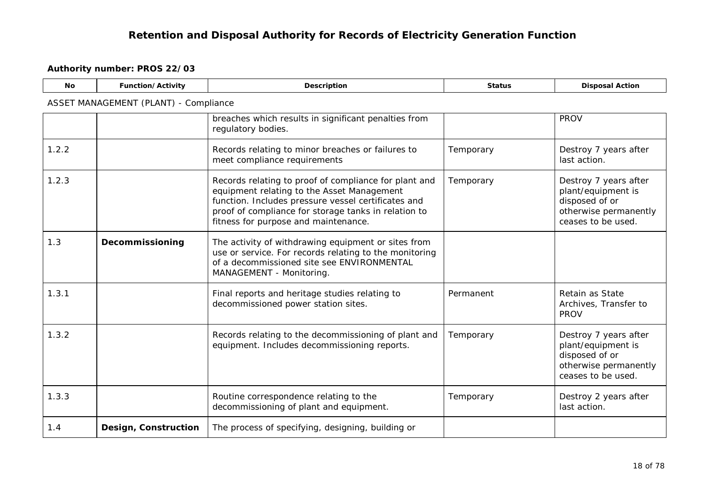<span id="page-17-1"></span><span id="page-17-0"></span>

| <b>No</b> | Function/Activity                            | Description                                                                                                                                                                                                                                                | <b>Status</b> | <b>Disposal Action</b>                                                                                       |
|-----------|----------------------------------------------|------------------------------------------------------------------------------------------------------------------------------------------------------------------------------------------------------------------------------------------------------------|---------------|--------------------------------------------------------------------------------------------------------------|
|           | <b>ASSET MANAGEMENT (PLANT) - Compliance</b> |                                                                                                                                                                                                                                                            |               |                                                                                                              |
|           |                                              | breaches which results in significant penalties from<br>regulatory bodies.                                                                                                                                                                                 |               | <b>PROV</b>                                                                                                  |
| 1.2.2     |                                              | Records relating to minor breaches or failures to<br>meet compliance requirements                                                                                                                                                                          | Temporary     | Destroy 7 years after<br>last action.                                                                        |
| 1.2.3     |                                              | Records relating to proof of compliance for plant and<br>equipment relating to the Asset Management<br>function. Includes pressure vessel certificates and<br>proof of compliance for storage tanks in relation to<br>fitness for purpose and maintenance. | Temporary     | Destroy 7 years after<br>plant/equipment is<br>disposed of or<br>otherwise permanently<br>ceases to be used. |
| 1.3       | Decommissioning                              | The activity of withdrawing equipment or sites from<br>use or service. For records relating to the monitoring<br>of a decommissioned site see ENVIRONMENTAL<br>MANAGEMENT - Monitoring.                                                                    |               |                                                                                                              |
| 1.3.1     |                                              | Final reports and heritage studies relating to<br>decommissioned power station sites.                                                                                                                                                                      | Permanent     | Retain as State<br>Archives, Transfer to<br><b>PROV</b>                                                      |
| 1.3.2     |                                              | Records relating to the decommissioning of plant and<br>equipment. Includes decommissioning reports.                                                                                                                                                       | Temporary     | Destroy 7 years after<br>plant/equipment is<br>disposed of or<br>otherwise permanently<br>ceases to be used. |
| 1.3.3     |                                              | Routine correspondence relating to the<br>decommissioning of plant and equipment.                                                                                                                                                                          | Temporary     | Destroy 2 years after<br>last action.                                                                        |
| 1.4       | <b>Design, Construction</b>                  | The process of specifying, designing, building or                                                                                                                                                                                                          |               |                                                                                                              |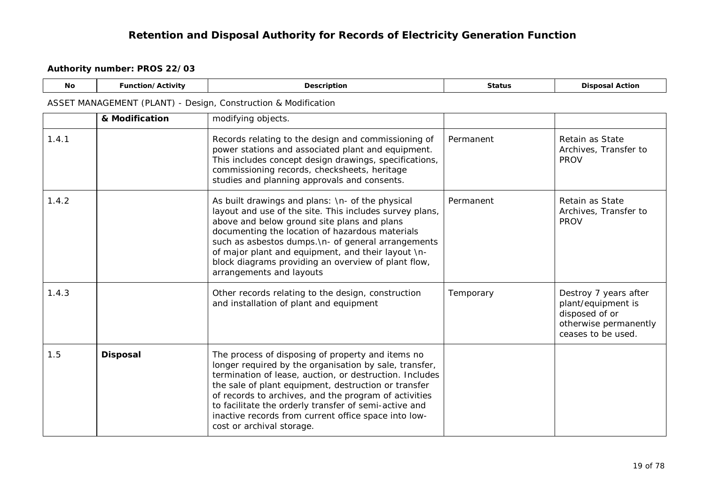#### **Authority number: PROS 22/03**

 $\Gamma$ 

<span id="page-18-0"></span>

| No.   | <b>Function/Activity</b>                                       | <b>Description</b>                                                                                                                                                                                                                                                                                                                                                                                                                    | <b>Status</b> | <b>Disposal Action</b>                                                                                       |  |  |  |
|-------|----------------------------------------------------------------|---------------------------------------------------------------------------------------------------------------------------------------------------------------------------------------------------------------------------------------------------------------------------------------------------------------------------------------------------------------------------------------------------------------------------------------|---------------|--------------------------------------------------------------------------------------------------------------|--|--|--|
|       | ASSET MANAGEMENT (PLANT) - Design, Construction & Modification |                                                                                                                                                                                                                                                                                                                                                                                                                                       |               |                                                                                                              |  |  |  |
|       | & Modification                                                 | modifying objects.                                                                                                                                                                                                                                                                                                                                                                                                                    |               |                                                                                                              |  |  |  |
| 1.4.1 |                                                                | Records relating to the design and commissioning of<br>power stations and associated plant and equipment.<br>This includes concept design drawings, specifications,<br>commissioning records, checksheets, heritage<br>studies and planning approvals and consents.                                                                                                                                                                   | Permanent     | Retain as State<br>Archives, Transfer to<br><b>PROV</b>                                                      |  |  |  |
| 1.4.2 |                                                                | As built drawings and plans: \n- of the physical<br>layout and use of the site. This includes survey plans,<br>above and below ground site plans and plans<br>documenting the location of hazardous materials<br>such as asbestos dumps. \n- of general arrangements<br>of major plant and equipment, and their layout \n-<br>block diagrams providing an overview of plant flow,<br>arrangements and layouts                         | Permanent     | Retain as State<br>Archives, Transfer to<br><b>PROV</b>                                                      |  |  |  |
| 1.4.3 |                                                                | Other records relating to the design, construction<br>and installation of plant and equipment                                                                                                                                                                                                                                                                                                                                         | Temporary     | Destroy 7 years after<br>plant/equipment is<br>disposed of or<br>otherwise permanently<br>ceases to be used. |  |  |  |
| 1.5   | <b>Disposal</b>                                                | The process of disposing of property and items no<br>longer required by the organisation by sale, transfer,<br>termination of lease, auction, or destruction. Includes<br>the sale of plant equipment, destruction or transfer<br>of records to archives, and the program of activities<br>to facilitate the orderly transfer of semi-active and<br>inactive records from current office space into low-<br>cost or archival storage. |               |                                                                                                              |  |  |  |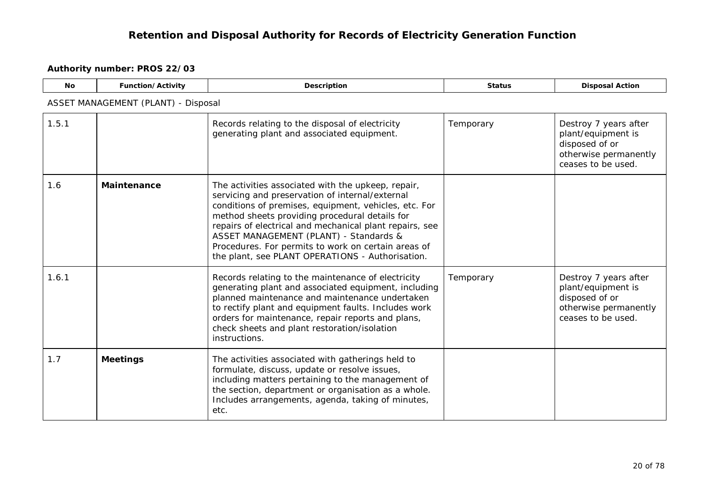<span id="page-19-1"></span><span id="page-19-0"></span>

| <b>No</b> | Function/Activity                   | Description                                                                                                                                                                                                                                                                                                                                                                                                                      | <b>Status</b> | <b>Disposal Action</b>                                                                                       |  |  |  |
|-----------|-------------------------------------|----------------------------------------------------------------------------------------------------------------------------------------------------------------------------------------------------------------------------------------------------------------------------------------------------------------------------------------------------------------------------------------------------------------------------------|---------------|--------------------------------------------------------------------------------------------------------------|--|--|--|
|           | ASSET MANAGEMENT (PLANT) - Disposal |                                                                                                                                                                                                                                                                                                                                                                                                                                  |               |                                                                                                              |  |  |  |
| 1.5.1     |                                     | Records relating to the disposal of electricity<br>generating plant and associated equipment.                                                                                                                                                                                                                                                                                                                                    | Temporary     | Destroy 7 years after<br>plant/equipment is<br>disposed of or<br>otherwise permanently<br>ceases to be used. |  |  |  |
| 1.6       | <b>Maintenance</b>                  | The activities associated with the upkeep, repair,<br>servicing and preservation of internal/external<br>conditions of premises, equipment, vehicles, etc. For<br>method sheets providing procedural details for<br>repairs of electrical and mechanical plant repairs, see<br>ASSET MANAGEMENT (PLANT) - Standards &<br>Procedures. For permits to work on certain areas of<br>the plant, see PLANT OPERATIONS - Authorisation. |               |                                                                                                              |  |  |  |
| 1.6.1     |                                     | Records relating to the maintenance of electricity<br>generating plant and associated equipment, including<br>planned maintenance and maintenance undertaken<br>to rectify plant and equipment faults. Includes work<br>orders for maintenance, repair reports and plans,<br>check sheets and plant restoration/isolation<br>instructions.                                                                                       | Temporary     | Destroy 7 years after<br>plant/equipment is<br>disposed of or<br>otherwise permanently<br>ceases to be used. |  |  |  |
| 1.7       | <b>Meetings</b>                     | The activities associated with gatherings held to<br>formulate, discuss, update or resolve issues,<br>including matters pertaining to the management of<br>the section, department or organisation as a whole.<br>Includes arrangements, agenda, taking of minutes,<br>etc.                                                                                                                                                      |               |                                                                                                              |  |  |  |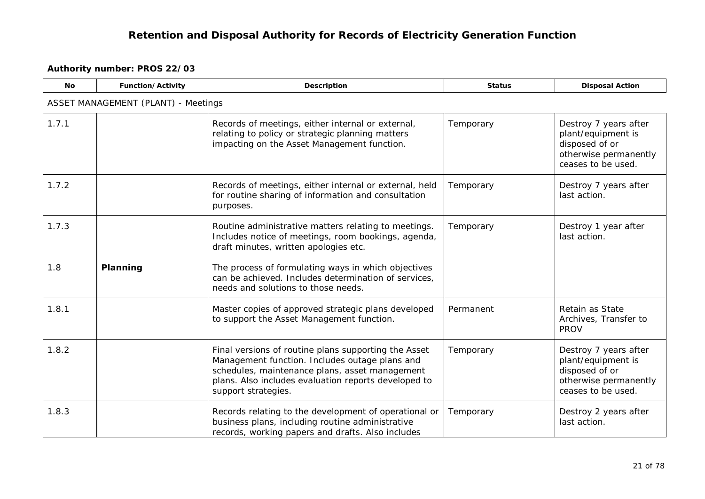<span id="page-20-0"></span>

| <b>No</b> | Function/Activity                          | <b>Description</b>                                                                                                                                                                                                                      | <b>Status</b> | <b>Disposal Action</b>                                                                                       |  |  |  |
|-----------|--------------------------------------------|-----------------------------------------------------------------------------------------------------------------------------------------------------------------------------------------------------------------------------------------|---------------|--------------------------------------------------------------------------------------------------------------|--|--|--|
|           | <b>ASSET MANAGEMENT (PLANT) - Meetings</b> |                                                                                                                                                                                                                                         |               |                                                                                                              |  |  |  |
| 1.7.1     |                                            | Records of meetings, either internal or external,<br>relating to policy or strategic planning matters<br>impacting on the Asset Management function.                                                                                    | Temporary     | Destroy 7 years after<br>plant/equipment is<br>disposed of or<br>otherwise permanently<br>ceases to be used. |  |  |  |
| 1.7.2     |                                            | Records of meetings, either internal or external, held<br>for routine sharing of information and consultation<br>purposes.                                                                                                              | Temporary     | Destroy 7 years after<br>last action.                                                                        |  |  |  |
| 1.7.3     |                                            | Routine administrative matters relating to meetings.<br>Includes notice of meetings, room bookings, agenda,<br>draft minutes, written apologies etc.                                                                                    | Temporary     | Destroy 1 year after<br>last action.                                                                         |  |  |  |
| 1.8       | Planning                                   | The process of formulating ways in which objectives<br>can be achieved. Includes determination of services,<br>needs and solutions to those needs.                                                                                      |               |                                                                                                              |  |  |  |
| 1.8.1     |                                            | Master copies of approved strategic plans developed<br>to support the Asset Management function.                                                                                                                                        | Permanent     | Retain as State<br>Archives, Transfer to<br><b>PROV</b>                                                      |  |  |  |
| 1.8.2     |                                            | Final versions of routine plans supporting the Asset<br>Management function. Includes outage plans and<br>schedules, maintenance plans, asset management<br>plans. Also includes evaluation reports developed to<br>support strategies. | Temporary     | Destroy 7 years after<br>plant/equipment is<br>disposed of or<br>otherwise permanently<br>ceases to be used. |  |  |  |
| 1.8.3     |                                            | Records relating to the development of operational or<br>business plans, including routine administrative<br>records, working papers and drafts. Also includes                                                                          | Temporary     | Destroy 2 years after<br>last action.                                                                        |  |  |  |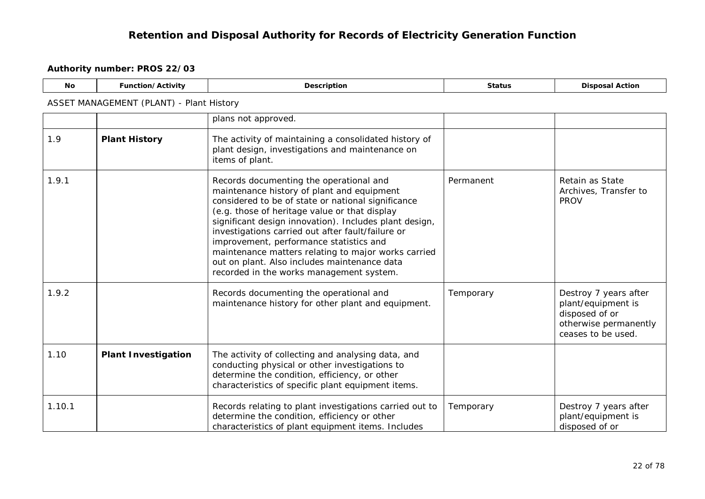<u> 2008 - Andrea State Barbara, amerikan personal di sebagai personal di sebagai personal di sebagai personal d</u>

<span id="page-21-1"></span><span id="page-21-0"></span>

| <b>No</b> | Function/Activity                        | Description                                                                                                                                                                                                                                                                                                                                                                                                                                                                                               | <b>Status</b> | <b>Disposal Action</b>                                                                                       |  |  |  |
|-----------|------------------------------------------|-----------------------------------------------------------------------------------------------------------------------------------------------------------------------------------------------------------------------------------------------------------------------------------------------------------------------------------------------------------------------------------------------------------------------------------------------------------------------------------------------------------|---------------|--------------------------------------------------------------------------------------------------------------|--|--|--|
|           | ASSET MANAGEMENT (PLANT) - Plant History |                                                                                                                                                                                                                                                                                                                                                                                                                                                                                                           |               |                                                                                                              |  |  |  |
|           |                                          | plans not approved.                                                                                                                                                                                                                                                                                                                                                                                                                                                                                       |               |                                                                                                              |  |  |  |
| 1.9       | <b>Plant History</b>                     | The activity of maintaining a consolidated history of<br>plant design, investigations and maintenance on<br>items of plant.                                                                                                                                                                                                                                                                                                                                                                               |               |                                                                                                              |  |  |  |
| 1.9.1     |                                          | Records documenting the operational and<br>maintenance history of plant and equipment<br>considered to be of state or national significance<br>(e.g. those of heritage value or that display<br>significant design innovation). Includes plant design,<br>investigations carried out after fault/failure or<br>improvement, performance statistics and<br>maintenance matters relating to major works carried<br>out on plant. Also includes maintenance data<br>recorded in the works management system. | Permanent     | Retain as State<br>Archives, Transfer to<br><b>PROV</b>                                                      |  |  |  |
| 1.9.2     |                                          | Records documenting the operational and<br>maintenance history for other plant and equipment.                                                                                                                                                                                                                                                                                                                                                                                                             | Temporary     | Destroy 7 years after<br>plant/equipment is<br>disposed of or<br>otherwise permanently<br>ceases to be used. |  |  |  |
| 1.10      | <b>Plant Investigation</b>               | The activity of collecting and analysing data, and<br>conducting physical or other investigations to<br>determine the condition, efficiency, or other<br>characteristics of specific plant equipment items.                                                                                                                                                                                                                                                                                               |               |                                                                                                              |  |  |  |
| 1.10.1    |                                          | Records relating to plant investigations carried out to<br>determine the condition, efficiency or other<br>characteristics of plant equipment items. Includes                                                                                                                                                                                                                                                                                                                                             | Temporary     | Destroy 7 years after<br>plant/equipment is<br>disposed of or                                                |  |  |  |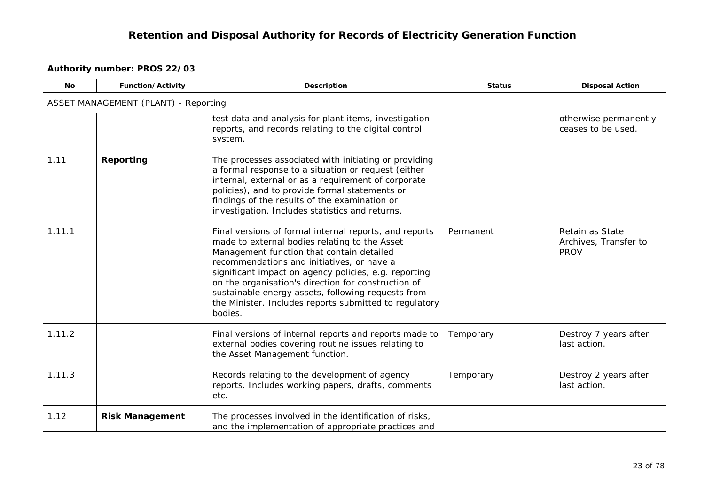<span id="page-22-1"></span><span id="page-22-0"></span>

| <b>No</b> | Function/Activity                           | Description                                                                                                                                                                                                                                                                                                                                                                                                                                   | <b>Status</b> | <b>Disposal Action</b>                                  |  |  |  |  |
|-----------|---------------------------------------------|-----------------------------------------------------------------------------------------------------------------------------------------------------------------------------------------------------------------------------------------------------------------------------------------------------------------------------------------------------------------------------------------------------------------------------------------------|---------------|---------------------------------------------------------|--|--|--|--|
|           | <b>ASSET MANAGEMENT (PLANT) - Reporting</b> |                                                                                                                                                                                                                                                                                                                                                                                                                                               |               |                                                         |  |  |  |  |
|           |                                             | test data and analysis for plant items, investigation<br>reports, and records relating to the digital control<br>system.                                                                                                                                                                                                                                                                                                                      |               | otherwise permanently<br>ceases to be used.             |  |  |  |  |
| 1.11      | Reporting                                   | The processes associated with initiating or providing<br>a formal response to a situation or request (either<br>internal, external or as a requirement of corporate<br>policies), and to provide formal statements or<br>findings of the results of the examination or<br>investigation. Includes statistics and returns.                                                                                                                     |               |                                                         |  |  |  |  |
| 1.11.1    |                                             | Final versions of formal internal reports, and reports<br>made to external bodies relating to the Asset<br>Management function that contain detailed<br>recommendations and initiatives, or have a<br>significant impact on agency policies, e.g. reporting<br>on the organisation's direction for construction of<br>sustainable energy assets, following requests from<br>the Minister. Includes reports submitted to regulatory<br>bodies. | Permanent     | Retain as State<br>Archives, Transfer to<br><b>PROV</b> |  |  |  |  |
| 1.11.2    |                                             | Final versions of internal reports and reports made to<br>external bodies covering routine issues relating to<br>the Asset Management function.                                                                                                                                                                                                                                                                                               | Temporary     | Destroy 7 years after<br>last action.                   |  |  |  |  |
| 1.11.3    |                                             | Records relating to the development of agency<br>reports. Includes working papers, drafts, comments<br>etc.                                                                                                                                                                                                                                                                                                                                   | Temporary     | Destroy 2 years after<br>last action.                   |  |  |  |  |
| 1.12      | <b>Risk Management</b>                      | The processes involved in the identification of risks,<br>and the implementation of appropriate practices and                                                                                                                                                                                                                                                                                                                                 |               |                                                         |  |  |  |  |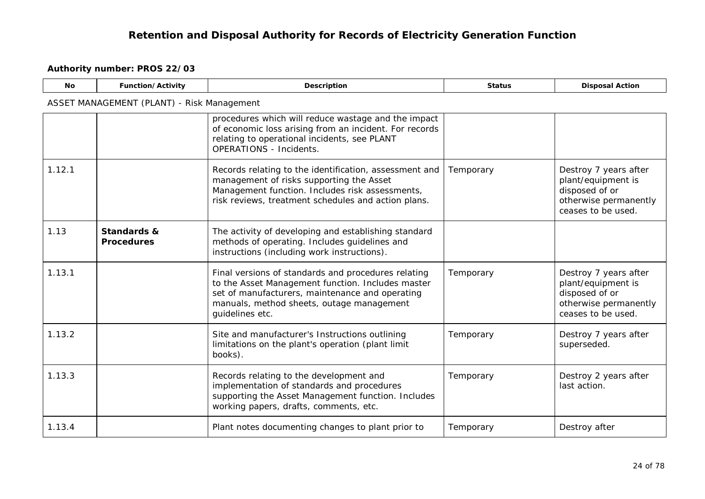<span id="page-23-0"></span>

| <b>No</b> | Function/Activity                          | Description                                                                                                                                                                                                                 | <b>Status</b> | <b>Disposal Action</b>                                                                                       |
|-----------|--------------------------------------------|-----------------------------------------------------------------------------------------------------------------------------------------------------------------------------------------------------------------------------|---------------|--------------------------------------------------------------------------------------------------------------|
|           | ASSET MANAGEMENT (PLANT) - Risk Management |                                                                                                                                                                                                                             |               |                                                                                                              |
|           |                                            | procedures which will reduce wastage and the impact<br>of economic loss arising from an incident. For records<br>relating to operational incidents, see PLANT<br><b>OPERATIONS - Incidents.</b>                             |               |                                                                                                              |
| 1.12.1    |                                            | Records relating to the identification, assessment and<br>management of risks supporting the Asset<br>Management function. Includes risk assessments,<br>risk reviews, treatment schedules and action plans.                | Temporary     | Destroy 7 years after<br>plant/equipment is<br>disposed of or<br>otherwise permanently<br>ceases to be used. |
| 1.13      | Standards &<br><b>Procedures</b>           | The activity of developing and establishing standard<br>methods of operating. Includes guidelines and<br>instructions (including work instructions).                                                                        |               |                                                                                                              |
| 1.13.1    |                                            | Final versions of standards and procedures relating<br>to the Asset Management function. Includes master<br>set of manufacturers, maintenance and operating<br>manuals, method sheets, outage management<br>guidelines etc. | Temporary     | Destroy 7 years after<br>plant/equipment is<br>disposed of or<br>otherwise permanently<br>ceases to be used. |
| 1.13.2    |                                            | Site and manufacturer's Instructions outlining<br>limitations on the plant's operation (plant limit<br>books).                                                                                                              | Temporary     | Destroy 7 years after<br>superseded.                                                                         |
| 1.13.3    |                                            | Records relating to the development and<br>implementation of standards and procedures<br>supporting the Asset Management function. Includes<br>working papers, drafts, comments, etc.                                       | Temporary     | Destroy 2 years after<br>last action.                                                                        |
| 1.13.4    |                                            | Plant notes documenting changes to plant prior to                                                                                                                                                                           | Temporary     | Destroy after                                                                                                |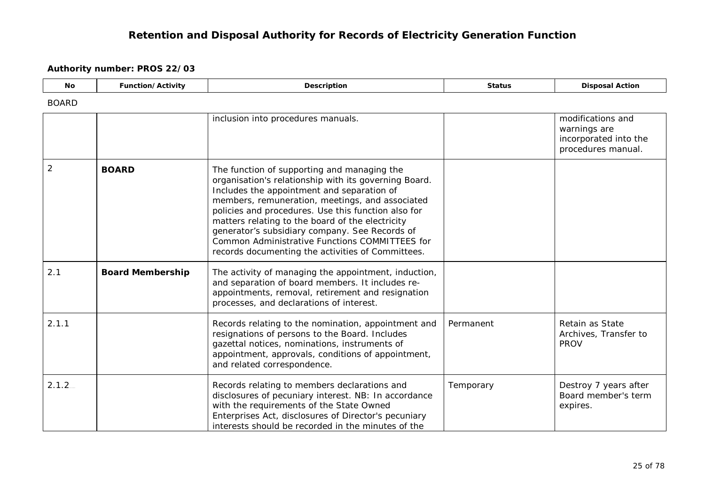<span id="page-24-1"></span><span id="page-24-0"></span>

| <b>No</b>      | Function/Activity       | Description                                                                                                                                                                                                                                                                                                                                                                                                                                                               | <b>Status</b> | <b>Disposal Action</b>                                                           |
|----------------|-------------------------|---------------------------------------------------------------------------------------------------------------------------------------------------------------------------------------------------------------------------------------------------------------------------------------------------------------------------------------------------------------------------------------------------------------------------------------------------------------------------|---------------|----------------------------------------------------------------------------------|
| <b>BOARD</b>   |                         |                                                                                                                                                                                                                                                                                                                                                                                                                                                                           |               |                                                                                  |
|                |                         | inclusion into procedures manuals.                                                                                                                                                                                                                                                                                                                                                                                                                                        |               | modifications and<br>warnings are<br>incorporated into the<br>procedures manual. |
| $\overline{2}$ | <b>BOARD</b>            | The function of supporting and managing the<br>organisation's relationship with its governing Board.<br>Includes the appointment and separation of<br>members, remuneration, meetings, and associated<br>policies and procedures. Use this function also for<br>matters relating to the board of the electricity<br>generator's subsidiary company. See Records of<br>Common Administrative Functions COMMITTEES for<br>records documenting the activities of Committees. |               |                                                                                  |
| 2.1            | <b>Board Membership</b> | The activity of managing the appointment, induction,<br>and separation of board members. It includes re-<br>appointments, removal, retirement and resignation<br>processes, and declarations of interest.                                                                                                                                                                                                                                                                 |               |                                                                                  |
| 2.1.1          |                         | Records relating to the nomination, appointment and<br>resignations of persons to the Board. Includes<br>gazettal notices, nominations, instruments of<br>appointment, approvals, conditions of appointment,<br>and related correspondence.                                                                                                                                                                                                                               | Permanent     | Retain as State<br>Archives, Transfer to<br><b>PROV</b>                          |
| 2.1.2          |                         | Records relating to members declarations and<br>disclosures of pecuniary interest. NB: In accordance<br>with the requirements of the State Owned<br>Enterprises Act, disclosures of Director's pecuniary<br>interests should be recorded in the minutes of the                                                                                                                                                                                                            | Temporary     | Destroy 7 years after<br>Board member's term<br>expires.                         |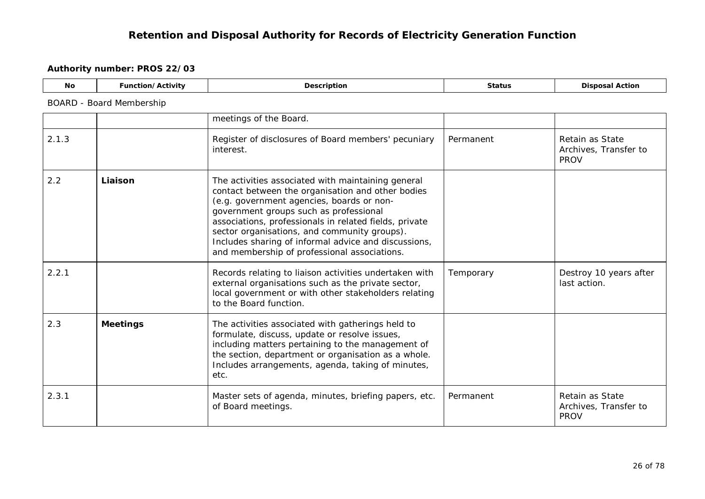| No | <b>Function/Activity</b> | Description              | <b>Status</b> | <b>Disposal Action</b> |  |  |
|----|--------------------------|--------------------------|---------------|------------------------|--|--|
|    | BOARD - Board Membership |                          |               |                        |  |  |
|    |                          | I meetings of the Board. |               |                        |  |  |

<span id="page-25-1"></span><span id="page-25-0"></span>

| 2.1.3 |                 | Register of disclosures of Board members' pecuniary<br>interest.                                                                                                                                                                                                                                                                                                                                                 | Permanent | Retain as State<br>Archives, Transfer to<br><b>PROV</b> |
|-------|-----------------|------------------------------------------------------------------------------------------------------------------------------------------------------------------------------------------------------------------------------------------------------------------------------------------------------------------------------------------------------------------------------------------------------------------|-----------|---------------------------------------------------------|
| 2.2   | Liaison         | The activities associated with maintaining general<br>contact between the organisation and other bodies<br>(e.g. government agencies, boards or non-<br>government groups such as professional<br>associations, professionals in related fields, private<br>sector organisations, and community groups).<br>Includes sharing of informal advice and discussions,<br>and membership of professional associations. |           |                                                         |
| 2.2.1 |                 | Records relating to liaison activities undertaken with<br>external organisations such as the private sector,<br>local government or with other stakeholders relating<br>to the Board function.                                                                                                                                                                                                                   | Temporary | Destroy 10 years after<br>last action.                  |
| 2.3   | <b>Meetings</b> | The activities associated with gatherings held to<br>formulate, discuss, update or resolve issues,<br>including matters pertaining to the management of<br>the section, department or organisation as a whole.<br>Includes arrangements, agenda, taking of minutes,<br>etc.                                                                                                                                      |           |                                                         |
| 2.3.1 |                 | Master sets of agenda, minutes, briefing papers, etc.<br>of Board meetings.                                                                                                                                                                                                                                                                                                                                      | Permanent | Retain as State<br>Archives, Transfer to<br><b>PROV</b> |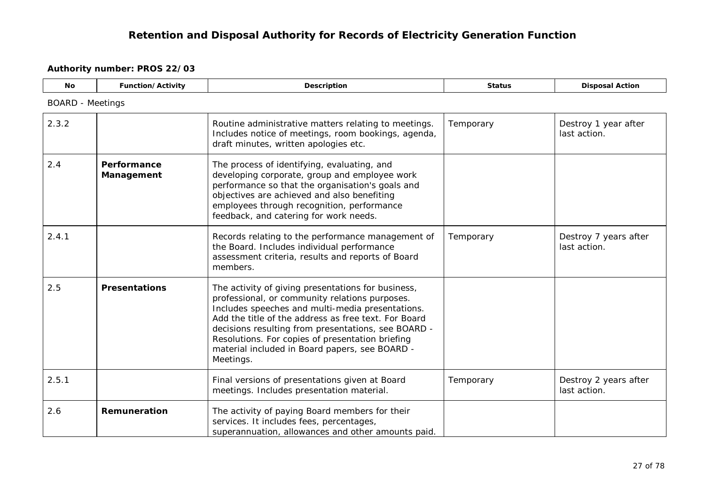<span id="page-26-2"></span><span id="page-26-1"></span><span id="page-26-0"></span>

| <b>No</b> | Function/Activity         | Description                                                                                                                                                                                                                                                                                                                                                                                | <b>Status</b> | <b>Disposal Action</b>                |
|-----------|---------------------------|--------------------------------------------------------------------------------------------------------------------------------------------------------------------------------------------------------------------------------------------------------------------------------------------------------------------------------------------------------------------------------------------|---------------|---------------------------------------|
|           | <b>BOARD</b> - Meetings   |                                                                                                                                                                                                                                                                                                                                                                                            |               |                                       |
| 2.3.2     |                           | Routine administrative matters relating to meetings.<br>Includes notice of meetings, room bookings, agenda,<br>draft minutes, written apologies etc.                                                                                                                                                                                                                                       | Temporary     | Destroy 1 year after<br>last action.  |
| 2.4       | Performance<br>Management | The process of identifying, evaluating, and<br>developing corporate, group and employee work<br>performance so that the organisation's goals and<br>objectives are achieved and also benefiting<br>employees through recognition, performance<br>feedback, and catering for work needs.                                                                                                    |               |                                       |
| 2.4.1     |                           | Records relating to the performance management of<br>the Board. Includes individual performance<br>assessment criteria, results and reports of Board<br>members.                                                                                                                                                                                                                           | Temporary     | Destroy 7 years after<br>last action. |
| 2.5       | <b>Presentations</b>      | The activity of giving presentations for business,<br>professional, or community relations purposes.<br>Includes speeches and multi-media presentations.<br>Add the title of the address as free text. For Board<br>decisions resulting from presentations, see BOARD -<br>Resolutions. For copies of presentation briefing<br>material included in Board papers, see BOARD -<br>Meetings. |               |                                       |
| 2.5.1     |                           | Final versions of presentations given at Board<br>meetings. Includes presentation material.                                                                                                                                                                                                                                                                                                | Temporary     | Destroy 2 years after<br>last action. |
| 2.6       | Remuneration              | The activity of paying Board members for their<br>services. It includes fees, percentages,<br>superannuation, allowances and other amounts paid.                                                                                                                                                                                                                                           |               |                                       |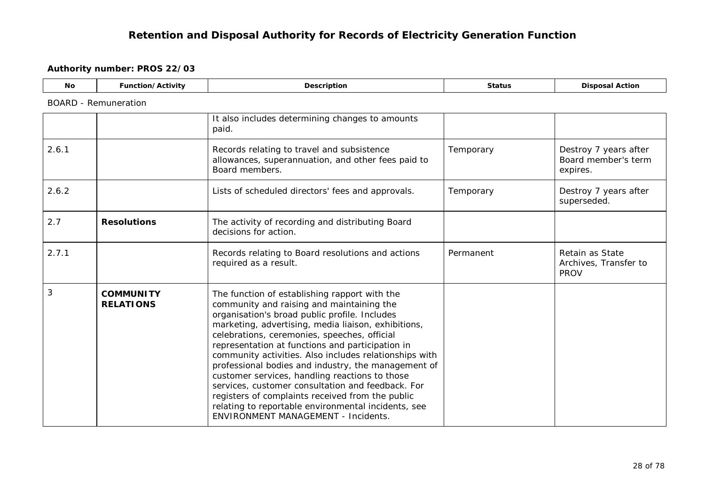<span id="page-27-1"></span><span id="page-27-0"></span>

| <b>No</b> | Function/Activity                    | Description                                                                                                                                                                                                                                                                                                                                                                                                                                                                                                                                                                                                                                                                             | <b>Status</b> | <b>Disposal Action</b>                                   |  |  |  |  |
|-----------|--------------------------------------|-----------------------------------------------------------------------------------------------------------------------------------------------------------------------------------------------------------------------------------------------------------------------------------------------------------------------------------------------------------------------------------------------------------------------------------------------------------------------------------------------------------------------------------------------------------------------------------------------------------------------------------------------------------------------------------------|---------------|----------------------------------------------------------|--|--|--|--|
|           | <b>BOARD</b> - Remuneration          |                                                                                                                                                                                                                                                                                                                                                                                                                                                                                                                                                                                                                                                                                         |               |                                                          |  |  |  |  |
|           |                                      | It also includes determining changes to amounts<br>paid.                                                                                                                                                                                                                                                                                                                                                                                                                                                                                                                                                                                                                                |               |                                                          |  |  |  |  |
| 2.6.1     |                                      | Records relating to travel and subsistence<br>allowances, superannuation, and other fees paid to<br>Board members.                                                                                                                                                                                                                                                                                                                                                                                                                                                                                                                                                                      | Temporary     | Destroy 7 years after<br>Board member's term<br>expires. |  |  |  |  |
| 2.6.2     |                                      | Lists of scheduled directors' fees and approvals.                                                                                                                                                                                                                                                                                                                                                                                                                                                                                                                                                                                                                                       | Temporary     | Destroy 7 years after<br>superseded.                     |  |  |  |  |
| 2.7       | <b>Resolutions</b>                   | The activity of recording and distributing Board<br>decisions for action.                                                                                                                                                                                                                                                                                                                                                                                                                                                                                                                                                                                                               |               |                                                          |  |  |  |  |
| 2.7.1     |                                      | Records relating to Board resolutions and actions<br>required as a result.                                                                                                                                                                                                                                                                                                                                                                                                                                                                                                                                                                                                              | Permanent     | Retain as State<br>Archives, Transfer to<br><b>PROV</b>  |  |  |  |  |
| 3         | <b>COMMUNITY</b><br><b>RELATIONS</b> | The function of establishing rapport with the<br>community and raising and maintaining the<br>organisation's broad public profile. Includes<br>marketing, advertising, media liaison, exhibitions,<br>celebrations, ceremonies, speeches, official<br>representation at functions and participation in<br>community activities. Also includes relationships with<br>professional bodies and industry, the management of<br>customer services, handling reactions to those<br>services, customer consultation and feedback. For<br>registers of complaints received from the public<br>relating to reportable environmental incidents, see<br><b>ENVIRONMENT MANAGEMENT - Incidents.</b> |               |                                                          |  |  |  |  |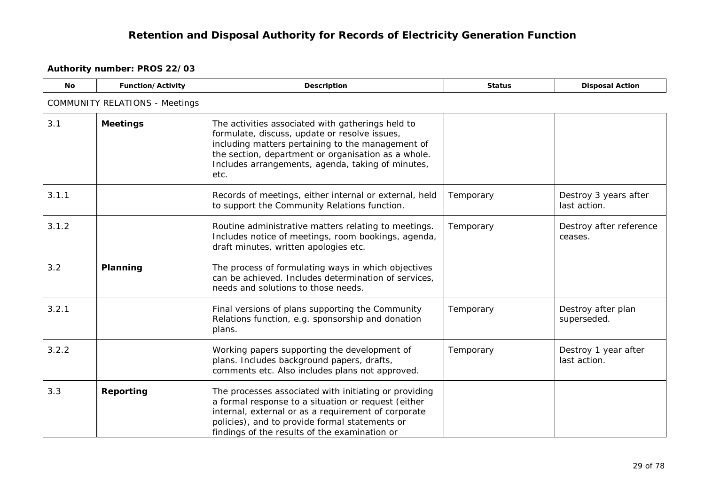<span id="page-28-2"></span><span id="page-28-1"></span><span id="page-28-0"></span>

| <b>No</b> | Function/Activity                     | <b>Description</b>                                                                                                                                                                                                                                                          | <b>Status</b> | <b>Disposal Action</b>                |  |  |  |  |
|-----------|---------------------------------------|-----------------------------------------------------------------------------------------------------------------------------------------------------------------------------------------------------------------------------------------------------------------------------|---------------|---------------------------------------|--|--|--|--|
|           | <b>COMMUNITY RELATIONS - Meetings</b> |                                                                                                                                                                                                                                                                             |               |                                       |  |  |  |  |
| 3.1       | <b>Meetings</b>                       | The activities associated with gatherings held to<br>formulate, discuss, update or resolve issues,<br>including matters pertaining to the management of<br>the section, department or organisation as a whole.<br>Includes arrangements, agenda, taking of minutes,<br>etc. |               |                                       |  |  |  |  |
| 3.1.1     |                                       | Records of meetings, either internal or external, held<br>to support the Community Relations function.                                                                                                                                                                      | Temporary     | Destroy 3 years after<br>last action. |  |  |  |  |
| 3.1.2     |                                       | Routine administrative matters relating to meetings.<br>Includes notice of meetings, room bookings, agenda,<br>draft minutes, written apologies etc.                                                                                                                        | Temporary     | Destroy after reference<br>ceases.    |  |  |  |  |
| 3.2       | Planning                              | The process of formulating ways in which objectives<br>can be achieved. Includes determination of services,<br>needs and solutions to those needs.                                                                                                                          |               |                                       |  |  |  |  |
| 3.2.1     |                                       | Final versions of plans supporting the Community<br>Relations function, e.g. sponsorship and donation<br>plans.                                                                                                                                                             | Temporary     | Destroy after plan<br>superseded.     |  |  |  |  |
| 3.2.2     |                                       | Working papers supporting the development of<br>plans. Includes background papers, drafts,<br>comments etc. Also includes plans not approved.                                                                                                                               | Temporary     | Destroy 1 year after<br>last action.  |  |  |  |  |
| 3.3       | Reporting                             | The processes associated with initiating or providing<br>a formal response to a situation or request (either<br>internal, external or as a requirement of corporate<br>policies), and to provide formal statements or<br>findings of the results of the examination or      |               |                                       |  |  |  |  |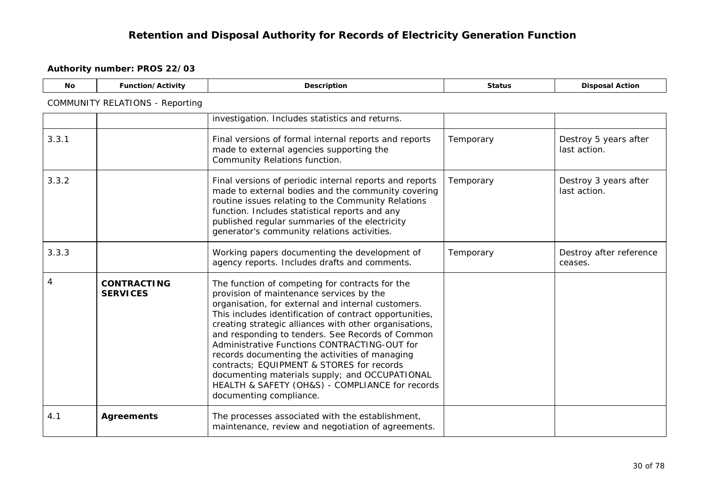<span id="page-29-1"></span><span id="page-29-0"></span>

| <b>No</b> | Function/Activity                      | Description                                                                                                                                                                                                                                                                                                                                                                                                                                                                                                                                                                                               | <b>Status</b> | <b>Disposal Action</b>                |  |  |  |
|-----------|----------------------------------------|-----------------------------------------------------------------------------------------------------------------------------------------------------------------------------------------------------------------------------------------------------------------------------------------------------------------------------------------------------------------------------------------------------------------------------------------------------------------------------------------------------------------------------------------------------------------------------------------------------------|---------------|---------------------------------------|--|--|--|
|           | <b>COMMUNITY RELATIONS - Reporting</b> |                                                                                                                                                                                                                                                                                                                                                                                                                                                                                                                                                                                                           |               |                                       |  |  |  |
|           |                                        | investigation. Includes statistics and returns.                                                                                                                                                                                                                                                                                                                                                                                                                                                                                                                                                           |               |                                       |  |  |  |
| 3.3.1     |                                        | Final versions of formal internal reports and reports<br>made to external agencies supporting the<br>Community Relations function.                                                                                                                                                                                                                                                                                                                                                                                                                                                                        | Temporary     | Destroy 5 years after<br>last action. |  |  |  |
| 3.3.2     |                                        | Final versions of periodic internal reports and reports<br>made to external bodies and the community covering<br>routine issues relating to the Community Relations<br>function. Includes statistical reports and any<br>published regular summaries of the electricity<br>generator's community relations activities.                                                                                                                                                                                                                                                                                    | Temporary     | Destroy 3 years after<br>last action. |  |  |  |
| 3.3.3     |                                        | Working papers documenting the development of<br>agency reports. Includes drafts and comments.                                                                                                                                                                                                                                                                                                                                                                                                                                                                                                            | Temporary     | Destroy after reference<br>ceases.    |  |  |  |
| 4         | <b>CONTRACTING</b><br><b>SERVICES</b>  | The function of competing for contracts for the<br>provision of maintenance services by the<br>organisation, for external and internal customers.<br>This includes identification of contract opportunities,<br>creating strategic alliances with other organisations,<br>and responding to tenders. See Records of Common<br>Administrative Functions CONTRACTING-OUT for<br>records documenting the activities of managing<br>contracts; EQUIPMENT & STORES for records<br>documenting materials supply; and OCCUPATIONAL<br>HEALTH & SAFETY (OH&S) - COMPLIANCE for records<br>documenting compliance. |               |                                       |  |  |  |
| 4.1       | <b>Agreements</b>                      | The processes associated with the establishment,<br>maintenance, review and negotiation of agreements.                                                                                                                                                                                                                                                                                                                                                                                                                                                                                                    |               |                                       |  |  |  |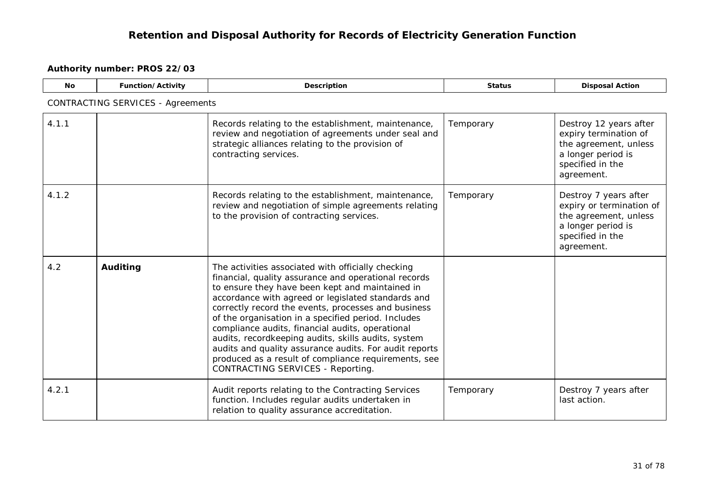<span id="page-30-0"></span>

| <b>No</b> | Function/Activity                        | <b>Description</b>                                                                                                                                                                                                                                                                                                                                                                                                                                                                                                                                                                                         | <b>Status</b> | <b>Disposal Action</b>                                                                                                             |  |  |  |
|-----------|------------------------------------------|------------------------------------------------------------------------------------------------------------------------------------------------------------------------------------------------------------------------------------------------------------------------------------------------------------------------------------------------------------------------------------------------------------------------------------------------------------------------------------------------------------------------------------------------------------------------------------------------------------|---------------|------------------------------------------------------------------------------------------------------------------------------------|--|--|--|
|           | <b>CONTRACTING SERVICES - Agreements</b> |                                                                                                                                                                                                                                                                                                                                                                                                                                                                                                                                                                                                            |               |                                                                                                                                    |  |  |  |
| 4.1.1     |                                          | Records relating to the establishment, maintenance,<br>review and negotiation of agreements under seal and<br>strategic alliances relating to the provision of<br>contracting services.                                                                                                                                                                                                                                                                                                                                                                                                                    | Temporary     | Destroy 12 years after<br>expiry termination of<br>the agreement, unless<br>a longer period is<br>specified in the<br>agreement.   |  |  |  |
| 4.1.2     |                                          | Records relating to the establishment, maintenance,<br>review and negotiation of simple agreements relating<br>to the provision of contracting services.                                                                                                                                                                                                                                                                                                                                                                                                                                                   | Temporary     | Destroy 7 years after<br>expiry or termination of<br>the agreement, unless<br>a longer period is<br>specified in the<br>agreement. |  |  |  |
| 4.2       | Auditing                                 | The activities associated with officially checking<br>financial, quality assurance and operational records<br>to ensure they have been kept and maintained in<br>accordance with agreed or legislated standards and<br>correctly record the events, processes and business<br>of the organisation in a specified period. Includes<br>compliance audits, financial audits, operational<br>audits, recordkeeping audits, skills audits, system<br>audits and quality assurance audits. For audit reports<br>produced as a result of compliance requirements, see<br><b>CONTRACTING SERVICES - Reporting.</b> |               |                                                                                                                                    |  |  |  |
| 4.2.1     |                                          | Audit reports relating to the Contracting Services<br>function. Includes regular audits undertaken in<br>relation to quality assurance accreditation.                                                                                                                                                                                                                                                                                                                                                                                                                                                      | Temporary     | Destroy 7 years after<br>last action.                                                                                              |  |  |  |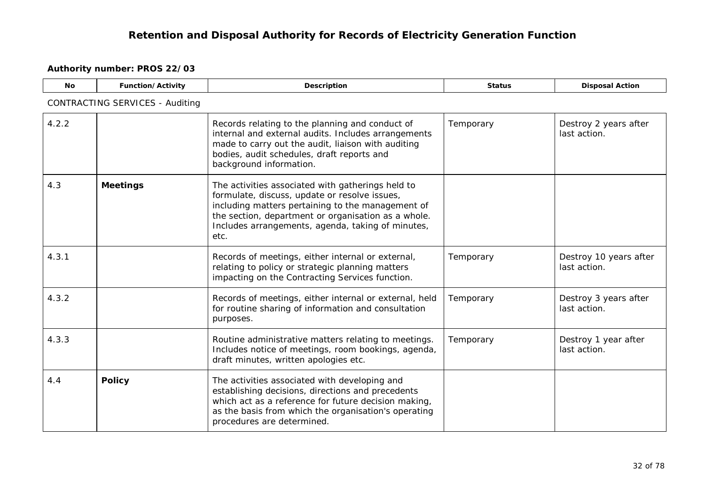<span id="page-31-1"></span><span id="page-31-0"></span>

| <b>No</b> | Function/Activity                      | Description                                                                                                                                                                                                                                                                 | <b>Status</b> | <b>Disposal Action</b>                 |  |  |  |  |
|-----------|----------------------------------------|-----------------------------------------------------------------------------------------------------------------------------------------------------------------------------------------------------------------------------------------------------------------------------|---------------|----------------------------------------|--|--|--|--|
|           | <b>CONTRACTING SERVICES - Auditing</b> |                                                                                                                                                                                                                                                                             |               |                                        |  |  |  |  |
| 4.2.2     |                                        | Records relating to the planning and conduct of<br>internal and external audits. Includes arrangements<br>made to carry out the audit, liaison with auditing<br>bodies, audit schedules, draft reports and<br>background information.                                       | Temporary     | Destroy 2 years after<br>last action.  |  |  |  |  |
| 4.3       | <b>Meetings</b>                        | The activities associated with gatherings held to<br>formulate, discuss, update or resolve issues,<br>including matters pertaining to the management of<br>the section, department or organisation as a whole.<br>Includes arrangements, agenda, taking of minutes,<br>etc. |               |                                        |  |  |  |  |
| 4.3.1     |                                        | Records of meetings, either internal or external,<br>relating to policy or strategic planning matters<br>impacting on the Contracting Services function.                                                                                                                    | Temporary     | Destroy 10 years after<br>last action. |  |  |  |  |
| 4.3.2     |                                        | Records of meetings, either internal or external, held<br>for routine sharing of information and consultation<br>purposes.                                                                                                                                                  | Temporary     | Destroy 3 years after<br>last action.  |  |  |  |  |
| 4.3.3     |                                        | Routine administrative matters relating to meetings.<br>Includes notice of meetings, room bookings, agenda,<br>draft minutes, written apologies etc.                                                                                                                        | Temporary     | Destroy 1 year after<br>last action.   |  |  |  |  |
| 4.4       | <b>Policy</b>                          | The activities associated with developing and<br>establishing decisions, directions and precedents<br>which act as a reference for future decision making,<br>as the basis from which the organisation's operating<br>procedures are determined.                            |               |                                        |  |  |  |  |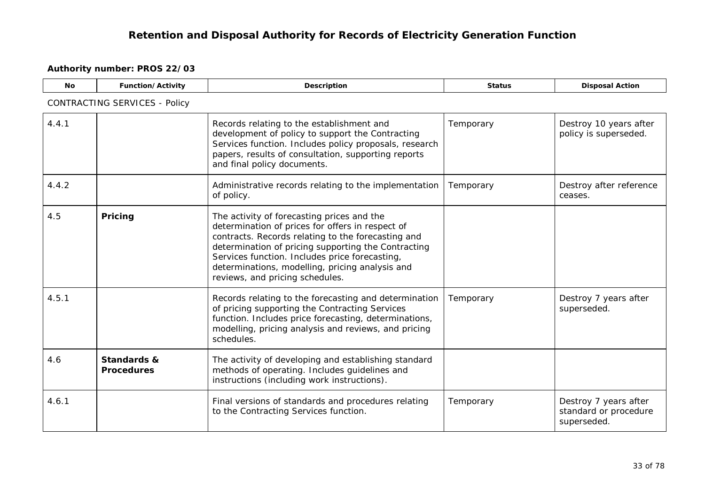<span id="page-32-1"></span><span id="page-32-0"></span>

| <b>No</b> | <b>Function/Activity</b>             | <b>Description</b>                                                                                                                                                                                                                                                                                                                                  | <b>Status</b> | <b>Disposal Action</b>                                        |  |  |  |  |
|-----------|--------------------------------------|-----------------------------------------------------------------------------------------------------------------------------------------------------------------------------------------------------------------------------------------------------------------------------------------------------------------------------------------------------|---------------|---------------------------------------------------------------|--|--|--|--|
|           | <b>CONTRACTING SERVICES - Policy</b> |                                                                                                                                                                                                                                                                                                                                                     |               |                                                               |  |  |  |  |
| 4.4.1     |                                      | Records relating to the establishment and<br>development of policy to support the Contracting<br>Services function. Includes policy proposals, research<br>papers, results of consultation, supporting reports<br>and final policy documents.                                                                                                       | Temporary     | Destroy 10 years after<br>policy is superseded.               |  |  |  |  |
| 4.4.2     |                                      | Administrative records relating to the implementation<br>of policy.                                                                                                                                                                                                                                                                                 | Temporary     | Destroy after reference<br>ceases.                            |  |  |  |  |
| 4.5       | Pricing                              | The activity of forecasting prices and the<br>determination of prices for offers in respect of<br>contracts. Records relating to the forecasting and<br>determination of pricing supporting the Contracting<br>Services function. Includes price forecasting,<br>determinations, modelling, pricing analysis and<br>reviews, and pricing schedules. |               |                                                               |  |  |  |  |
| 4.5.1     |                                      | Records relating to the forecasting and determination<br>of pricing supporting the Contracting Services<br>function. Includes price forecasting, determinations,<br>modelling, pricing analysis and reviews, and pricing<br>schedules.                                                                                                              | Temporary     | Destroy 7 years after<br>superseded.                          |  |  |  |  |
| 4.6       | Standards &<br><b>Procedures</b>     | The activity of developing and establishing standard<br>methods of operating. Includes guidelines and<br>instructions (including work instructions).                                                                                                                                                                                                |               |                                                               |  |  |  |  |
| 4.6.1     |                                      | Final versions of standards and procedures relating<br>to the Contracting Services function.                                                                                                                                                                                                                                                        | Temporary     | Destroy 7 years after<br>standard or procedure<br>superseded. |  |  |  |  |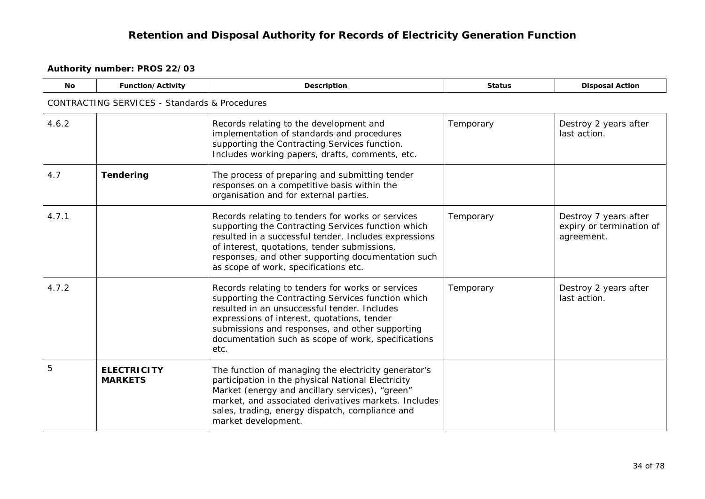<span id="page-33-1"></span><span id="page-33-0"></span>

| No    | Function/Activity                                        | Description                                                                                                                                                                                                                                                                                                              | <b>Status</b> | <b>Disposal Action</b>                                          |  |  |  |  |
|-------|----------------------------------------------------------|--------------------------------------------------------------------------------------------------------------------------------------------------------------------------------------------------------------------------------------------------------------------------------------------------------------------------|---------------|-----------------------------------------------------------------|--|--|--|--|
|       | <b>CONTRACTING SERVICES - Standards &amp; Procedures</b> |                                                                                                                                                                                                                                                                                                                          |               |                                                                 |  |  |  |  |
| 4.6.2 |                                                          | Records relating to the development and<br>implementation of standards and procedures<br>supporting the Contracting Services function.<br>Includes working papers, drafts, comments, etc.                                                                                                                                | Temporary     | Destroy 2 years after<br>last action.                           |  |  |  |  |
| 4.7   | <b>Tendering</b>                                         | The process of preparing and submitting tender<br>responses on a competitive basis within the<br>organisation and for external parties.                                                                                                                                                                                  |               |                                                                 |  |  |  |  |
| 4.7.1 |                                                          | Records relating to tenders for works or services<br>supporting the Contracting Services function which<br>resulted in a successful tender. Includes expressions<br>of interest, quotations, tender submissions,<br>responses, and other supporting documentation such<br>as scope of work, specifications etc.          | Temporary     | Destroy 7 years after<br>expiry or termination of<br>agreement. |  |  |  |  |
| 4.7.2 |                                                          | Records relating to tenders for works or services<br>supporting the Contracting Services function which<br>resulted in an unsuccessful tender. Includes<br>expressions of interest, quotations, tender<br>submissions and responses, and other supporting<br>documentation such as scope of work, specifications<br>etc. | Temporary     | Destroy 2 years after<br>last action.                           |  |  |  |  |
| 5     | <b>ELECTRICITY</b><br><b>MARKETS</b>                     | The function of managing the electricity generator's<br>participation in the physical National Electricity<br>Market (energy and ancillary services), "green"<br>market, and associated derivatives markets. Includes<br>sales, trading, energy dispatch, compliance and<br>market development.                          |               |                                                                 |  |  |  |  |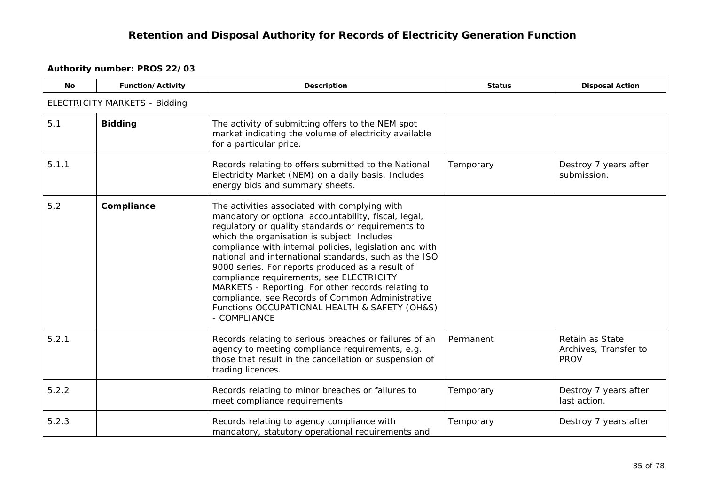<span id="page-34-1"></span><span id="page-34-0"></span>

| <b>No</b> | Function/Activity                    | Description                                                                                                                                                                                                                                                                                                                                                                                                                                                                                                                                                                                               | <b>Status</b> | <b>Disposal Action</b>                                  |  |  |  |  |
|-----------|--------------------------------------|-----------------------------------------------------------------------------------------------------------------------------------------------------------------------------------------------------------------------------------------------------------------------------------------------------------------------------------------------------------------------------------------------------------------------------------------------------------------------------------------------------------------------------------------------------------------------------------------------------------|---------------|---------------------------------------------------------|--|--|--|--|
|           | <b>ELECTRICITY MARKETS - Bidding</b> |                                                                                                                                                                                                                                                                                                                                                                                                                                                                                                                                                                                                           |               |                                                         |  |  |  |  |
| 5.1       | <b>Bidding</b>                       | The activity of submitting offers to the NEM spot<br>market indicating the volume of electricity available<br>for a particular price.                                                                                                                                                                                                                                                                                                                                                                                                                                                                     |               |                                                         |  |  |  |  |
| 5.1.1     |                                      | Records relating to offers submitted to the National<br>Electricity Market (NEM) on a daily basis. Includes<br>energy bids and summary sheets.                                                                                                                                                                                                                                                                                                                                                                                                                                                            | Temporary     | Destroy 7 years after<br>submission.                    |  |  |  |  |
| 5.2       | Compliance                           | The activities associated with complying with<br>mandatory or optional accountability, fiscal, legal,<br>regulatory or quality standards or requirements to<br>which the organisation is subject. Includes<br>compliance with internal policies, legislation and with<br>national and international standards, such as the ISO<br>9000 series. For reports produced as a result of<br>compliance requirements, see ELECTRICITY<br>MARKETS - Reporting. For other records relating to<br>compliance, see Records of Common Administrative<br>Functions OCCUPATIONAL HEALTH & SAFETY (OH&S)<br>- COMPLIANCE |               |                                                         |  |  |  |  |
| 5.2.1     |                                      | Records relating to serious breaches or failures of an<br>agency to meeting compliance requirements, e.g.<br>those that result in the cancellation or suspension of<br>trading licences.                                                                                                                                                                                                                                                                                                                                                                                                                  | Permanent     | Retain as State<br>Archives, Transfer to<br><b>PROV</b> |  |  |  |  |
| 5.2.2     |                                      | Records relating to minor breaches or failures to<br>meet compliance requirements                                                                                                                                                                                                                                                                                                                                                                                                                                                                                                                         | Temporary     | Destroy 7 years after<br>last action.                   |  |  |  |  |
| 5.2.3     |                                      | Records relating to agency compliance with<br>mandatory, statutory operational requirements and                                                                                                                                                                                                                                                                                                                                                                                                                                                                                                           | Temporary     | Destroy 7 years after                                   |  |  |  |  |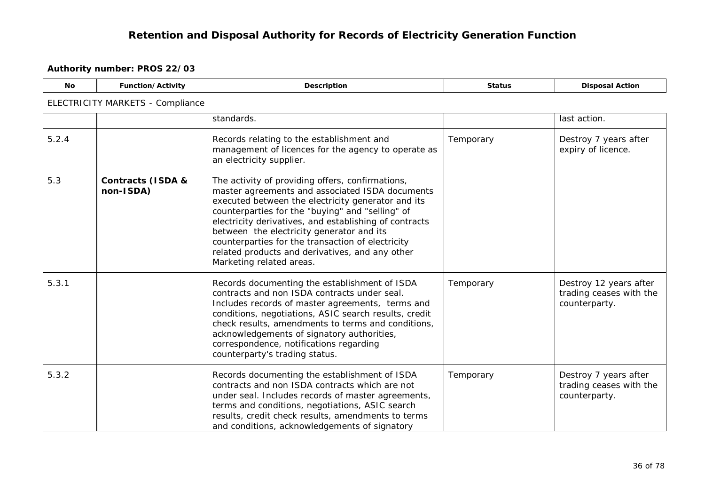<span id="page-35-0"></span>

| <b>No</b> | Function/Activity                         | Description                                                                                                                                                                                                                                                                                                                                                                                                                                              | <b>Status</b> | <b>Disposal Action</b>                                             |
|-----------|-------------------------------------------|----------------------------------------------------------------------------------------------------------------------------------------------------------------------------------------------------------------------------------------------------------------------------------------------------------------------------------------------------------------------------------------------------------------------------------------------------------|---------------|--------------------------------------------------------------------|
|           | ELECTRICITY MARKETS - Compliance          |                                                                                                                                                                                                                                                                                                                                                                                                                                                          |               |                                                                    |
|           |                                           | standards.                                                                                                                                                                                                                                                                                                                                                                                                                                               |               | last action.                                                       |
| 5.2.4     |                                           | Records relating to the establishment and<br>management of licences for the agency to operate as<br>an electricity supplier.                                                                                                                                                                                                                                                                                                                             | Temporary     | Destroy 7 years after<br>expiry of licence.                        |
| 5.3       | <b>Contracts (ISDA &amp;</b><br>non-ISDA) | The activity of providing offers, confirmations,<br>master agreements and associated ISDA documents<br>executed between the electricity generator and its<br>counterparties for the "buying" and "selling" of<br>electricity derivatives, and establishing of contracts<br>between the electricity generator and its<br>counterparties for the transaction of electricity<br>related products and derivatives, and any other<br>Marketing related areas. |               |                                                                    |
| 5.3.1     |                                           | Records documenting the establishment of ISDA<br>contracts and non ISDA contracts under seal.<br>Includes records of master agreements, terms and<br>conditions, negotiations, ASIC search results, credit<br>check results, amendments to terms and conditions,<br>acknowledgements of signatory authorities,<br>correspondence, notifications regarding<br>counterparty's trading status.                                                              | Temporary     | Destroy 12 years after<br>trading ceases with the<br>counterparty. |
| 5.3.2     |                                           | Records documenting the establishment of ISDA<br>contracts and non ISDA contracts which are not<br>under seal. Includes records of master agreements,<br>terms and conditions, negotiations, ASIC search<br>results, credit check results, amendments to terms<br>and conditions, acknowledgements of signatory                                                                                                                                          | Temporary     | Destroy 7 years after<br>trading ceases with the<br>counterparty.  |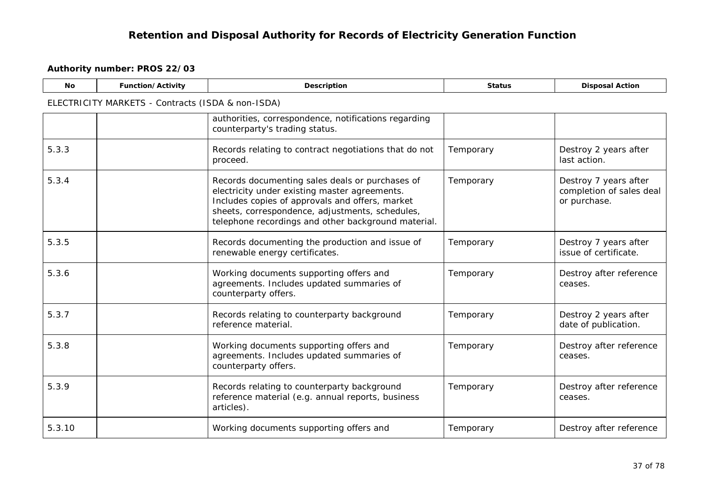| <b>No</b> | Function/Activity                                 | Description                                                                                                                                                                                                                                                   | <b>Status</b> | <b>Disposal Action</b>                                            |
|-----------|---------------------------------------------------|---------------------------------------------------------------------------------------------------------------------------------------------------------------------------------------------------------------------------------------------------------------|---------------|-------------------------------------------------------------------|
|           | ELECTRICITY MARKETS - Contracts (ISDA & non-ISDA) |                                                                                                                                                                                                                                                               |               |                                                                   |
|           |                                                   | authorities, correspondence, notifications regarding<br>counterparty's trading status.                                                                                                                                                                        |               |                                                                   |
| 5.3.3     |                                                   | Records relating to contract negotiations that do not<br>proceed.                                                                                                                                                                                             | Temporary     | Destroy 2 years after<br>last action.                             |
| 5.3.4     |                                                   | Records documenting sales deals or purchases of<br>electricity under existing master agreements.<br>Includes copies of approvals and offers, market<br>sheets, correspondence, adjustments, schedules,<br>telephone recordings and other background material. | Temporary     | Destroy 7 years after<br>completion of sales deal<br>or purchase. |
| 5.3.5     |                                                   | Records documenting the production and issue of<br>renewable energy certificates.                                                                                                                                                                             | Temporary     | Destroy 7 years after<br>issue of certificate.                    |
| 5.3.6     |                                                   | Working documents supporting offers and<br>agreements. Includes updated summaries of<br>counterparty offers.                                                                                                                                                  | Temporary     | Destroy after reference<br>ceases.                                |
| 5.3.7     |                                                   | Records relating to counterparty background<br>reference material.                                                                                                                                                                                            | Temporary     | Destroy 2 years after<br>date of publication.                     |
| 5.3.8     |                                                   | Working documents supporting offers and<br>agreements. Includes updated summaries of<br>counterparty offers.                                                                                                                                                  | Temporary     | Destroy after reference<br>ceases.                                |
| 5.3.9     |                                                   | Records relating to counterparty background<br>reference material (e.g. annual reports, business<br>articles).                                                                                                                                                | Temporary     | Destroy after reference<br>ceases.                                |
| 5.3.10    |                                                   | Working documents supporting offers and                                                                                                                                                                                                                       | Temporary     | Destroy after reference                                           |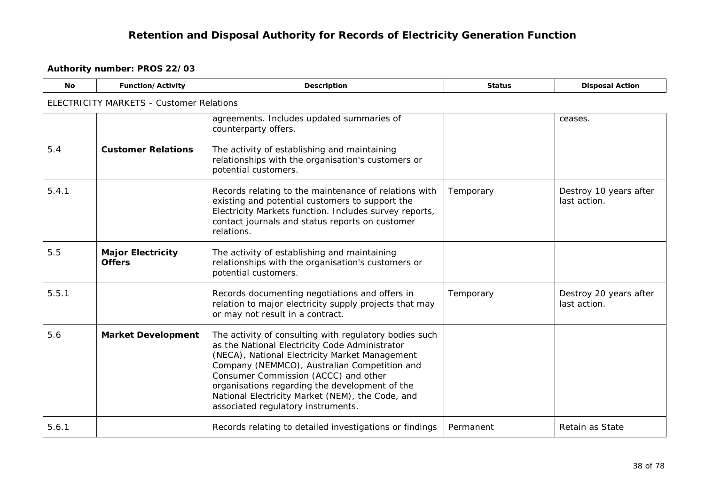| <b>No</b> | Function/Activity                               | Description                                                                                                                                                                                                                                                                                                                                                                                    | <b>Status</b> | <b>Disposal Action</b>                 |
|-----------|-------------------------------------------------|------------------------------------------------------------------------------------------------------------------------------------------------------------------------------------------------------------------------------------------------------------------------------------------------------------------------------------------------------------------------------------------------|---------------|----------------------------------------|
|           | <b>ELECTRICITY MARKETS - Customer Relations</b> |                                                                                                                                                                                                                                                                                                                                                                                                |               |                                        |
|           |                                                 | agreements. Includes updated summaries of<br>counterparty offers.                                                                                                                                                                                                                                                                                                                              |               | ceases.                                |
| 5.4       | <b>Customer Relations</b>                       | The activity of establishing and maintaining<br>relationships with the organisation's customers or<br>potential customers.                                                                                                                                                                                                                                                                     |               |                                        |
| 5.4.1     |                                                 | Records relating to the maintenance of relations with<br>existing and potential customers to support the<br>Electricity Markets function. Includes survey reports,<br>contact journals and status reports on customer<br>relations.                                                                                                                                                            | Temporary     | Destroy 10 years after<br>last action. |
| 5.5       | <b>Major Electricity</b><br><b>Offers</b>       | The activity of establishing and maintaining<br>relationships with the organisation's customers or<br>potential customers.                                                                                                                                                                                                                                                                     |               |                                        |
| 5.5.1     |                                                 | Records documenting negotiations and offers in<br>relation to major electricity supply projects that may<br>or may not result in a contract.                                                                                                                                                                                                                                                   | Temporary     | Destroy 20 years after<br>last action. |
| 5.6       | <b>Market Development</b>                       | The activity of consulting with regulatory bodies such<br>as the National Electricity Code Administrator<br>(NECA), National Electricity Market Management<br>Company (NEMMCO), Australian Competition and<br>Consumer Commission (ACCC) and other<br>organisations regarding the development of the<br>National Electricity Market (NEM), the Code, and<br>associated regulatory instruments. |               |                                        |
| 5.6.1     |                                                 | Records relating to detailed investigations or findings                                                                                                                                                                                                                                                                                                                                        | Permanent     | Retain as State                        |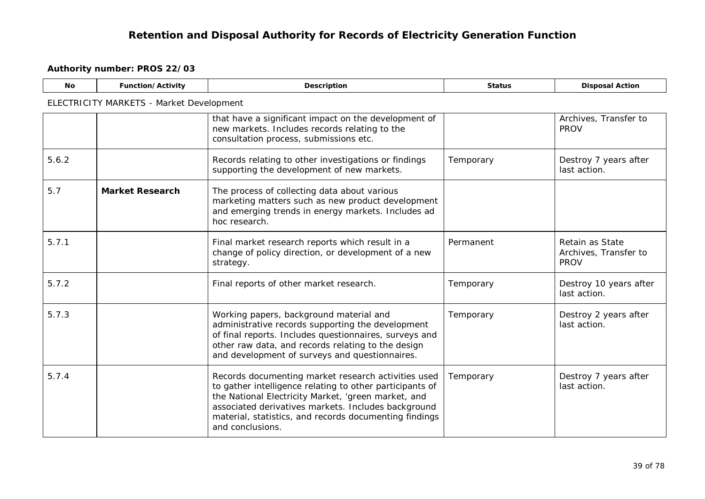| <b>No</b> | Function/Activity                        | Description                                                                                                                                                                                                                                                                                                 | <b>Status</b> | <b>Disposal Action</b>                                  |  |  |  |
|-----------|------------------------------------------|-------------------------------------------------------------------------------------------------------------------------------------------------------------------------------------------------------------------------------------------------------------------------------------------------------------|---------------|---------------------------------------------------------|--|--|--|
|           | ELECTRICITY MARKETS - Market Development |                                                                                                                                                                                                                                                                                                             |               |                                                         |  |  |  |
|           |                                          | that have a significant impact on the development of<br>new markets. Includes records relating to the<br>consultation process, submissions etc.                                                                                                                                                             |               | Archives, Transfer to<br><b>PROV</b>                    |  |  |  |
| 5.6.2     |                                          | Records relating to other investigations or findings<br>supporting the development of new markets.                                                                                                                                                                                                          | Temporary     | Destroy 7 years after<br>last action.                   |  |  |  |
| 5.7       | <b>Market Research</b>                   | The process of collecting data about various<br>marketing matters such as new product development<br>and emerging trends in energy markets. Includes ad<br>hoc research.                                                                                                                                    |               |                                                         |  |  |  |
| 5.7.1     |                                          | Final market research reports which result in a<br>change of policy direction, or development of a new<br>strategy.                                                                                                                                                                                         | Permanent     | Retain as State<br>Archives, Transfer to<br><b>PROV</b> |  |  |  |
| 5.7.2     |                                          | Final reports of other market research.                                                                                                                                                                                                                                                                     | Temporary     | Destroy 10 years after<br>last action.                  |  |  |  |
| 5.7.3     |                                          | Working papers, background material and<br>administrative records supporting the development<br>of final reports. Includes questionnaires, surveys and<br>other raw data, and records relating to the design<br>and development of surveys and questionnaires.                                              | Temporary     | Destroy 2 years after<br>last action.                   |  |  |  |
| 5.7.4     |                                          | Records documenting market research activities used<br>to gather intelligence relating to other participants of<br>the National Electricity Market, 'green market, and<br>associated derivatives markets. Includes background<br>material, statistics, and records documenting findings<br>and conclusions. | Temporary     | Destroy 7 years after<br>last action.                   |  |  |  |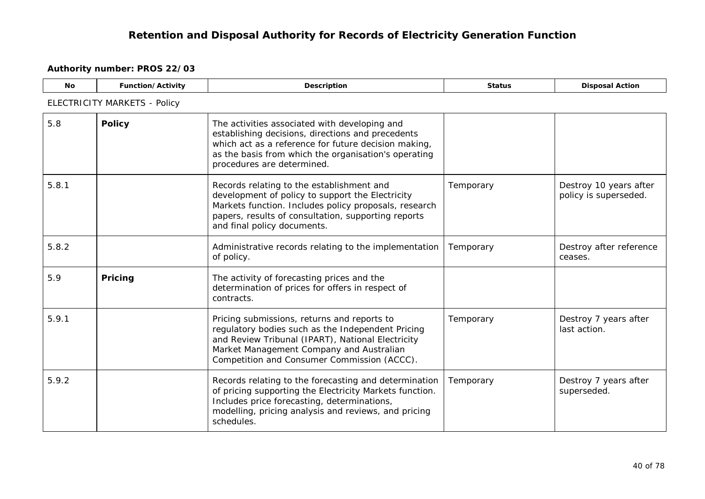| <b>No</b> | Function/Activity            | Description                                                                                                                                                                                                                                      | <b>Status</b> | <b>Disposal Action</b>                          |  |  |  |
|-----------|------------------------------|--------------------------------------------------------------------------------------------------------------------------------------------------------------------------------------------------------------------------------------------------|---------------|-------------------------------------------------|--|--|--|
|           | ELECTRICITY MARKETS - Policy |                                                                                                                                                                                                                                                  |               |                                                 |  |  |  |
| 5.8       | <b>Policy</b>                | The activities associated with developing and<br>establishing decisions, directions and precedents<br>which act as a reference for future decision making,<br>as the basis from which the organisation's operating<br>procedures are determined. |               |                                                 |  |  |  |
| 5.8.1     |                              | Records relating to the establishment and<br>development of policy to support the Electricity<br>Markets function. Includes policy proposals, research<br>papers, results of consultation, supporting reports<br>and final policy documents.     | Temporary     | Destroy 10 years after<br>policy is superseded. |  |  |  |
| 5.8.2     |                              | Administrative records relating to the implementation<br>of policy.                                                                                                                                                                              | Temporary     | Destroy after reference<br>ceases.              |  |  |  |
| 5.9       | Pricing                      | The activity of forecasting prices and the<br>determination of prices for offers in respect of<br>contracts.                                                                                                                                     |               |                                                 |  |  |  |
| 5.9.1     |                              | Pricing submissions, returns and reports to<br>regulatory bodies such as the Independent Pricing<br>and Review Tribunal (IPART), National Electricity<br>Market Management Company and Australian<br>Competition and Consumer Commission (ACCC). | Temporary     | Destroy 7 years after<br>last action.           |  |  |  |
| 5.9.2     |                              | Records relating to the forecasting and determination<br>of pricing supporting the Electricity Markets function.<br>Includes price forecasting, determinations,<br>modelling, pricing analysis and reviews, and pricing<br>schedules.            | Temporary     | Destroy 7 years after<br>superseded.            |  |  |  |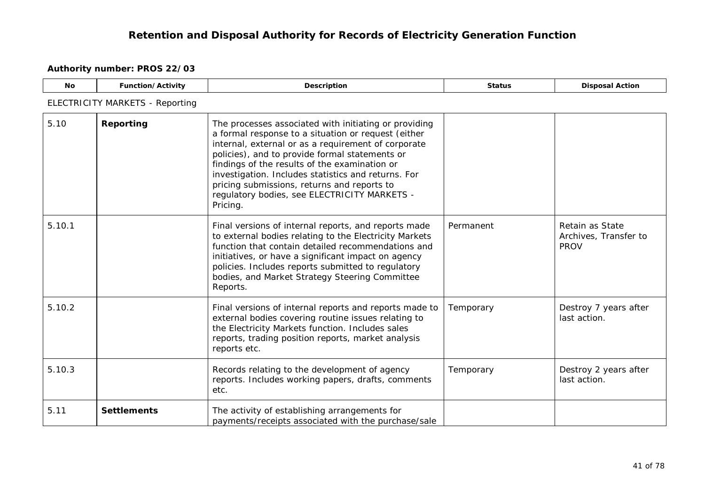| <b>No</b> | Function/Activity               | Description                                                                                                                                                                                                                                                                                                                                                                                                                              | <b>Status</b> | <b>Disposal Action</b>                                  |  |  |  |
|-----------|---------------------------------|------------------------------------------------------------------------------------------------------------------------------------------------------------------------------------------------------------------------------------------------------------------------------------------------------------------------------------------------------------------------------------------------------------------------------------------|---------------|---------------------------------------------------------|--|--|--|
|           | ELECTRICITY MARKETS - Reporting |                                                                                                                                                                                                                                                                                                                                                                                                                                          |               |                                                         |  |  |  |
| 5.10      | Reporting                       | The processes associated with initiating or providing<br>a formal response to a situation or request (either<br>internal, external or as a requirement of corporate<br>policies), and to provide formal statements or<br>findings of the results of the examination or<br>investigation. Includes statistics and returns. For<br>pricing submissions, returns and reports to<br>regulatory bodies, see ELECTRICITY MARKETS -<br>Pricing. |               |                                                         |  |  |  |
| 5.10.1    |                                 | Final versions of internal reports, and reports made<br>to external bodies relating to the Electricity Markets<br>function that contain detailed recommendations and<br>initiatives, or have a significant impact on agency<br>policies. Includes reports submitted to regulatory<br>bodies, and Market Strategy Steering Committee<br>Reports.                                                                                          | Permanent     | Retain as State<br>Archives, Transfer to<br><b>PROV</b> |  |  |  |
| 5.10.2    |                                 | Final versions of internal reports and reports made to<br>external bodies covering routine issues relating to<br>the Electricity Markets function. Includes sales<br>reports, trading position reports, market analysis<br>reports etc.                                                                                                                                                                                                  | Temporary     | Destroy 7 years after<br>last action.                   |  |  |  |
| 5.10.3    |                                 | Records relating to the development of agency<br>reports. Includes working papers, drafts, comments<br>etc.                                                                                                                                                                                                                                                                                                                              | Temporary     | Destroy 2 years after<br>last action.                   |  |  |  |
| 5.11      | <b>Settlements</b>              | The activity of establishing arrangements for<br>payments/receipts associated with the purchase/sale                                                                                                                                                                                                                                                                                                                                     |               |                                                         |  |  |  |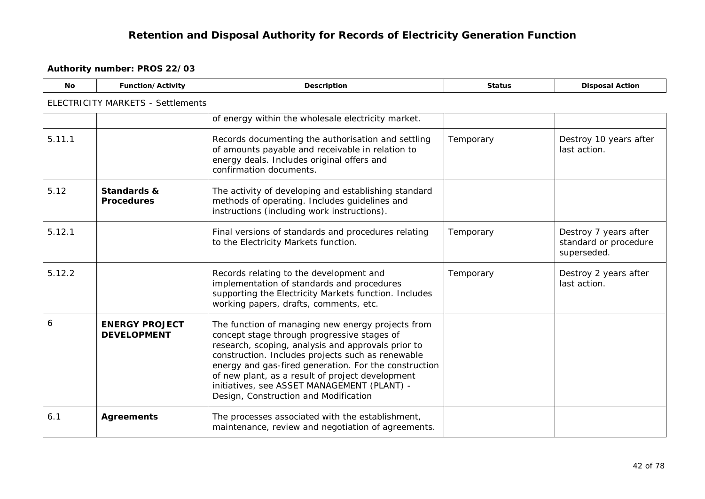| No.    | Function/Activity                           | Description                                                                                                                                                                                                                                                                                                                                                                                                      | <b>Status</b> | <b>Disposal Action</b>                                        |  |  |
|--------|---------------------------------------------|------------------------------------------------------------------------------------------------------------------------------------------------------------------------------------------------------------------------------------------------------------------------------------------------------------------------------------------------------------------------------------------------------------------|---------------|---------------------------------------------------------------|--|--|
|        | <b>ELECTRICITY MARKETS - Settlements</b>    |                                                                                                                                                                                                                                                                                                                                                                                                                  |               |                                                               |  |  |
|        |                                             | of energy within the wholesale electricity market.                                                                                                                                                                                                                                                                                                                                                               |               |                                                               |  |  |
| 5.11.1 |                                             | Records documenting the authorisation and settling<br>of amounts payable and receivable in relation to<br>energy deals. Includes original offers and<br>confirmation documents.                                                                                                                                                                                                                                  | Temporary     | Destroy 10 years after<br>last action.                        |  |  |
| 5.12   | Standards &<br><b>Procedures</b>            | The activity of developing and establishing standard<br>methods of operating. Includes guidelines and<br>instructions (including work instructions).                                                                                                                                                                                                                                                             |               |                                                               |  |  |
| 5.12.1 |                                             | Final versions of standards and procedures relating<br>to the Electricity Markets function.                                                                                                                                                                                                                                                                                                                      | Temporary     | Destroy 7 years after<br>standard or procedure<br>superseded. |  |  |
| 5.12.2 |                                             | Records relating to the development and<br>implementation of standards and procedures<br>supporting the Electricity Markets function. Includes<br>working papers, drafts, comments, etc.                                                                                                                                                                                                                         | Temporary     | Destroy 2 years after<br>last action.                         |  |  |
| 6      | <b>ENERGY PROJECT</b><br><b>DEVELOPMENT</b> | The function of managing new energy projects from<br>concept stage through progressive stages of<br>research, scoping, analysis and approvals prior to<br>construction. Includes projects such as renewable<br>energy and gas-fired generation. For the construction<br>of new plant, as a result of project development<br>initiatives, see ASSET MANAGEMENT (PLANT) -<br>Design, Construction and Modification |               |                                                               |  |  |
| 6.1    | <b>Agreements</b>                           | The processes associated with the establishment,<br>maintenance, review and negotiation of agreements.                                                                                                                                                                                                                                                                                                           |               |                                                               |  |  |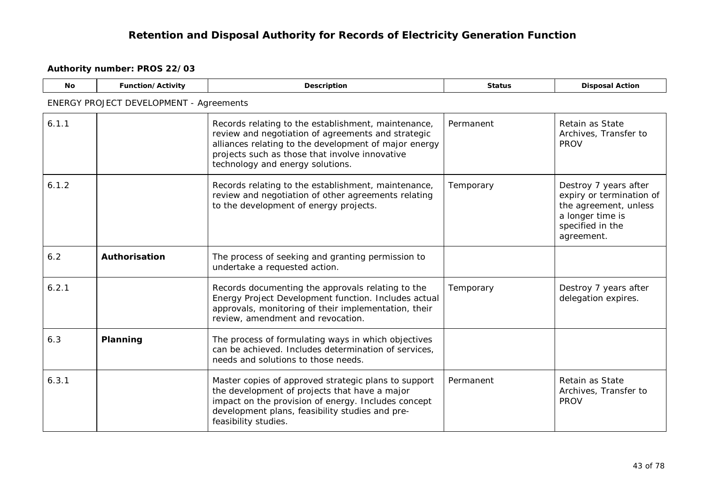| No.   | <b>Function/Activity</b>                       | Description                                                                                                                                                                                                                                              | <b>Status</b> | <b>Disposal Action</b>                                                                                                           |  |  |  |
|-------|------------------------------------------------|----------------------------------------------------------------------------------------------------------------------------------------------------------------------------------------------------------------------------------------------------------|---------------|----------------------------------------------------------------------------------------------------------------------------------|--|--|--|
|       | <b>ENERGY PROJECT DEVELOPMENT - Agreements</b> |                                                                                                                                                                                                                                                          |               |                                                                                                                                  |  |  |  |
| 6.1.1 |                                                | Records relating to the establishment, maintenance,<br>review and negotiation of agreements and strategic<br>alliances relating to the development of major energy<br>projects such as those that involve innovative<br>technology and energy solutions. | Permanent     | Retain as State<br>Archives, Transfer to<br><b>PROV</b>                                                                          |  |  |  |
| 6.1.2 |                                                | Records relating to the establishment, maintenance,<br>review and negotiation of other agreements relating<br>to the development of energy projects.                                                                                                     | Temporary     | Destroy 7 years after<br>expiry or termination of<br>the agreement, unless<br>a longer time is<br>specified in the<br>agreement. |  |  |  |
| 6.2   | Authorisation                                  | The process of seeking and granting permission to<br>undertake a requested action.                                                                                                                                                                       |               |                                                                                                                                  |  |  |  |
| 6.2.1 |                                                | Records documenting the approvals relating to the<br>Energy Project Development function. Includes actual<br>approvals, monitoring of their implementation, their<br>review, amendment and revocation.                                                   | Temporary     | Destroy 7 years after<br>delegation expires.                                                                                     |  |  |  |
| 6.3   | Planning                                       | The process of formulating ways in which objectives<br>can be achieved. Includes determination of services,<br>needs and solutions to those needs.                                                                                                       |               |                                                                                                                                  |  |  |  |
| 6.3.1 |                                                | Master copies of approved strategic plans to support<br>the development of projects that have a major<br>impact on the provision of energy. Includes concept<br>development plans, feasibility studies and pre-<br>feasibility studies.                  | Permanent     | Retain as State<br>Archives, Transfer to<br><b>PROV</b>                                                                          |  |  |  |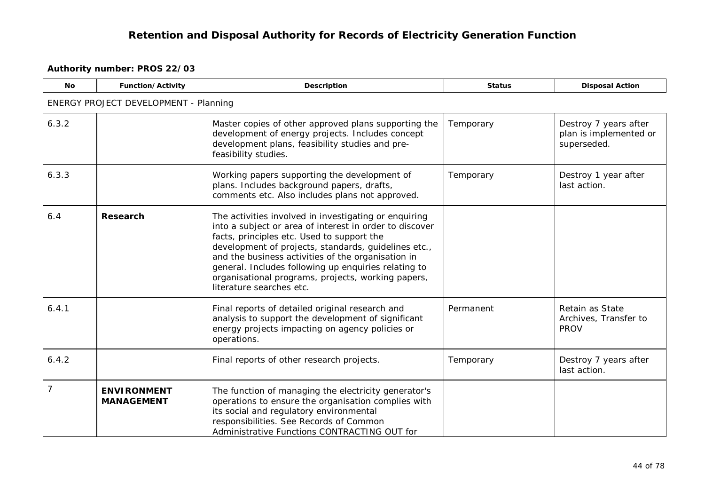| <b>No</b>      | Function/Activity                            | Description                                                                                                                                                                                                                                                                                                                                                                                                            | <b>Status</b> | <b>Disposal Action</b>                                         |
|----------------|----------------------------------------------|------------------------------------------------------------------------------------------------------------------------------------------------------------------------------------------------------------------------------------------------------------------------------------------------------------------------------------------------------------------------------------------------------------------------|---------------|----------------------------------------------------------------|
|                | <b>ENERGY PROJECT DEVELOPMENT - Planning</b> |                                                                                                                                                                                                                                                                                                                                                                                                                        |               |                                                                |
| 6.3.2          |                                              | Master copies of other approved plans supporting the<br>development of energy projects. Includes concept<br>development plans, feasibility studies and pre-<br>feasibility studies.                                                                                                                                                                                                                                    | Temporary     | Destroy 7 years after<br>plan is implemented or<br>superseded. |
| 6.3.3          |                                              | Working papers supporting the development of<br>plans. Includes background papers, drafts,<br>comments etc. Also includes plans not approved.                                                                                                                                                                                                                                                                          | Temporary     | Destroy 1 year after<br>last action.                           |
| 6.4            | <b>Research</b>                              | The activities involved in investigating or enquiring<br>into a subject or area of interest in order to discover<br>facts, principles etc. Used to support the<br>development of projects, standards, guidelines etc.,<br>and the business activities of the organisation in<br>general. Includes following up enquiries relating to<br>organisational programs, projects, working papers,<br>literature searches etc. |               |                                                                |
| 6.4.1          |                                              | Final reports of detailed original research and<br>analysis to support the development of significant<br>energy projects impacting on agency policies or<br>operations.                                                                                                                                                                                                                                                | Permanent     | Retain as State<br>Archives, Transfer to<br><b>PROV</b>        |
| 6.4.2          |                                              | Final reports of other research projects.                                                                                                                                                                                                                                                                                                                                                                              | Temporary     | Destroy 7 years after<br>last action.                          |
| $\overline{7}$ | <b>ENVIRONMENT</b><br><b>MANAGEMENT</b>      | The function of managing the electricity generator's<br>operations to ensure the organisation complies with<br>its social and regulatory environmental<br>responsibilities. See Records of Common<br>Administrative Functions CONTRACTING OUT for                                                                                                                                                                      |               |                                                                |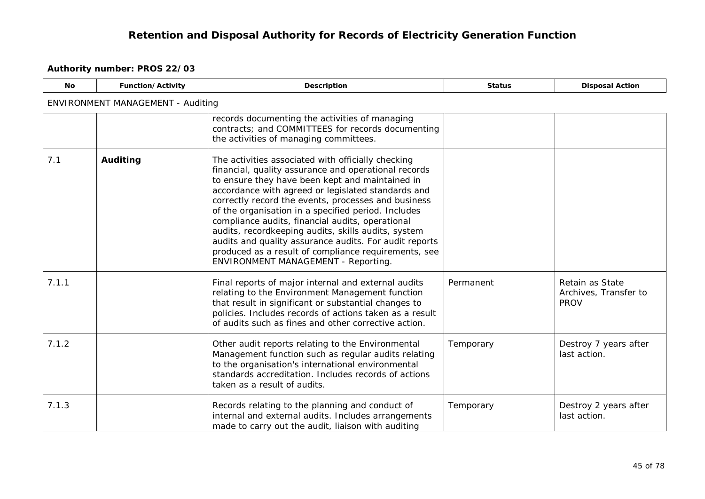| <b>No</b> | Function/Activity                 | Description                                                                                                                                                                                                                                                                                                                                                                                                                                                                                                                                                                                           | <b>Status</b> | <b>Disposal Action</b>                                  |  |  |  |
|-----------|-----------------------------------|-------------------------------------------------------------------------------------------------------------------------------------------------------------------------------------------------------------------------------------------------------------------------------------------------------------------------------------------------------------------------------------------------------------------------------------------------------------------------------------------------------------------------------------------------------------------------------------------------------|---------------|---------------------------------------------------------|--|--|--|
|           | ENVIRONMENT MANAGEMENT - Auditing |                                                                                                                                                                                                                                                                                                                                                                                                                                                                                                                                                                                                       |               |                                                         |  |  |  |
|           |                                   | records documenting the activities of managing<br>contracts; and COMMITTEES for records documenting<br>the activities of managing committees.                                                                                                                                                                                                                                                                                                                                                                                                                                                         |               |                                                         |  |  |  |
| 7.1       | Auditing                          | The activities associated with officially checking<br>financial, quality assurance and operational records<br>to ensure they have been kept and maintained in<br>accordance with agreed or legislated standards and<br>correctly record the events, processes and business<br>of the organisation in a specified period. Includes<br>compliance audits, financial audits, operational<br>audits, recordkeeping audits, skills audits, system<br>audits and quality assurance audits. For audit reports<br>produced as a result of compliance requirements, see<br>ENVIRONMENT MANAGEMENT - Reporting. |               |                                                         |  |  |  |
| 7.1.1     |                                   | Final reports of major internal and external audits<br>relating to the Environment Management function<br>that result in significant or substantial changes to<br>policies. Includes records of actions taken as a result<br>of audits such as fines and other corrective action.                                                                                                                                                                                                                                                                                                                     | Permanent     | Retain as State<br>Archives, Transfer to<br><b>PROV</b> |  |  |  |
| 7.1.2     |                                   | Other audit reports relating to the Environmental<br>Management function such as regular audits relating<br>to the organisation's international environmental<br>standards accreditation. Includes records of actions<br>taken as a result of audits.                                                                                                                                                                                                                                                                                                                                                 | Temporary     | Destroy 7 years after<br>last action.                   |  |  |  |
| 7.1.3     |                                   | Records relating to the planning and conduct of<br>internal and external audits. Includes arrangements<br>made to carry out the audit, liaison with auditing                                                                                                                                                                                                                                                                                                                                                                                                                                          | Temporary     | Destroy 2 years after<br>last action.                   |  |  |  |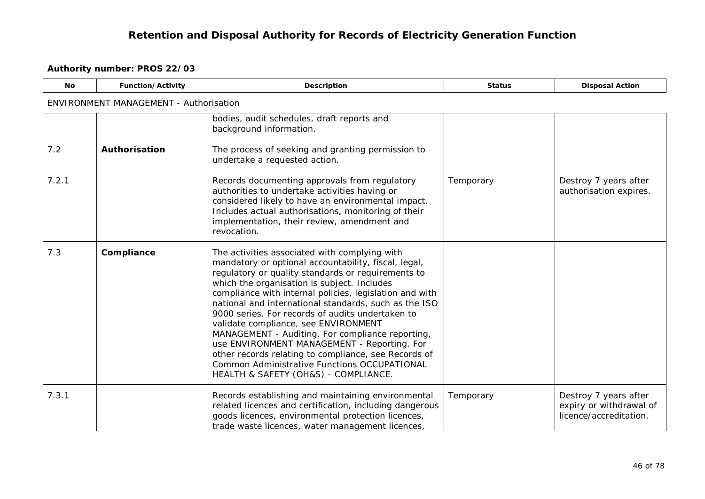| <b>No</b> | <b>Function/Activity</b>                      | <b>Description</b>                                                                                                                                                                                                                                                                                                                                                                                                                                                                                                                                                                                                                                                            | <b>Status</b> | <b>Disposal Action</b>                                                     |  |  |
|-----------|-----------------------------------------------|-------------------------------------------------------------------------------------------------------------------------------------------------------------------------------------------------------------------------------------------------------------------------------------------------------------------------------------------------------------------------------------------------------------------------------------------------------------------------------------------------------------------------------------------------------------------------------------------------------------------------------------------------------------------------------|---------------|----------------------------------------------------------------------------|--|--|
|           | <b>ENVIRONMENT MANAGEMENT - Authorisation</b> |                                                                                                                                                                                                                                                                                                                                                                                                                                                                                                                                                                                                                                                                               |               |                                                                            |  |  |
|           |                                               | bodies, audit schedules, draft reports and<br>background information.                                                                                                                                                                                                                                                                                                                                                                                                                                                                                                                                                                                                         |               |                                                                            |  |  |
| 7.2       | Authorisation                                 | The process of seeking and granting permission to<br>undertake a requested action.                                                                                                                                                                                                                                                                                                                                                                                                                                                                                                                                                                                            |               |                                                                            |  |  |
| 7.2.1     |                                               | Records documenting approvals from regulatory<br>authorities to undertake activities having or<br>considered likely to have an environmental impact.<br>Includes actual authorisations, monitoring of their<br>implementation, their review, amendment and<br>revocation.                                                                                                                                                                                                                                                                                                                                                                                                     | Temporary     | Destroy 7 years after<br>authorisation expires.                            |  |  |
| 7.3       | Compliance                                    | The activities associated with complying with<br>mandatory or optional accountability, fiscal, legal,<br>regulatory or quality standards or requirements to<br>which the organisation is subject. Includes<br>compliance with internal policies, legislation and with<br>national and international standards, such as the ISO<br>9000 series. For records of audits undertaken to<br>validate compliance, see ENVIRONMENT<br>MANAGEMENT - Auditing. For compliance reporting,<br>use ENVIRONMENT MANAGEMENT - Reporting. For<br>other records relating to compliance, see Records of<br>Common Administrative Functions OCCUPATIONAL<br>HEALTH & SAFETY (OH&S) - COMPLIANCE. |               |                                                                            |  |  |
| 7.3.1     |                                               | Records establishing and maintaining environmental<br>related licences and certification, including dangerous<br>goods licences, environmental protection licences,<br>trade waste licences, water management licences,                                                                                                                                                                                                                                                                                                                                                                                                                                                       | Temporary     | Destroy 7 years after<br>expiry or withdrawal of<br>licence/accreditation. |  |  |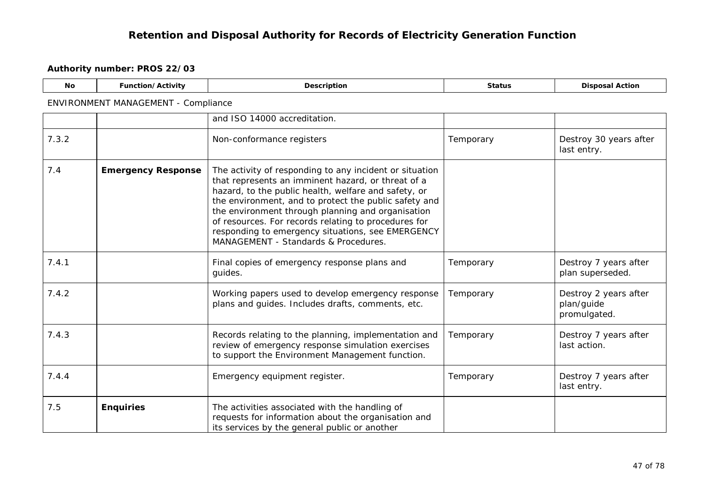| No.   | Function/Activity                   | <b>Description</b>                                                                                                                                                                                                                                                                                                                                                                                                                       | <b>Status</b> | <b>Disposal Action</b>                              |
|-------|-------------------------------------|------------------------------------------------------------------------------------------------------------------------------------------------------------------------------------------------------------------------------------------------------------------------------------------------------------------------------------------------------------------------------------------------------------------------------------------|---------------|-----------------------------------------------------|
|       | ENVIRONMENT MANAGEMENT - Compliance |                                                                                                                                                                                                                                                                                                                                                                                                                                          |               |                                                     |
|       |                                     | and ISO 14000 accreditation.                                                                                                                                                                                                                                                                                                                                                                                                             |               |                                                     |
| 7.3.2 |                                     | Non-conformance registers                                                                                                                                                                                                                                                                                                                                                                                                                | Temporary     | Destroy 30 years after<br>last entry.               |
| 7.4   | <b>Emergency Response</b>           | The activity of responding to any incident or situation<br>that represents an imminent hazard, or threat of a<br>hazard, to the public health, welfare and safety, or<br>the environment, and to protect the public safety and<br>the environment through planning and organisation<br>of resources. For records relating to procedures for<br>responding to emergency situations, see EMERGENCY<br>MANAGEMENT - Standards & Procedures. |               |                                                     |
| 7.4.1 |                                     | Final copies of emergency response plans and<br>guides.                                                                                                                                                                                                                                                                                                                                                                                  | Temporary     | Destroy 7 years after<br>plan superseded.           |
| 7.4.2 |                                     | Working papers used to develop emergency response<br>plans and guides. Includes drafts, comments, etc.                                                                                                                                                                                                                                                                                                                                   | Temporary     | Destroy 2 years after<br>plan/guide<br>promulgated. |
| 7.4.3 |                                     | Records relating to the planning, implementation and<br>review of emergency response simulation exercises<br>to support the Environment Management function.                                                                                                                                                                                                                                                                             | Temporary     | Destroy 7 years after<br>last action.               |
| 7.4.4 |                                     | Emergency equipment register.                                                                                                                                                                                                                                                                                                                                                                                                            | Temporary     | Destroy 7 years after<br>last entry.                |
| 7.5   | <b>Enquiries</b>                    | The activities associated with the handling of<br>requests for information about the organisation and<br>its services by the general public or another                                                                                                                                                                                                                                                                                   |               |                                                     |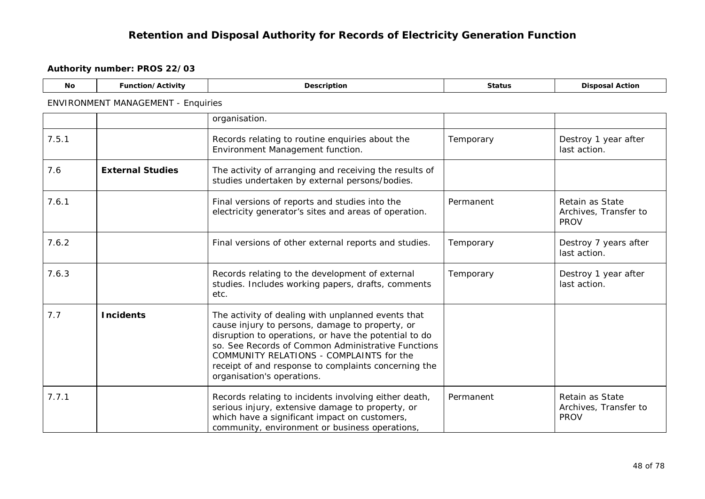| <b>No</b> | Function/Activity                         | Description                                                                                                                                                                                                                                                                                                                                            | <b>Status</b> | <b>Disposal Action</b>                                  |  |  |  |
|-----------|-------------------------------------------|--------------------------------------------------------------------------------------------------------------------------------------------------------------------------------------------------------------------------------------------------------------------------------------------------------------------------------------------------------|---------------|---------------------------------------------------------|--|--|--|
|           | <b>ENVIRONMENT MANAGEMENT - Enquiries</b> |                                                                                                                                                                                                                                                                                                                                                        |               |                                                         |  |  |  |
|           |                                           | organisation.                                                                                                                                                                                                                                                                                                                                          |               |                                                         |  |  |  |
| 7.5.1     |                                           | Records relating to routine enquiries about the<br>Environment Management function.                                                                                                                                                                                                                                                                    | Temporary     | Destroy 1 year after<br>last action.                    |  |  |  |
| 7.6       | <b>External Studies</b>                   | The activity of arranging and receiving the results of<br>studies undertaken by external persons/bodies.                                                                                                                                                                                                                                               |               |                                                         |  |  |  |
| 7.6.1     |                                           | Final versions of reports and studies into the<br>electricity generator's sites and areas of operation.                                                                                                                                                                                                                                                | Permanent     | Retain as State<br>Archives, Transfer to<br><b>PROV</b> |  |  |  |
| 7.6.2     |                                           | Final versions of other external reports and studies.                                                                                                                                                                                                                                                                                                  | Temporary     | Destroy 7 years after<br>last action.                   |  |  |  |
| 7.6.3     |                                           | Records relating to the development of external<br>studies. Includes working papers, drafts, comments<br>etc.                                                                                                                                                                                                                                          | Temporary     | Destroy 1 year after<br>last action.                    |  |  |  |
| 7.7       | <b>Incidents</b>                          | The activity of dealing with unplanned events that<br>cause injury to persons, damage to property, or<br>disruption to operations, or have the potential to do<br>so. See Records of Common Administrative Functions<br>COMMUNITY RELATIONS - COMPLAINTS for the<br>receipt of and response to complaints concerning the<br>organisation's operations. |               |                                                         |  |  |  |
| 7.7.1     |                                           | Records relating to incidents involving either death,<br>serious injury, extensive damage to property, or<br>which have a significant impact on customers,<br>community, environment or business operations,                                                                                                                                           | Permanent     | Retain as State<br>Archives, Transfer to<br><b>PROV</b> |  |  |  |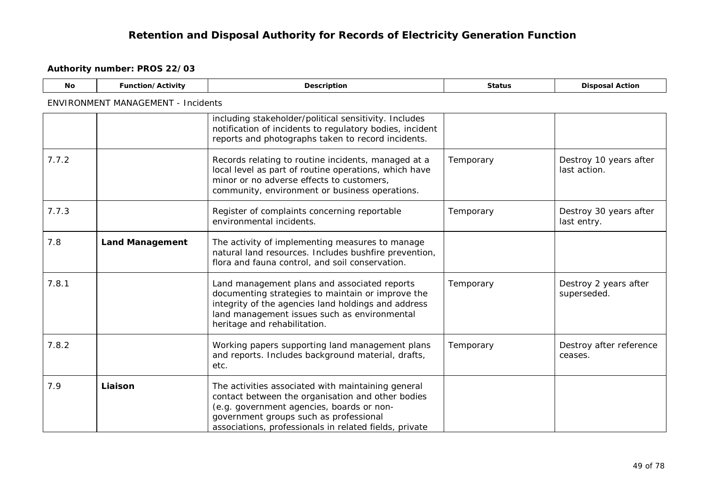| <b>No</b> | Function/Activity                         | <b>Description</b>                                                                                                                                                                                                                                       | <b>Status</b> | <b>Disposal Action</b>                 |  |  |
|-----------|-------------------------------------------|----------------------------------------------------------------------------------------------------------------------------------------------------------------------------------------------------------------------------------------------------------|---------------|----------------------------------------|--|--|
|           | <b>ENVIRONMENT MANAGEMENT - Incidents</b> |                                                                                                                                                                                                                                                          |               |                                        |  |  |
|           |                                           | including stakeholder/political sensitivity. Includes<br>notification of incidents to regulatory bodies, incident<br>reports and photographs taken to record incidents.                                                                                  |               |                                        |  |  |
| 7.7.2     |                                           | Records relating to routine incidents, managed at a<br>local level as part of routine operations, which have<br>minor or no adverse effects to customers,<br>community, environment or business operations.                                              | Temporary     | Destroy 10 years after<br>last action. |  |  |
| 7.7.3     |                                           | Register of complaints concerning reportable<br>environmental incidents.                                                                                                                                                                                 | Temporary     | Destroy 30 years after<br>last entry.  |  |  |
| 7.8       | <b>Land Management</b>                    | The activity of implementing measures to manage<br>natural land resources. Includes bushfire prevention,<br>flora and fauna control, and soil conservation.                                                                                              |               |                                        |  |  |
| 7.8.1     |                                           | Land management plans and associated reports<br>documenting strategies to maintain or improve the<br>integrity of the agencies land holdings and address<br>land management issues such as environmental<br>heritage and rehabilitation.                 | Temporary     | Destroy 2 years after<br>superseded.   |  |  |
| 7.8.2     |                                           | Working papers supporting land management plans<br>and reports. Includes background material, drafts,<br>etc.                                                                                                                                            | Temporary     | Destroy after reference<br>ceases.     |  |  |
| 7.9       | Liaison                                   | The activities associated with maintaining general<br>contact between the organisation and other bodies<br>(e.g. government agencies, boards or non-<br>government groups such as professional<br>associations, professionals in related fields, private |               |                                        |  |  |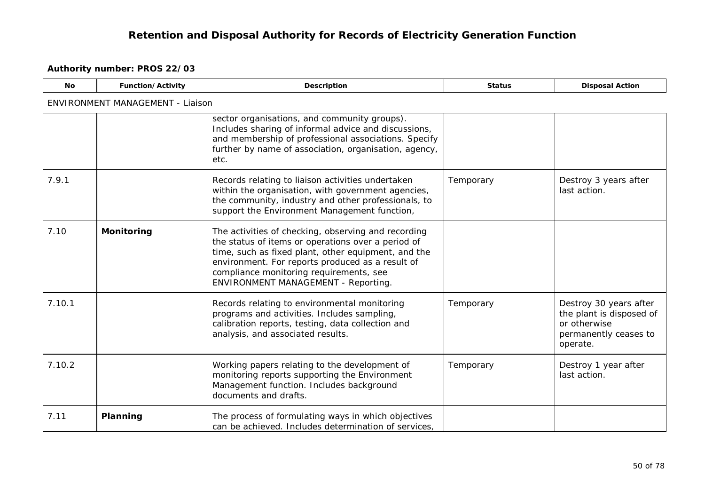| <b>No</b> | Function/Activity                | Description                                                                                                                                                                                                                                                                                            | <b>Status</b> | <b>Disposal Action</b>                                                                                  |  |  |  |
|-----------|----------------------------------|--------------------------------------------------------------------------------------------------------------------------------------------------------------------------------------------------------------------------------------------------------------------------------------------------------|---------------|---------------------------------------------------------------------------------------------------------|--|--|--|
|           | ENVIRONMENT MANAGEMENT - Liaison |                                                                                                                                                                                                                                                                                                        |               |                                                                                                         |  |  |  |
|           |                                  | sector organisations, and community groups).<br>Includes sharing of informal advice and discussions,<br>and membership of professional associations. Specify<br>further by name of association, organisation, agency,<br>etc.                                                                          |               |                                                                                                         |  |  |  |
| 7.9.1     |                                  | Records relating to liaison activities undertaken<br>within the organisation, with government agencies,<br>the community, industry and other professionals, to<br>support the Environment Management function,                                                                                         | Temporary     | Destroy 3 years after<br>last action.                                                                   |  |  |  |
| 7.10      | <b>Monitoring</b>                | The activities of checking, observing and recording<br>the status of items or operations over a period of<br>time, such as fixed plant, other equipment, and the<br>environment. For reports produced as a result of<br>compliance monitoring requirements, see<br>ENVIRONMENT MANAGEMENT - Reporting. |               |                                                                                                         |  |  |  |
| 7.10.1    |                                  | Records relating to environmental monitoring<br>programs and activities. Includes sampling,<br>calibration reports, testing, data collection and<br>analysis, and associated results.                                                                                                                  | Temporary     | Destroy 30 years after<br>the plant is disposed of<br>or otherwise<br>permanently ceases to<br>operate. |  |  |  |
| 7.10.2    |                                  | Working papers relating to the development of<br>monitoring reports supporting the Environment<br>Management function. Includes background<br>documents and drafts.                                                                                                                                    | Temporary     | Destroy 1 year after<br>last action.                                                                    |  |  |  |
| 7.11      | Planning                         | The process of formulating ways in which objectives<br>can be achieved. Includes determination of services,                                                                                                                                                                                            |               |                                                                                                         |  |  |  |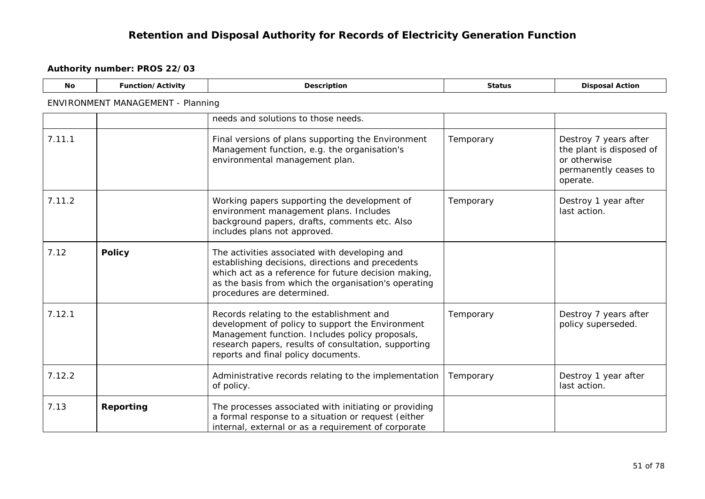| <b>No</b> | Function/Activity                 | Description                                                                                                                                                                                                                                      | <b>Status</b> | <b>Disposal Action</b>                                                                                 |  |  |
|-----------|-----------------------------------|--------------------------------------------------------------------------------------------------------------------------------------------------------------------------------------------------------------------------------------------------|---------------|--------------------------------------------------------------------------------------------------------|--|--|
|           | ENVIRONMENT MANAGEMENT - Planning |                                                                                                                                                                                                                                                  |               |                                                                                                        |  |  |
|           |                                   | needs and solutions to those needs.                                                                                                                                                                                                              |               |                                                                                                        |  |  |
| 7.11.1    |                                   | Final versions of plans supporting the Environment<br>Management function, e.g. the organisation's<br>environmental management plan.                                                                                                             | Temporary     | Destroy 7 years after<br>the plant is disposed of<br>or otherwise<br>permanently ceases to<br>operate. |  |  |
| 7.11.2    |                                   | Working papers supporting the development of<br>environment management plans. Includes<br>background papers, drafts, comments etc. Also<br>includes plans not approved.                                                                          | Temporary     | Destroy 1 year after<br>last action.                                                                   |  |  |
| 7.12      | <b>Policy</b>                     | The activities associated with developing and<br>establishing decisions, directions and precedents<br>which act as a reference for future decision making,<br>as the basis from which the organisation's operating<br>procedures are determined. |               |                                                                                                        |  |  |
| 7.12.1    |                                   | Records relating to the establishment and<br>development of policy to support the Environment<br>Management function. Includes policy proposals,<br>research papers, results of consultation, supporting<br>reports and final policy documents.  | Temporary     | Destroy 7 years after<br>policy superseded.                                                            |  |  |
| 7.12.2    |                                   | Administrative records relating to the implementation<br>of policy.                                                                                                                                                                              | Temporary     | Destroy 1 year after<br>last action.                                                                   |  |  |
| 7.13      | Reporting                         | The processes associated with initiating or providing<br>a formal response to a situation or request (either<br>internal, external or as a requirement of corporate                                                                              |               |                                                                                                        |  |  |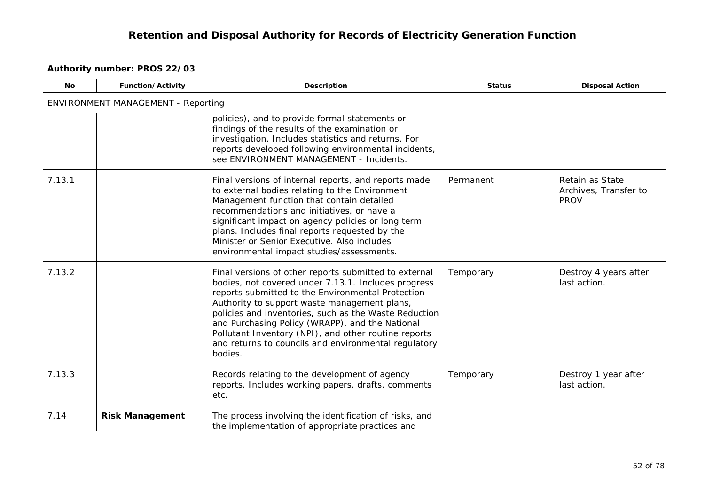| <b>No</b> | Function/Activity                         | <b>Description</b>                                                                                                                                                                                                                                                                                                                                                                                                                                       | <b>Status</b> | <b>Disposal Action</b>                                  |
|-----------|-------------------------------------------|----------------------------------------------------------------------------------------------------------------------------------------------------------------------------------------------------------------------------------------------------------------------------------------------------------------------------------------------------------------------------------------------------------------------------------------------------------|---------------|---------------------------------------------------------|
|           | <b>ENVIRONMENT MANAGEMENT - Reporting</b> |                                                                                                                                                                                                                                                                                                                                                                                                                                                          |               |                                                         |
|           |                                           | policies), and to provide formal statements or<br>findings of the results of the examination or<br>investigation. Includes statistics and returns. For<br>reports developed following environmental incidents,<br>see ENVIRONMENT MANAGEMENT - Incidents.                                                                                                                                                                                                |               |                                                         |
| 7.13.1    |                                           | Final versions of internal reports, and reports made<br>to external bodies relating to the Environment<br>Management function that contain detailed<br>recommendations and initiatives, or have a<br>significant impact on agency policies or long term<br>plans. Includes final reports requested by the<br>Minister or Senior Executive. Also includes<br>environmental impact studies/assessments.                                                    | Permanent     | Retain as State<br>Archives, Transfer to<br><b>PROV</b> |
| 7.13.2    |                                           | Final versions of other reports submitted to external<br>bodies, not covered under 7.13.1. Includes progress<br>reports submitted to the Environmental Protection<br>Authority to support waste management plans,<br>policies and inventories, such as the Waste Reduction<br>and Purchasing Policy (WRAPP), and the National<br>Pollutant Inventory (NPI), and other routine reports<br>and returns to councils and environmental regulatory<br>bodies. | Temporary     | Destroy 4 years after<br>last action.                   |
| 7.13.3    |                                           | Records relating to the development of agency<br>reports. Includes working papers, drafts, comments<br>etc.                                                                                                                                                                                                                                                                                                                                              | Temporary     | Destroy 1 year after<br>last action.                    |
| 7.14      | <b>Risk Management</b>                    | The process involving the identification of risks, and<br>the implementation of appropriate practices and                                                                                                                                                                                                                                                                                                                                                |               |                                                         |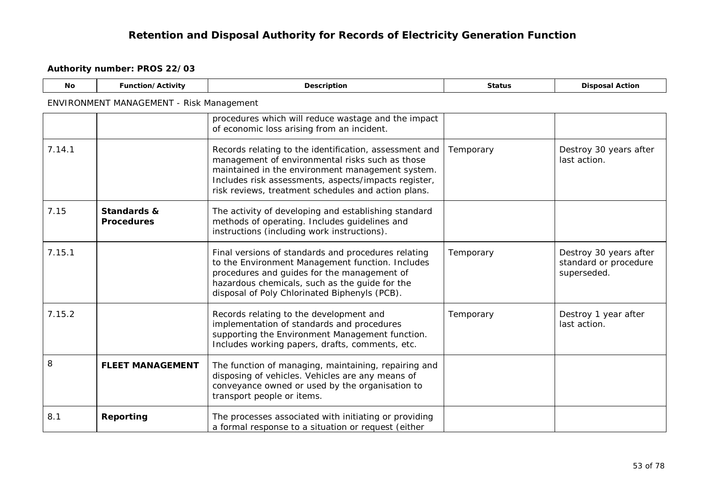| <b>No</b> | Function/Activity                        | Description                                                                                                                                                                                                                                                                  | <b>Status</b> | <b>Disposal Action</b>                                         |  |  |  |
|-----------|------------------------------------------|------------------------------------------------------------------------------------------------------------------------------------------------------------------------------------------------------------------------------------------------------------------------------|---------------|----------------------------------------------------------------|--|--|--|
|           | ENVIRONMENT MANAGEMENT - Risk Management |                                                                                                                                                                                                                                                                              |               |                                                                |  |  |  |
|           |                                          | procedures which will reduce wastage and the impact<br>of economic loss arising from an incident.                                                                                                                                                                            |               |                                                                |  |  |  |
| 7.14.1    |                                          | Records relating to the identification, assessment and<br>management of environmental risks such as those<br>maintained in the environment management system.<br>Includes risk assessments, aspects/impacts register,<br>risk reviews, treatment schedules and action plans. | Temporary     | Destroy 30 years after<br>last action.                         |  |  |  |
| 7.15      | Standards &<br><b>Procedures</b>         | The activity of developing and establishing standard<br>methods of operating. Includes guidelines and<br>instructions (including work instructions).                                                                                                                         |               |                                                                |  |  |  |
| 7.15.1    |                                          | Final versions of standards and procedures relating<br>to the Environment Management function. Includes<br>procedures and guides for the management of<br>hazardous chemicals, such as the guide for the<br>disposal of Poly Chlorinated Biphenyls (PCB).                    | Temporary     | Destroy 30 years after<br>standard or procedure<br>superseded. |  |  |  |
| 7.15.2    |                                          | Records relating to the development and<br>implementation of standards and procedures<br>supporting the Environment Management function.<br>Includes working papers, drafts, comments, etc.                                                                                  | Temporary     | Destroy 1 year after<br>last action.                           |  |  |  |
| 8         | <b>FLEET MANAGEMENT</b>                  | The function of managing, maintaining, repairing and<br>disposing of vehicles. Vehicles are any means of<br>conveyance owned or used by the organisation to<br>transport people or items.                                                                                    |               |                                                                |  |  |  |
| 8.1       | Reporting                                | The processes associated with initiating or providing<br>a formal response to a situation or request (either                                                                                                                                                                 |               |                                                                |  |  |  |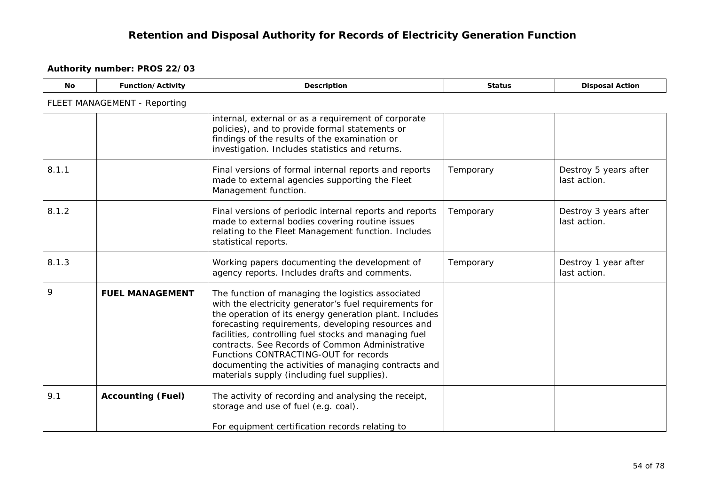| No.   | Function/Activity            | Description                                                                                                                                                                                                                                                                                                                                                                                                                                                                             | <b>Status</b> | <b>Disposal Action</b>                |
|-------|------------------------------|-----------------------------------------------------------------------------------------------------------------------------------------------------------------------------------------------------------------------------------------------------------------------------------------------------------------------------------------------------------------------------------------------------------------------------------------------------------------------------------------|---------------|---------------------------------------|
|       | FLEET MANAGEMENT - Reporting |                                                                                                                                                                                                                                                                                                                                                                                                                                                                                         |               |                                       |
|       |                              | internal, external or as a requirement of corporate<br>policies), and to provide formal statements or<br>findings of the results of the examination or<br>investigation. Includes statistics and returns.                                                                                                                                                                                                                                                                               |               |                                       |
| 8.1.1 |                              | Final versions of formal internal reports and reports<br>made to external agencies supporting the Fleet<br>Management function.                                                                                                                                                                                                                                                                                                                                                         | Temporary     | Destroy 5 years after<br>last action. |
| 8.1.2 |                              | Final versions of periodic internal reports and reports<br>made to external bodies covering routine issues<br>relating to the Fleet Management function. Includes<br>statistical reports.                                                                                                                                                                                                                                                                                               | Temporary     | Destroy 3 years after<br>last action. |
| 8.1.3 |                              | Working papers documenting the development of<br>agency reports. Includes drafts and comments.                                                                                                                                                                                                                                                                                                                                                                                          | Temporary     | Destroy 1 year after<br>last action.  |
| 9     | <b>FUEL MANAGEMENT</b>       | The function of managing the logistics associated<br>with the electricity generator's fuel requirements for<br>the operation of its energy generation plant. Includes<br>forecasting requirements, developing resources and<br>facilities, controlling fuel stocks and managing fuel<br>contracts. See Records of Common Administrative<br>Functions CONTRACTING-OUT for records<br>documenting the activities of managing contracts and<br>materials supply (including fuel supplies). |               |                                       |
| 9.1   | <b>Accounting (Fuel)</b>     | The activity of recording and analysing the receipt,<br>storage and use of fuel (e.g. coal).<br>For equipment certification records relating to                                                                                                                                                                                                                                                                                                                                         |               |                                       |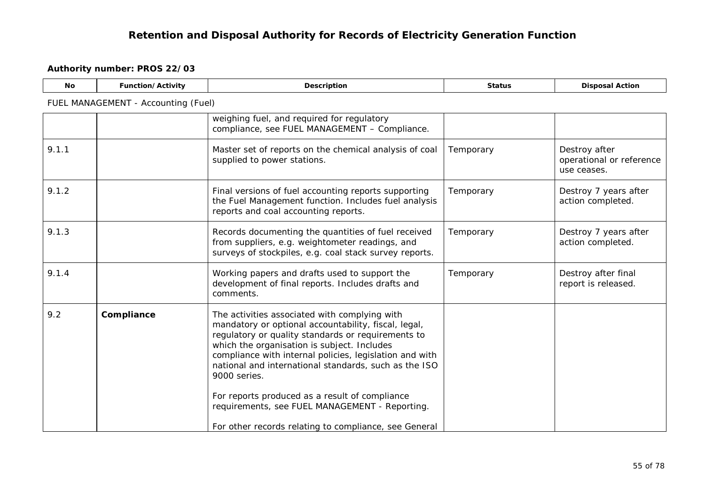| <b>No</b> | Function/Activity                   | Description                                                                                                                                                                                                                                                                                                                                                                                                                                                                                                 | <b>Status</b> | <b>Disposal Action</b>                                   |
|-----------|-------------------------------------|-------------------------------------------------------------------------------------------------------------------------------------------------------------------------------------------------------------------------------------------------------------------------------------------------------------------------------------------------------------------------------------------------------------------------------------------------------------------------------------------------------------|---------------|----------------------------------------------------------|
|           | FUEL MANAGEMENT - Accounting (Fuel) |                                                                                                                                                                                                                                                                                                                                                                                                                                                                                                             |               |                                                          |
|           |                                     | weighing fuel, and required for regulatory<br>compliance, see FUEL MANAGEMENT - Compliance.                                                                                                                                                                                                                                                                                                                                                                                                                 |               |                                                          |
| 9.1.1     |                                     | Master set of reports on the chemical analysis of coal<br>supplied to power stations.                                                                                                                                                                                                                                                                                                                                                                                                                       | Temporary     | Destroy after<br>operational or reference<br>use ceases. |
| 9.1.2     |                                     | Final versions of fuel accounting reports supporting<br>the Fuel Management function. Includes fuel analysis<br>reports and coal accounting reports.                                                                                                                                                                                                                                                                                                                                                        | Temporary     | Destroy 7 years after<br>action completed.               |
| 9.1.3     |                                     | Records documenting the quantities of fuel received<br>from suppliers, e.g. weightometer readings, and<br>surveys of stockpiles, e.g. coal stack survey reports.                                                                                                                                                                                                                                                                                                                                            | Temporary     | Destroy 7 years after<br>action completed.               |
| 9.1.4     |                                     | Working papers and drafts used to support the<br>development of final reports. Includes drafts and<br>comments.                                                                                                                                                                                                                                                                                                                                                                                             | Temporary     | Destroy after final<br>report is released.               |
| 9.2       | Compliance                          | The activities associated with complying with<br>mandatory or optional accountability, fiscal, legal,<br>regulatory or quality standards or requirements to<br>which the organisation is subject. Includes<br>compliance with internal policies, legislation and with<br>national and international standards, such as the ISO<br>9000 series.<br>For reports produced as a result of compliance<br>requirements, see FUEL MANAGEMENT - Reporting.<br>For other records relating to compliance, see General |               |                                                          |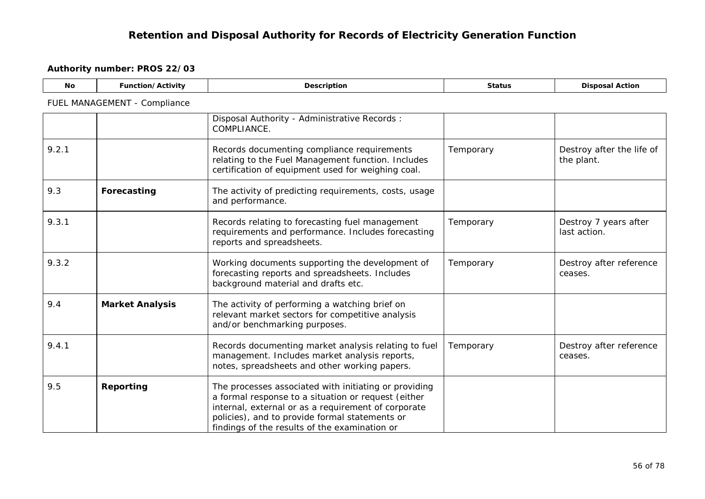| <b>No</b> | Function/Activity            | <b>Description</b>                                                                                                                                                                                                                                                     | <b>Status</b> | <b>Disposal Action</b>                  |  |  |  |
|-----------|------------------------------|------------------------------------------------------------------------------------------------------------------------------------------------------------------------------------------------------------------------------------------------------------------------|---------------|-----------------------------------------|--|--|--|
|           | FUEL MANAGEMENT - Compliance |                                                                                                                                                                                                                                                                        |               |                                         |  |  |  |
|           |                              | Disposal Authority - Administrative Records:<br>COMPLIANCE.                                                                                                                                                                                                            |               |                                         |  |  |  |
| 9.2.1     |                              | Records documenting compliance requirements<br>relating to the Fuel Management function. Includes<br>certification of equipment used for weighing coal.                                                                                                                | Temporary     | Destroy after the life of<br>the plant. |  |  |  |
| 9.3       | Forecasting                  | The activity of predicting requirements, costs, usage<br>and performance.                                                                                                                                                                                              |               |                                         |  |  |  |
| 9.3.1     |                              | Records relating to forecasting fuel management<br>requirements and performance. Includes forecasting<br>reports and spreadsheets.                                                                                                                                     | Temporary     | Destroy 7 years after<br>last action.   |  |  |  |
| 9.3.2     |                              | Working documents supporting the development of<br>forecasting reports and spreadsheets. Includes<br>background material and drafts etc.                                                                                                                               | Temporary     | Destroy after reference<br>ceases.      |  |  |  |
| 9.4       | <b>Market Analysis</b>       | The activity of performing a watching brief on<br>relevant market sectors for competitive analysis<br>and/or benchmarking purposes.                                                                                                                                    |               |                                         |  |  |  |
| 9.4.1     |                              | Records documenting market analysis relating to fuel<br>management. Includes market analysis reports,<br>notes, spreadsheets and other working papers.                                                                                                                 | Temporary     | Destroy after reference<br>ceases.      |  |  |  |
| 9.5       | Reporting                    | The processes associated with initiating or providing<br>a formal response to a situation or request (either<br>internal, external or as a requirement of corporate<br>policies), and to provide formal statements or<br>findings of the results of the examination or |               |                                         |  |  |  |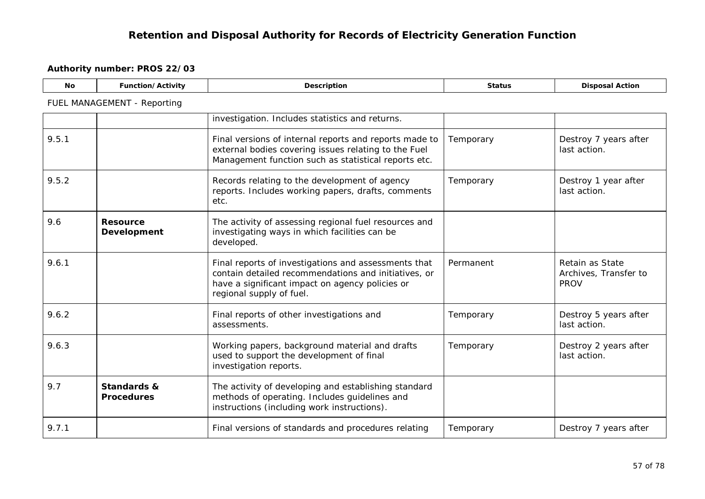| <b>No</b> | Function/Activity                           | Description                                                                                                                                                                                 | <b>Status</b> | <b>Disposal Action</b>                                  |  |  |  |
|-----------|---------------------------------------------|---------------------------------------------------------------------------------------------------------------------------------------------------------------------------------------------|---------------|---------------------------------------------------------|--|--|--|
|           | FUEL MANAGEMENT - Reporting                 |                                                                                                                                                                                             |               |                                                         |  |  |  |
|           |                                             | investigation. Includes statistics and returns.                                                                                                                                             |               |                                                         |  |  |  |
| 9.5.1     |                                             | Final versions of internal reports and reports made to<br>external bodies covering issues relating to the Fuel<br>Management function such as statistical reports etc.                      | Temporary     | Destroy 7 years after<br>last action.                   |  |  |  |
| 9.5.2     |                                             | Records relating to the development of agency<br>reports. Includes working papers, drafts, comments<br>etc.                                                                                 | Temporary     | Destroy 1 year after<br>last action.                    |  |  |  |
| 9.6       | <b>Resource</b><br>Development              | The activity of assessing regional fuel resources and<br>investigating ways in which facilities can be<br>developed.                                                                        |               |                                                         |  |  |  |
| 9.6.1     |                                             | Final reports of investigations and assessments that<br>contain detailed recommendations and initiatives, or<br>have a significant impact on agency policies or<br>regional supply of fuel. | Permanent     | Retain as State<br>Archives, Transfer to<br><b>PROV</b> |  |  |  |
| 9.6.2     |                                             | Final reports of other investigations and<br>assessments.                                                                                                                                   | Temporary     | Destroy 5 years after<br>last action.                   |  |  |  |
| 9.6.3     |                                             | Working papers, background material and drafts<br>used to support the development of final<br>investigation reports.                                                                        | Temporary     | Destroy 2 years after<br>last action.                   |  |  |  |
| 9.7       | <b>Standards &amp;</b><br><b>Procedures</b> | The activity of developing and establishing standard<br>methods of operating. Includes guidelines and<br>instructions (including work instructions).                                        |               |                                                         |  |  |  |
| 9.7.1     |                                             | Final versions of standards and procedures relating                                                                                                                                         | Temporary     | Destroy 7 years after                                   |  |  |  |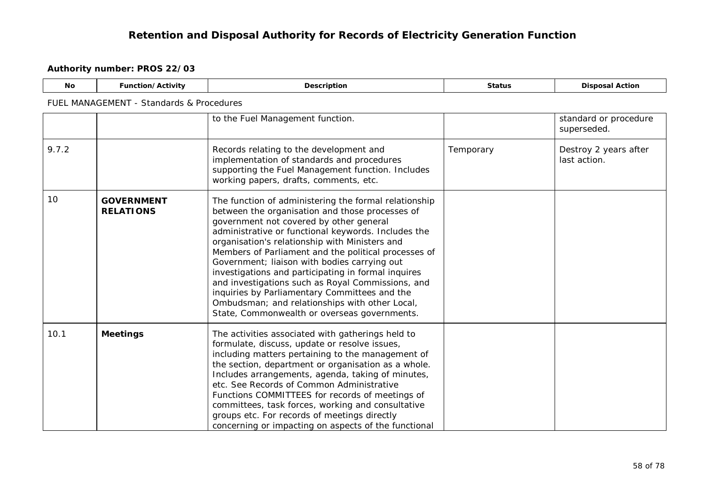| <b>No</b> | Function/Activity                        | <b>Description</b>                                                                                                                                                                                                                                                                                                                                                                                                                                                                                                                                                                                                                  | <b>Status</b> | <b>Disposal Action</b>                |  |  |  |
|-----------|------------------------------------------|-------------------------------------------------------------------------------------------------------------------------------------------------------------------------------------------------------------------------------------------------------------------------------------------------------------------------------------------------------------------------------------------------------------------------------------------------------------------------------------------------------------------------------------------------------------------------------------------------------------------------------------|---------------|---------------------------------------|--|--|--|
|           | FUEL MANAGEMENT - Standards & Procedures |                                                                                                                                                                                                                                                                                                                                                                                                                                                                                                                                                                                                                                     |               |                                       |  |  |  |
|           |                                          | to the Fuel Management function.                                                                                                                                                                                                                                                                                                                                                                                                                                                                                                                                                                                                    |               | standard or procedure<br>superseded.  |  |  |  |
| 9.7.2     |                                          | Records relating to the development and<br>implementation of standards and procedures<br>supporting the Fuel Management function. Includes<br>working papers, drafts, comments, etc.                                                                                                                                                                                                                                                                                                                                                                                                                                                | Temporary     | Destroy 2 years after<br>last action. |  |  |  |
| 10        | <b>GOVERNMENT</b><br><b>RELATIONS</b>    | The function of administering the formal relationship<br>between the organisation and those processes of<br>government not covered by other general<br>administrative or functional keywords. Includes the<br>organisation's relationship with Ministers and<br>Members of Parliament and the political processes of<br>Government; liaison with bodies carrying out<br>investigations and participating in formal inquires<br>and investigations such as Royal Commissions, and<br>inquiries by Parliamentary Committees and the<br>Ombudsman; and relationships with other Local,<br>State, Commonwealth or overseas governments. |               |                                       |  |  |  |
| 10.1      | <b>Meetings</b>                          | The activities associated with gatherings held to<br>formulate, discuss, update or resolve issues,<br>including matters pertaining to the management of<br>the section, department or organisation as a whole.<br>Includes arrangements, agenda, taking of minutes,<br>etc. See Records of Common Administrative<br>Functions COMMITTEES for records of meetings of<br>committees, task forces, working and consultative<br>groups etc. For records of meetings directly<br>concerning or impacting on aspects of the functional                                                                                                    |               |                                       |  |  |  |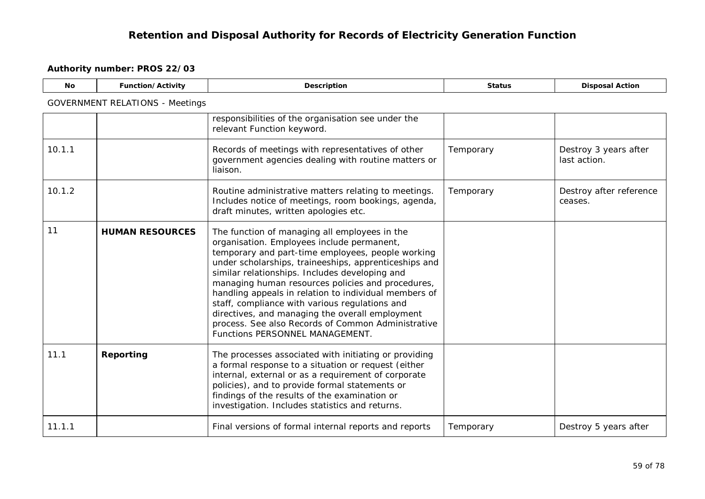| <b>No</b> | Function/Activity                      | Description                                                                                                                                                                                                                                                                                                                                                                                                                                                                                                                                                             | <b>Status</b> | <b>Disposal Action</b>                |  |  |  |
|-----------|----------------------------------------|-------------------------------------------------------------------------------------------------------------------------------------------------------------------------------------------------------------------------------------------------------------------------------------------------------------------------------------------------------------------------------------------------------------------------------------------------------------------------------------------------------------------------------------------------------------------------|---------------|---------------------------------------|--|--|--|
|           | <b>GOVERNMENT RELATIONS - Meetings</b> |                                                                                                                                                                                                                                                                                                                                                                                                                                                                                                                                                                         |               |                                       |  |  |  |
|           |                                        | responsibilities of the organisation see under the<br>relevant Function keyword.                                                                                                                                                                                                                                                                                                                                                                                                                                                                                        |               |                                       |  |  |  |
| 10.1.1    |                                        | Records of meetings with representatives of other<br>government agencies dealing with routine matters or<br>liaison.                                                                                                                                                                                                                                                                                                                                                                                                                                                    | Temporary     | Destroy 3 years after<br>last action. |  |  |  |
| 10.1.2    |                                        | Routine administrative matters relating to meetings.<br>Includes notice of meetings, room bookings, agenda,<br>draft minutes, written apologies etc.                                                                                                                                                                                                                                                                                                                                                                                                                    | Temporary     | Destroy after reference<br>ceases.    |  |  |  |
| 11        | <b>HUMAN RESOURCES</b>                 | The function of managing all employees in the<br>organisation. Employees include permanent,<br>temporary and part-time employees, people working<br>under scholarships, traineeships, apprenticeships and<br>similar relationships. Includes developing and<br>managing human resources policies and procedures,<br>handling appeals in relation to individual members of<br>staff, compliance with various regulations and<br>directives, and managing the overall employment<br>process. See also Records of Common Administrative<br>Functions PERSONNEL MANAGEMENT. |               |                                       |  |  |  |
| 11.1      | Reporting                              | The processes associated with initiating or providing<br>a formal response to a situation or request (either<br>internal, external or as a requirement of corporate<br>policies), and to provide formal statements or<br>findings of the results of the examination or<br>investigation. Includes statistics and returns.                                                                                                                                                                                                                                               |               |                                       |  |  |  |
| 11.1.1    |                                        | Final versions of formal internal reports and reports                                                                                                                                                                                                                                                                                                                                                                                                                                                                                                                   | Temporary     | Destroy 5 years after                 |  |  |  |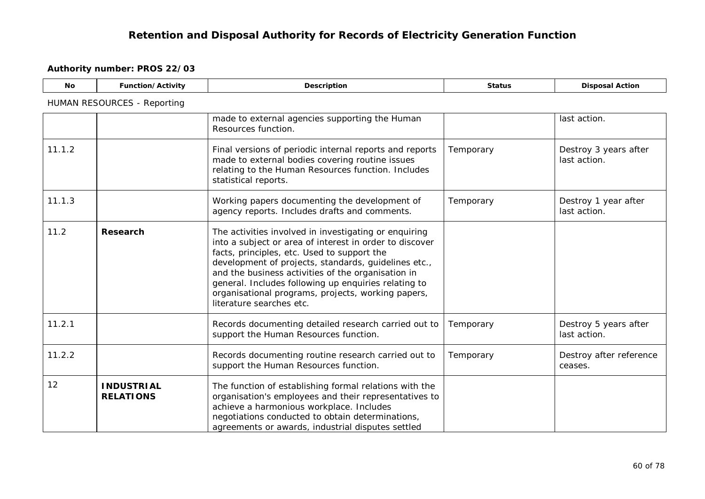| <b>No</b> | Function/Activity                     | Description                                                                                                                                                                                                                                                                                                                                                                                                             | <b>Status</b> | <b>Disposal Action</b>                |  |  |  |
|-----------|---------------------------------------|-------------------------------------------------------------------------------------------------------------------------------------------------------------------------------------------------------------------------------------------------------------------------------------------------------------------------------------------------------------------------------------------------------------------------|---------------|---------------------------------------|--|--|--|
|           | <b>HUMAN RESOURCES - Reporting</b>    |                                                                                                                                                                                                                                                                                                                                                                                                                         |               |                                       |  |  |  |
|           |                                       | made to external agencies supporting the Human<br>Resources function.                                                                                                                                                                                                                                                                                                                                                   |               | last action.                          |  |  |  |
| 11.1.2    |                                       | Final versions of periodic internal reports and reports<br>made to external bodies covering routine issues<br>relating to the Human Resources function. Includes<br>statistical reports.                                                                                                                                                                                                                                | Temporary     | Destroy 3 years after<br>last action. |  |  |  |
| 11.1.3    |                                       | Working papers documenting the development of<br>agency reports. Includes drafts and comments.                                                                                                                                                                                                                                                                                                                          | Temporary     | Destroy 1 year after<br>last action.  |  |  |  |
| 11.2      | Research                              | The activities involved in investigating or enquiring<br>into a subject or area of interest in order to discover<br>facts, principles, etc. Used to support the<br>development of projects, standards, guidelines etc.,<br>and the business activities of the organisation in<br>general. Includes following up enquiries relating to<br>organisational programs, projects, working papers,<br>literature searches etc. |               |                                       |  |  |  |
| 11.2.1    |                                       | Records documenting detailed research carried out to<br>support the Human Resources function.                                                                                                                                                                                                                                                                                                                           | Temporary     | Destroy 5 years after<br>last action. |  |  |  |
| 11.2.2    |                                       | Records documenting routine research carried out to<br>support the Human Resources function.                                                                                                                                                                                                                                                                                                                            | Temporary     | Destroy after reference<br>ceases.    |  |  |  |
| 12        | <b>INDUSTRIAL</b><br><b>RELATIONS</b> | The function of establishing formal relations with the<br>organisation's employees and their representatives to<br>achieve a harmonious workplace. Includes<br>negotiations conducted to obtain determinations,<br>agreements or awards, industrial disputes settled                                                                                                                                                    |               |                                       |  |  |  |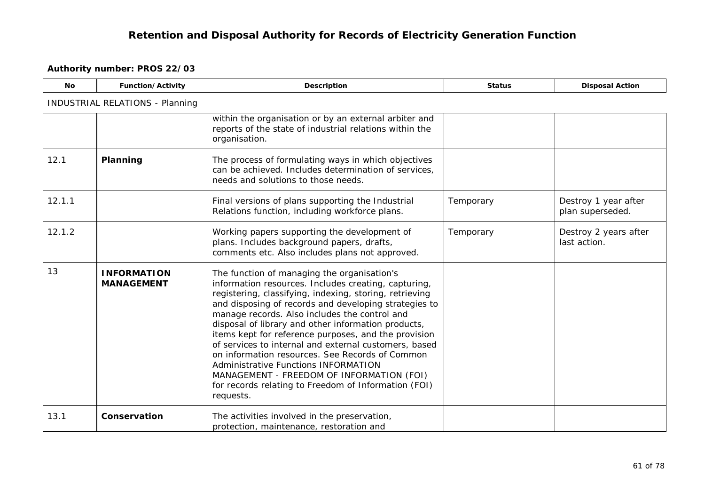| <b>No</b> | Function/Activity                       | Description                                                                                                                                                                                                                                                                                                                                                                                                                                                                                                                                                                                                                                                          | <b>Status</b> | <b>Disposal Action</b>                   |
|-----------|-----------------------------------------|----------------------------------------------------------------------------------------------------------------------------------------------------------------------------------------------------------------------------------------------------------------------------------------------------------------------------------------------------------------------------------------------------------------------------------------------------------------------------------------------------------------------------------------------------------------------------------------------------------------------------------------------------------------------|---------------|------------------------------------------|
|           | <b>INDUSTRIAL RELATIONS - Planning</b>  |                                                                                                                                                                                                                                                                                                                                                                                                                                                                                                                                                                                                                                                                      |               |                                          |
|           |                                         | within the organisation or by an external arbiter and<br>reports of the state of industrial relations within the<br>organisation.                                                                                                                                                                                                                                                                                                                                                                                                                                                                                                                                    |               |                                          |
| 12.1      | Planning                                | The process of formulating ways in which objectives<br>can be achieved. Includes determination of services,<br>needs and solutions to those needs.                                                                                                                                                                                                                                                                                                                                                                                                                                                                                                                   |               |                                          |
| 12.1.1    |                                         | Final versions of plans supporting the Industrial<br>Relations function, including workforce plans.                                                                                                                                                                                                                                                                                                                                                                                                                                                                                                                                                                  | Temporary     | Destroy 1 year after<br>plan superseded. |
| 12.1.2    |                                         | Working papers supporting the development of<br>plans. Includes background papers, drafts,<br>comments etc. Also includes plans not approved.                                                                                                                                                                                                                                                                                                                                                                                                                                                                                                                        | Temporary     | Destroy 2 years after<br>last action.    |
| 13        | <b>INFORMATION</b><br><b>MANAGEMENT</b> | The function of managing the organisation's<br>information resources. Includes creating, capturing,<br>registering, classifying, indexing, storing, retrieving<br>and disposing of records and developing strategies to<br>manage records. Also includes the control and<br>disposal of library and other information products,<br>items kept for reference purposes, and the provision<br>of services to internal and external customers, based<br>on information resources. See Records of Common<br><b>Administrative Functions INFORMATION</b><br>MANAGEMENT - FREEDOM OF INFORMATION (FOI)<br>for records relating to Freedom of Information (FOI)<br>requests. |               |                                          |
| 13.1      | Conservation                            | The activities involved in the preservation,<br>protection, maintenance, restoration and                                                                                                                                                                                                                                                                                                                                                                                                                                                                                                                                                                             |               |                                          |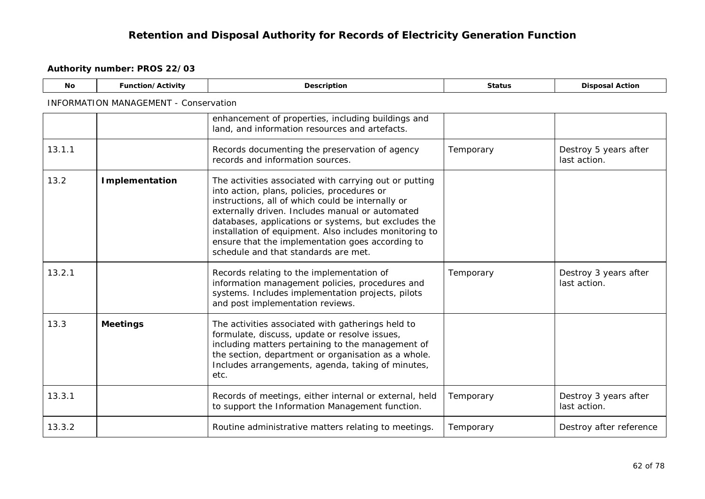| <b>No</b> | Function/Activity                            | Description                                                                                                                                                                                                                                                                                                                                                                                                                 | <b>Status</b> | <b>Disposal Action</b>                |
|-----------|----------------------------------------------|-----------------------------------------------------------------------------------------------------------------------------------------------------------------------------------------------------------------------------------------------------------------------------------------------------------------------------------------------------------------------------------------------------------------------------|---------------|---------------------------------------|
|           | <b>INFORMATION MANAGEMENT - Conservation</b> |                                                                                                                                                                                                                                                                                                                                                                                                                             |               |                                       |
|           |                                              | enhancement of properties, including buildings and<br>land, and information resources and artefacts.                                                                                                                                                                                                                                                                                                                        |               |                                       |
| 13.1.1    |                                              | Records documenting the preservation of agency<br>records and information sources.                                                                                                                                                                                                                                                                                                                                          | Temporary     | Destroy 5 years after<br>last action. |
| 13.2      | <b>Implementation</b>                        | The activities associated with carrying out or putting<br>into action, plans, policies, procedures or<br>instructions, all of which could be internally or<br>externally driven. Includes manual or automated<br>databases, applications or systems, but excludes the<br>installation of equipment. Also includes monitoring to<br>ensure that the implementation goes according to<br>schedule and that standards are met. |               |                                       |
| 13.2.1    |                                              | Records relating to the implementation of<br>information management policies, procedures and<br>systems. Includes implementation projects, pilots<br>and post implementation reviews.                                                                                                                                                                                                                                       | Temporary     | Destroy 3 years after<br>last action. |
| 13.3      | <b>Meetings</b>                              | The activities associated with gatherings held to<br>formulate, discuss, update or resolve issues,<br>including matters pertaining to the management of<br>the section, department or organisation as a whole.<br>Includes arrangements, agenda, taking of minutes,<br>etc.                                                                                                                                                 |               |                                       |
| 13.3.1    |                                              | Records of meetings, either internal or external, held<br>to support the Information Management function.                                                                                                                                                                                                                                                                                                                   | Temporary     | Destroy 3 years after<br>last action. |
| 13.3.2    |                                              | Routine administrative matters relating to meetings.                                                                                                                                                                                                                                                                                                                                                                        | Temporary     | Destroy after reference               |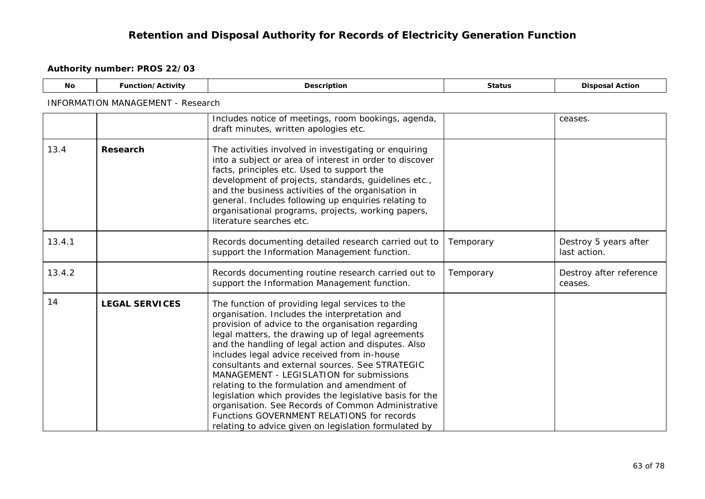| <b>No</b> | <b>Function/Activity</b>                 | <b>Description</b>                                                                                                                                                                                                                                                                                                                                                                                                                                                                                                                                                                                                                                                                        | <b>Status</b> | <b>Disposal Action</b>                |  |  |  |
|-----------|------------------------------------------|-------------------------------------------------------------------------------------------------------------------------------------------------------------------------------------------------------------------------------------------------------------------------------------------------------------------------------------------------------------------------------------------------------------------------------------------------------------------------------------------------------------------------------------------------------------------------------------------------------------------------------------------------------------------------------------------|---------------|---------------------------------------|--|--|--|
|           | <b>INFORMATION MANAGEMENT - Research</b> |                                                                                                                                                                                                                                                                                                                                                                                                                                                                                                                                                                                                                                                                                           |               |                                       |  |  |  |
|           |                                          | Includes notice of meetings, room bookings, agenda,<br>draft minutes, written apologies etc.                                                                                                                                                                                                                                                                                                                                                                                                                                                                                                                                                                                              |               | ceases.                               |  |  |  |
| 13.4      | Research                                 | The activities involved in investigating or enquiring<br>into a subject or area of interest in order to discover<br>facts, principles etc. Used to support the<br>development of projects, standards, guidelines etc.,<br>and the business activities of the organisation in<br>general. Includes following up enquiries relating to<br>organisational programs, projects, working papers,<br>literature searches etc.                                                                                                                                                                                                                                                                    |               |                                       |  |  |  |
| 13.4.1    |                                          | Records documenting detailed research carried out to<br>support the Information Management function.                                                                                                                                                                                                                                                                                                                                                                                                                                                                                                                                                                                      | Temporary     | Destroy 5 years after<br>last action. |  |  |  |
| 13.4.2    |                                          | Records documenting routine research carried out to<br>support the Information Management function.                                                                                                                                                                                                                                                                                                                                                                                                                                                                                                                                                                                       | Temporary     | Destroy after reference<br>ceases.    |  |  |  |
| 14        | <b>LEGAL SERVICES</b>                    | The function of providing legal services to the<br>organisation. Includes the interpretation and<br>provision of advice to the organisation regarding<br>legal matters, the drawing up of legal agreements<br>and the handling of legal action and disputes. Also<br>includes legal advice received from in-house<br>consultants and external sources. See STRATEGIC<br>MANAGEMENT - LEGISLATION for submissions<br>relating to the formulation and amendment of<br>legislation which provides the legislative basis for the<br>organisation. See Records of Common Administrative<br>Functions GOVERNMENT RELATIONS for records<br>relating to advice given on legislation formulated by |               |                                       |  |  |  |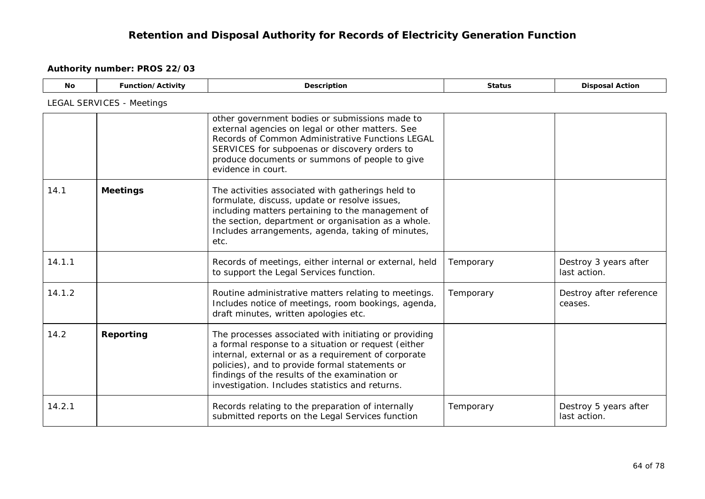| <b>No</b> | Function/Activity                | Description                                                                                                                                                                                                                                                                                                               | <b>Status</b> | <b>Disposal Action</b>                |
|-----------|----------------------------------|---------------------------------------------------------------------------------------------------------------------------------------------------------------------------------------------------------------------------------------------------------------------------------------------------------------------------|---------------|---------------------------------------|
|           | <b>LEGAL SERVICES - Meetings</b> |                                                                                                                                                                                                                                                                                                                           |               |                                       |
|           |                                  | other government bodies or submissions made to<br>external agencies on legal or other matters. See<br>Records of Common Administrative Functions LEGAL<br>SERVICES for subpoenas or discovery orders to<br>produce documents or summons of people to give<br>evidence in court.                                           |               |                                       |
| 14.1      | <b>Meetings</b>                  | The activities associated with gatherings held to<br>formulate, discuss, update or resolve issues,<br>including matters pertaining to the management of<br>the section, department or organisation as a whole.<br>Includes arrangements, agenda, taking of minutes,<br>etc.                                               |               |                                       |
| 14.1.1    |                                  | Records of meetings, either internal or external, held<br>to support the Legal Services function.                                                                                                                                                                                                                         | Temporary     | Destroy 3 years after<br>last action. |
| 14.1.2    |                                  | Routine administrative matters relating to meetings.<br>Includes notice of meetings, room bookings, agenda,<br>draft minutes, written apologies etc.                                                                                                                                                                      | Temporary     | Destroy after reference<br>ceases.    |
| 14.2      | Reporting                        | The processes associated with initiating or providing<br>a formal response to a situation or request (either<br>internal, external or as a requirement of corporate<br>policies), and to provide formal statements or<br>findings of the results of the examination or<br>investigation. Includes statistics and returns. |               |                                       |
| 14.2.1    |                                  | Records relating to the preparation of internally<br>submitted reports on the Legal Services function                                                                                                                                                                                                                     | Temporary     | Destroy 5 years after<br>last action. |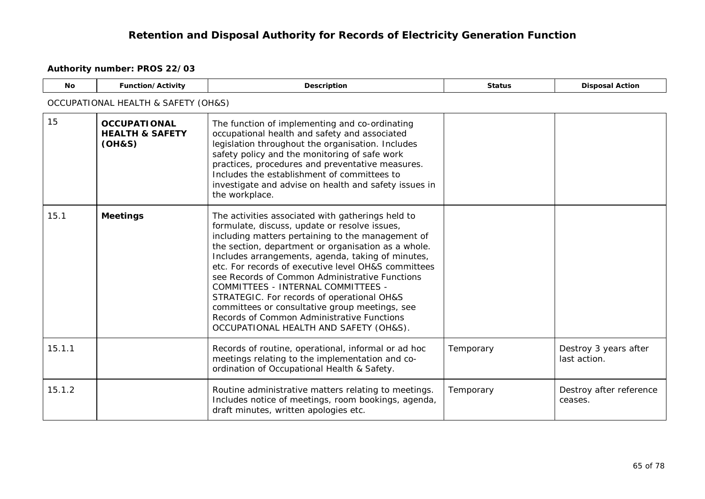| <b>No</b> | Function/Activity                                           | Description                                                                                                                                                                                                                                                                                                                                                                                                                                                                                                                                                                                                | <b>Status</b> | <b>Disposal Action</b>                |  |  |
|-----------|-------------------------------------------------------------|------------------------------------------------------------------------------------------------------------------------------------------------------------------------------------------------------------------------------------------------------------------------------------------------------------------------------------------------------------------------------------------------------------------------------------------------------------------------------------------------------------------------------------------------------------------------------------------------------------|---------------|---------------------------------------|--|--|
|           | OCCUPATIONAL HEALTH & SAFETY (OH&S)                         |                                                                                                                                                                                                                                                                                                                                                                                                                                                                                                                                                                                                            |               |                                       |  |  |
| 15        | <b>OCCUPATIONAL</b><br><b>HEALTH &amp; SAFETY</b><br>(OH&S) | The function of implementing and co-ordinating<br>occupational health and safety and associated<br>legislation throughout the organisation. Includes<br>safety policy and the monitoring of safe work<br>practices, procedures and preventative measures.<br>Includes the establishment of committees to<br>investigate and advise on health and safety issues in<br>the workplace.                                                                                                                                                                                                                        |               |                                       |  |  |
| 15.1      | <b>Meetings</b>                                             | The activities associated with gatherings held to<br>formulate, discuss, update or resolve issues,<br>including matters pertaining to the management of<br>the section, department or organisation as a whole.<br>Includes arrangements, agenda, taking of minutes,<br>etc. For records of executive level OH&S committees<br>see Records of Common Administrative Functions<br>COMMITTEES - INTERNAL COMMITTEES -<br>STRATEGIC. For records of operational OH&S<br>committees or consultative group meetings, see<br>Records of Common Administrative Functions<br>OCCUPATIONAL HEALTH AND SAFETY (OH&S). |               |                                       |  |  |
| 15.1.1    |                                                             | Records of routine, operational, informal or ad hoc<br>meetings relating to the implementation and co-<br>ordination of Occupational Health & Safety.                                                                                                                                                                                                                                                                                                                                                                                                                                                      | Temporary     | Destroy 3 years after<br>last action. |  |  |
| 15.1.2    |                                                             | Routine administrative matters relating to meetings.<br>Includes notice of meetings, room bookings, agenda,<br>draft minutes, written apologies etc.                                                                                                                                                                                                                                                                                                                                                                                                                                                       | Temporary     | Destroy after reference<br>ceases.    |  |  |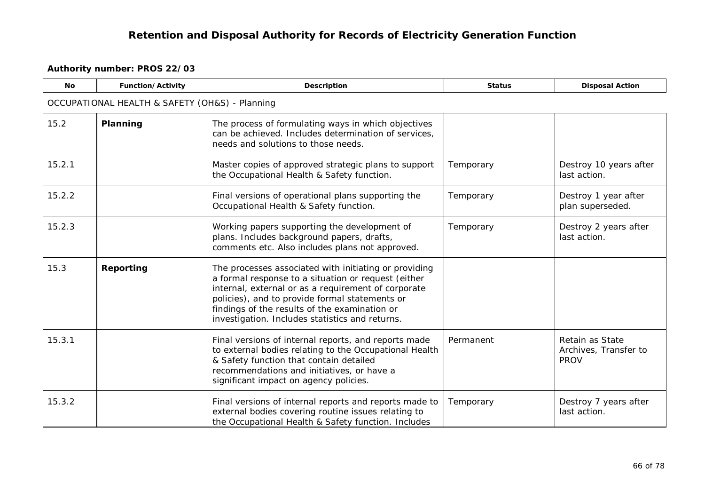| <b>No</b> | Function/Activity                              | Description                                                                                                                                                                                                                                                                                                               | <b>Status</b> | <b>Disposal Action</b>                                  |  |  |  |
|-----------|------------------------------------------------|---------------------------------------------------------------------------------------------------------------------------------------------------------------------------------------------------------------------------------------------------------------------------------------------------------------------------|---------------|---------------------------------------------------------|--|--|--|
|           | OCCUPATIONAL HEALTH & SAFETY (OH&S) - Planning |                                                                                                                                                                                                                                                                                                                           |               |                                                         |  |  |  |
| 15.2      | Planning                                       | The process of formulating ways in which objectives<br>can be achieved. Includes determination of services,<br>needs and solutions to those needs.                                                                                                                                                                        |               |                                                         |  |  |  |
| 15.2.1    |                                                | Master copies of approved strategic plans to support<br>the Occupational Health & Safety function.                                                                                                                                                                                                                        | Temporary     | Destroy 10 years after<br>last action.                  |  |  |  |
| 15.2.2    |                                                | Final versions of operational plans supporting the<br>Occupational Health & Safety function.                                                                                                                                                                                                                              | Temporary     | Destroy 1 year after<br>plan superseded.                |  |  |  |
| 15.2.3    |                                                | Working papers supporting the development of<br>plans. Includes background papers, drafts,<br>comments etc. Also includes plans not approved.                                                                                                                                                                             | Temporary     | Destroy 2 years after<br>last action.                   |  |  |  |
| 15.3      | Reporting                                      | The processes associated with initiating or providing<br>a formal response to a situation or request (either<br>internal, external or as a requirement of corporate<br>policies), and to provide formal statements or<br>findings of the results of the examination or<br>investigation. Includes statistics and returns. |               |                                                         |  |  |  |
| 15.3.1    |                                                | Final versions of internal reports, and reports made<br>to external bodies relating to the Occupational Health<br>& Safety function that contain detailed<br>recommendations and initiatives, or have a<br>significant impact on agency policies.                                                                         | Permanent     | Retain as State<br>Archives, Transfer to<br><b>PROV</b> |  |  |  |
| 15.3.2    |                                                | Final versions of internal reports and reports made to<br>external bodies covering routine issues relating to<br>the Occupational Health & Safety function. Includes                                                                                                                                                      | Temporary     | Destroy 7 years after<br>last action.                   |  |  |  |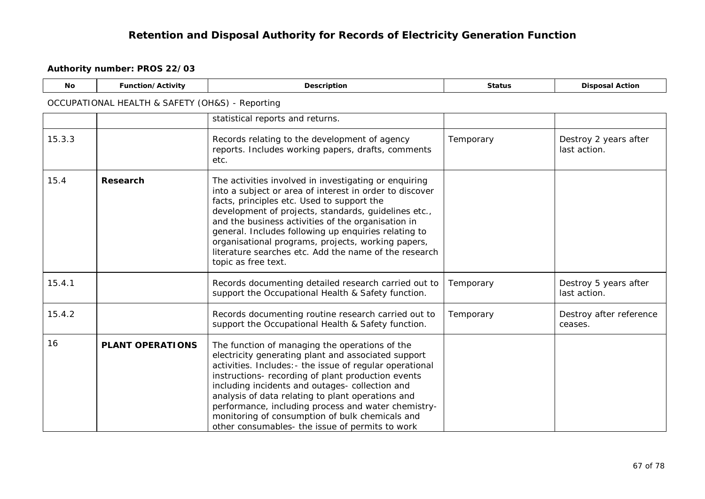| <b>No</b> | Function/Activity                               | Description                                                                                                                                                                                                                                                                                                                                                                                                                                                                                  | <b>Status</b> | <b>Disposal Action</b>                |  |  |  |  |
|-----------|-------------------------------------------------|----------------------------------------------------------------------------------------------------------------------------------------------------------------------------------------------------------------------------------------------------------------------------------------------------------------------------------------------------------------------------------------------------------------------------------------------------------------------------------------------|---------------|---------------------------------------|--|--|--|--|
|           | OCCUPATIONAL HEALTH & SAFETY (OH&S) - Reporting |                                                                                                                                                                                                                                                                                                                                                                                                                                                                                              |               |                                       |  |  |  |  |
|           |                                                 | statistical reports and returns.                                                                                                                                                                                                                                                                                                                                                                                                                                                             |               |                                       |  |  |  |  |
| 15.3.3    |                                                 | Records relating to the development of agency<br>reports. Includes working papers, drafts, comments<br>etc.                                                                                                                                                                                                                                                                                                                                                                                  | Temporary     | Destroy 2 years after<br>last action. |  |  |  |  |
| 15.4      | Research                                        | The activities involved in investigating or enquiring<br>into a subject or area of interest in order to discover<br>facts, principles etc. Used to support the<br>development of projects, standards, guidelines etc.,<br>and the business activities of the organisation in<br>general. Includes following up enquiries relating to<br>organisational programs, projects, working papers,<br>literature searches etc. Add the name of the research<br>topic as free text.                   |               |                                       |  |  |  |  |
| 15.4.1    |                                                 | Records documenting detailed research carried out to<br>support the Occupational Health & Safety function.                                                                                                                                                                                                                                                                                                                                                                                   | Temporary     | Destroy 5 years after<br>last action. |  |  |  |  |
| 15.4.2    |                                                 | Records documenting routine research carried out to<br>support the Occupational Health & Safety function.                                                                                                                                                                                                                                                                                                                                                                                    | Temporary     | Destroy after reference<br>ceases.    |  |  |  |  |
| 16        | <b>PLANT OPERATIONS</b>                         | The function of managing the operations of the<br>electricity generating plant and associated support<br>activities. Includes: - the issue of regular operational<br>instructions- recording of plant production events<br>including incidents and outages- collection and<br>analysis of data relating to plant operations and<br>performance, including process and water chemistry-<br>monitoring of consumption of bulk chemicals and<br>other consumables- the issue of permits to work |               |                                       |  |  |  |  |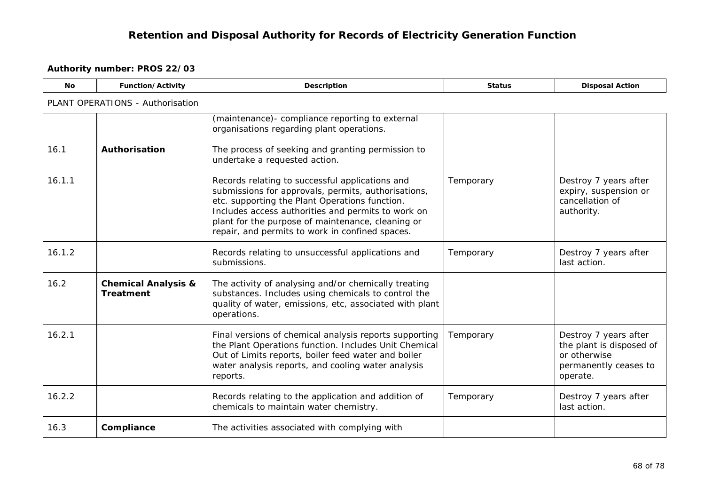| No.    | Function/Activity                                  | Description                                                                                                                                                                                                                                                                                                            | <b>Status</b> | <b>Disposal Action</b>                                                                                 |
|--------|----------------------------------------------------|------------------------------------------------------------------------------------------------------------------------------------------------------------------------------------------------------------------------------------------------------------------------------------------------------------------------|---------------|--------------------------------------------------------------------------------------------------------|
|        | PLANT OPERATIONS - Authorisation                   |                                                                                                                                                                                                                                                                                                                        |               |                                                                                                        |
|        |                                                    | (maintenance)- compliance reporting to external<br>organisations regarding plant operations.                                                                                                                                                                                                                           |               |                                                                                                        |
| 16.1   | Authorisation                                      | The process of seeking and granting permission to<br>undertake a requested action.                                                                                                                                                                                                                                     |               |                                                                                                        |
| 16.1.1 |                                                    | Records relating to successful applications and<br>submissions for approvals, permits, authorisations,<br>etc. supporting the Plant Operations function.<br>Includes access authorities and permits to work on<br>plant for the purpose of maintenance, cleaning or<br>repair, and permits to work in confined spaces. | Temporary     | Destroy 7 years after<br>expiry, suspension or<br>cancellation of<br>authority.                        |
| 16.1.2 |                                                    | Records relating to unsuccessful applications and<br>submissions.                                                                                                                                                                                                                                                      | Temporary     | Destroy 7 years after<br>last action.                                                                  |
| 16.2   | <b>Chemical Analysis &amp;</b><br><b>Treatment</b> | The activity of analysing and/or chemically treating<br>substances. Includes using chemicals to control the<br>quality of water, emissions, etc, associated with plant<br>operations.                                                                                                                                  |               |                                                                                                        |
| 16.2.1 |                                                    | Final versions of chemical analysis reports supporting<br>the Plant Operations function. Includes Unit Chemical<br>Out of Limits reports, boiler feed water and boiler<br>water analysis reports, and cooling water analysis<br>reports.                                                                               | Temporary     | Destroy 7 years after<br>the plant is disposed of<br>or otherwise<br>permanently ceases to<br>operate. |
| 16.2.2 |                                                    | Records relating to the application and addition of<br>chemicals to maintain water chemistry.                                                                                                                                                                                                                          | Temporary     | Destroy 7 years after<br>last action.                                                                  |
| 16.3   | Compliance                                         | The activities associated with complying with                                                                                                                                                                                                                                                                          |               |                                                                                                        |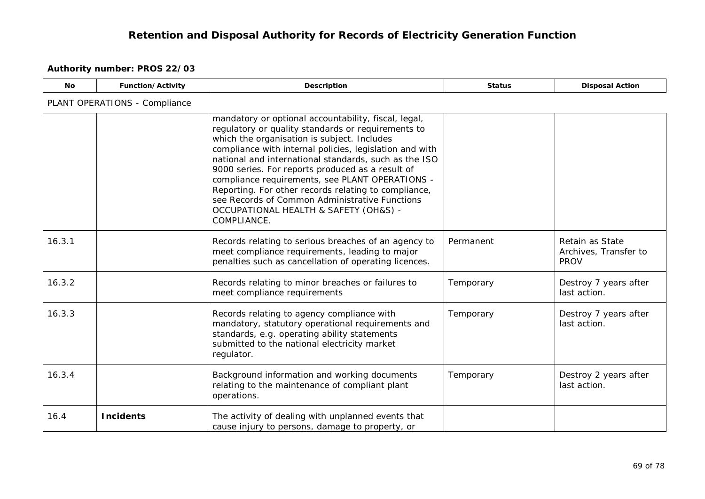| <b>No</b> | Function/Activity             | <b>Description</b>                                                                                                                                                                                                                                                                                                                                                                                                                                                                                                                                     | <b>Status</b> | <b>Disposal Action</b>                                  |
|-----------|-------------------------------|--------------------------------------------------------------------------------------------------------------------------------------------------------------------------------------------------------------------------------------------------------------------------------------------------------------------------------------------------------------------------------------------------------------------------------------------------------------------------------------------------------------------------------------------------------|---------------|---------------------------------------------------------|
|           | PLANT OPERATIONS - Compliance |                                                                                                                                                                                                                                                                                                                                                                                                                                                                                                                                                        |               |                                                         |
|           |                               | mandatory or optional accountability, fiscal, legal,<br>regulatory or quality standards or requirements to<br>which the organisation is subject. Includes<br>compliance with internal policies, legislation and with<br>national and international standards, such as the ISO<br>9000 series. For reports produced as a result of<br>compliance requirements, see PLANT OPERATIONS -<br>Reporting. For other records relating to compliance,<br>see Records of Common Administrative Functions<br>OCCUPATIONAL HEALTH & SAFETY (OH&S) -<br>COMPLIANCE. |               |                                                         |
| 16.3.1    |                               | Records relating to serious breaches of an agency to<br>meet compliance requirements, leading to major<br>penalties such as cancellation of operating licences.                                                                                                                                                                                                                                                                                                                                                                                        | Permanent     | Retain as State<br>Archives, Transfer to<br><b>PROV</b> |
| 16.3.2    |                               | Records relating to minor breaches or failures to<br>meet compliance requirements                                                                                                                                                                                                                                                                                                                                                                                                                                                                      | Temporary     | Destroy 7 years after<br>last action.                   |
| 16.3.3    |                               | Records relating to agency compliance with<br>mandatory, statutory operational requirements and<br>standards, e.g. operating ability statements<br>submitted to the national electricity market<br>regulator.                                                                                                                                                                                                                                                                                                                                          | Temporary     | Destroy 7 years after<br>last action.                   |
| 16.3.4    |                               | Background information and working documents<br>relating to the maintenance of compliant plant<br>operations.                                                                                                                                                                                                                                                                                                                                                                                                                                          | Temporary     | Destroy 2 years after<br>last action.                   |
| 16.4      | <b>Incidents</b>              | The activity of dealing with unplanned events that<br>cause injury to persons, damage to property, or                                                                                                                                                                                                                                                                                                                                                                                                                                                  |               |                                                         |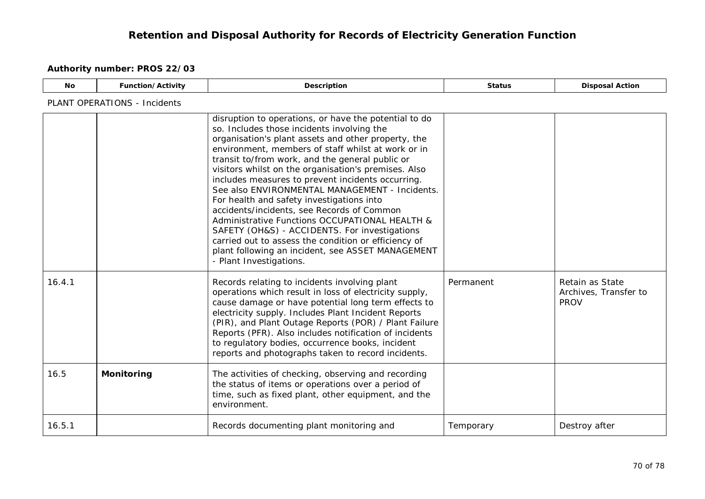| No.    | <b>Function/Activity</b>            | <b>Description</b>                                                                                                                                                                                                                                                                                                                                                                                                                                                                                                                                                                                                                                                                                                                                                       | <b>Status</b> | <b>Disposal Action</b>                                  |  |  |
|--------|-------------------------------------|--------------------------------------------------------------------------------------------------------------------------------------------------------------------------------------------------------------------------------------------------------------------------------------------------------------------------------------------------------------------------------------------------------------------------------------------------------------------------------------------------------------------------------------------------------------------------------------------------------------------------------------------------------------------------------------------------------------------------------------------------------------------------|---------------|---------------------------------------------------------|--|--|
|        | <b>PLANT OPERATIONS - Incidents</b> |                                                                                                                                                                                                                                                                                                                                                                                                                                                                                                                                                                                                                                                                                                                                                                          |               |                                                         |  |  |
|        |                                     | disruption to operations, or have the potential to do<br>so. Includes those incidents involving the<br>organisation's plant assets and other property, the<br>environment, members of staff whilst at work or in<br>transit to/from work, and the general public or<br>visitors whilst on the organisation's premises. Also<br>includes measures to prevent incidents occurring.<br>See also ENVIRONMENTAL MANAGEMENT - Incidents.<br>For health and safety investigations into<br>accidents/incidents, see Records of Common<br>Administrative Functions OCCUPATIONAL HEALTH &<br>SAFETY (OH&S) - ACCIDENTS. For investigations<br>carried out to assess the condition or efficiency of<br>plant following an incident, see ASSET MANAGEMENT<br>- Plant Investigations. |               |                                                         |  |  |
| 16.4.1 |                                     | Records relating to incidents involving plant<br>operations which result in loss of electricity supply,<br>cause damage or have potential long term effects to<br>electricity supply. Includes Plant Incident Reports<br>(PIR), and Plant Outage Reports (POR) / Plant Failure<br>Reports (PFR). Also includes notification of incidents<br>to regulatory bodies, occurrence books, incident<br>reports and photographs taken to record incidents.                                                                                                                                                                                                                                                                                                                       | Permanent     | Retain as State<br>Archives, Transfer to<br><b>PROV</b> |  |  |
| 16.5   | <b>Monitoring</b>                   | The activities of checking, observing and recording<br>the status of items or operations over a period of<br>time, such as fixed plant, other equipment, and the<br>environment.                                                                                                                                                                                                                                                                                                                                                                                                                                                                                                                                                                                         |               |                                                         |  |  |
| 16.5.1 |                                     | Records documenting plant monitoring and                                                                                                                                                                                                                                                                                                                                                                                                                                                                                                                                                                                                                                                                                                                                 | Temporary     | Destroy after                                           |  |  |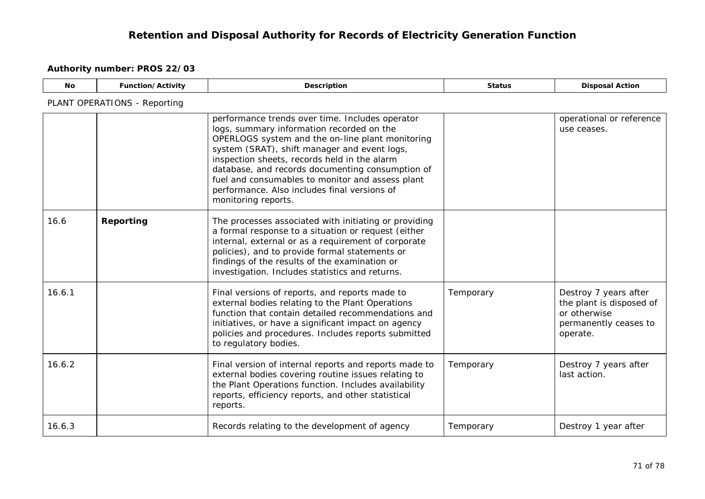| <b>No</b> | Function/Activity            | Description                                                                                                                                                                                                                                                                                                                                                                                                                     | <b>Status</b> | <b>Disposal Action</b>                                                                                 |  |  |  |
|-----------|------------------------------|---------------------------------------------------------------------------------------------------------------------------------------------------------------------------------------------------------------------------------------------------------------------------------------------------------------------------------------------------------------------------------------------------------------------------------|---------------|--------------------------------------------------------------------------------------------------------|--|--|--|
|           | PLANT OPERATIONS - Reporting |                                                                                                                                                                                                                                                                                                                                                                                                                                 |               |                                                                                                        |  |  |  |
|           |                              | performance trends over time. Includes operator<br>logs, summary information recorded on the<br>OPERLOGS system and the on-line plant monitoring<br>system (SRAT), shift manager and event logs,<br>inspection sheets, records held in the alarm<br>database, and records documenting consumption of<br>fuel and consumables to monitor and assess plant<br>performance. Also includes final versions of<br>monitoring reports. |               | operational or reference<br>use ceases.                                                                |  |  |  |
| 16.6      | Reporting                    | The processes associated with initiating or providing<br>a formal response to a situation or request (either<br>internal, external or as a requirement of corporate<br>policies), and to provide formal statements or<br>findings of the results of the examination or<br>investigation. Includes statistics and returns.                                                                                                       |               |                                                                                                        |  |  |  |
| 16.6.1    |                              | Final versions of reports, and reports made to<br>external bodies relating to the Plant Operations<br>function that contain detailed recommendations and<br>initiatives, or have a significant impact on agency<br>policies and procedures. Includes reports submitted<br>to regulatory bodies.                                                                                                                                 | Temporary     | Destroy 7 years after<br>the plant is disposed of<br>or otherwise<br>permanently ceases to<br>operate. |  |  |  |
| 16.6.2    |                              | Final version of internal reports and reports made to<br>external bodies covering routine issues relating to<br>the Plant Operations function. Includes availability<br>reports, efficiency reports, and other statistical<br>reports.                                                                                                                                                                                          | Temporary     | Destroy 7 years after<br>last action.                                                                  |  |  |  |
| 16.6.3    |                              | Records relating to the development of agency                                                                                                                                                                                                                                                                                                                                                                                   | Temporary     | Destroy 1 year after                                                                                   |  |  |  |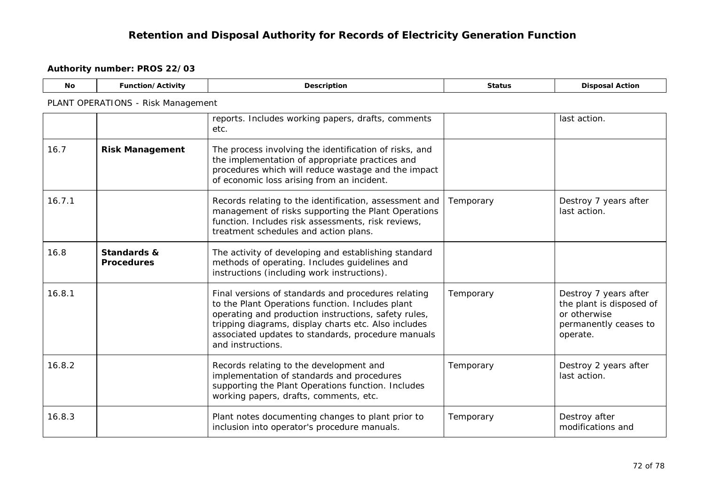| <b>No</b> | Function/Activity                  | Description                                                                                                                                                                                                                                                                                        | <b>Status</b> | <b>Disposal Action</b>                                                                                 |  |  |  |
|-----------|------------------------------------|----------------------------------------------------------------------------------------------------------------------------------------------------------------------------------------------------------------------------------------------------------------------------------------------------|---------------|--------------------------------------------------------------------------------------------------------|--|--|--|
|           | PLANT OPERATIONS - Risk Management |                                                                                                                                                                                                                                                                                                    |               |                                                                                                        |  |  |  |
|           |                                    | reports. Includes working papers, drafts, comments<br>etc.                                                                                                                                                                                                                                         |               | last action.                                                                                           |  |  |  |
| 16.7      | <b>Risk Management</b>             | The process involving the identification of risks, and<br>the implementation of appropriate practices and<br>procedures which will reduce wastage and the impact<br>of economic loss arising from an incident.                                                                                     |               |                                                                                                        |  |  |  |
| 16.7.1    |                                    | Records relating to the identification, assessment and<br>management of risks supporting the Plant Operations<br>function. Includes risk assessments, risk reviews,<br>treatment schedules and action plans.                                                                                       | Temporary     | Destroy 7 years after<br>last action.                                                                  |  |  |  |
| 16.8      | Standards &<br><b>Procedures</b>   | The activity of developing and establishing standard<br>methods of operating. Includes guidelines and<br>instructions (including work instructions).                                                                                                                                               |               |                                                                                                        |  |  |  |
| 16.8.1    |                                    | Final versions of standards and procedures relating<br>to the Plant Operations function. Includes plant<br>operating and production instructions, safety rules,<br>tripping diagrams, display charts etc. Also includes<br>associated updates to standards, procedure manuals<br>and instructions. | Temporary     | Destroy 7 years after<br>the plant is disposed of<br>or otherwise<br>permanently ceases to<br>operate. |  |  |  |
| 16.8.2    |                                    | Records relating to the development and<br>implementation of standards and procedures<br>supporting the Plant Operations function. Includes<br>working papers, drafts, comments, etc.                                                                                                              | Temporary     | Destroy 2 years after<br>last action.                                                                  |  |  |  |
| 16.8.3    |                                    | Plant notes documenting changes to plant prior to<br>inclusion into operator's procedure manuals.                                                                                                                                                                                                  | Temporary     | Destroy after<br>modifications and                                                                     |  |  |  |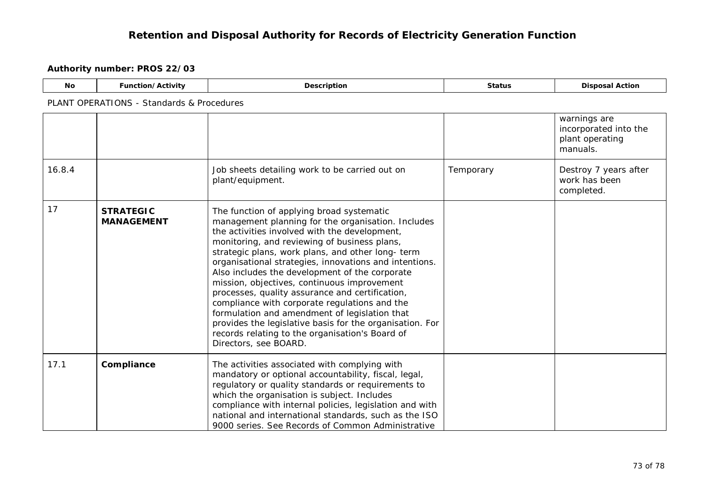| No | <b>Function/Activity</b>                  | Description | <b>Status</b> | <b>Disposal Action</b> |  |  |
|----|-------------------------------------------|-------------|---------------|------------------------|--|--|
|    | PLANT OPERATIONS - Standards & Procedures |             |               |                        |  |  |
|    |                                           |             |               | warnings are           |  |  |

|        |                                       |                                                                                                                                                                                                                                                                                                                                                                                                                                                                                                                                                                                                                                                                                                               |           | warrings are<br>incorporated into the<br>plant operating<br>manuals. |
|--------|---------------------------------------|---------------------------------------------------------------------------------------------------------------------------------------------------------------------------------------------------------------------------------------------------------------------------------------------------------------------------------------------------------------------------------------------------------------------------------------------------------------------------------------------------------------------------------------------------------------------------------------------------------------------------------------------------------------------------------------------------------------|-----------|----------------------------------------------------------------------|
| 16.8.4 |                                       | Job sheets detailing work to be carried out on<br>plant/equipment.                                                                                                                                                                                                                                                                                                                                                                                                                                                                                                                                                                                                                                            | Temporary | Destroy 7 years after<br>work has been<br>completed.                 |
| 17     | <b>STRATEGIC</b><br><b>MANAGEMENT</b> | The function of applying broad systematic<br>management planning for the organisation. Includes<br>the activities involved with the development,<br>monitoring, and reviewing of business plans,<br>strategic plans, work plans, and other long- term<br>organisational strategies, innovations and intentions.<br>Also includes the development of the corporate<br>mission, objectives, continuous improvement<br>processes, quality assurance and certification,<br>compliance with corporate regulations and the<br>formulation and amendment of legislation that<br>provides the legislative basis for the organisation. For<br>records relating to the organisation's Board of<br>Directors, see BOARD. |           |                                                                      |
| 17.1   | Compliance                            | The activities associated with complying with<br>mandatory or optional accountability, fiscal, legal,<br>regulatory or quality standards or requirements to<br>which the organisation is subject. Includes<br>compliance with internal policies, legislation and with<br>national and international standards, such as the ISO<br>9000 series. See Records of Common Administrative                                                                                                                                                                                                                                                                                                                           |           |                                                                      |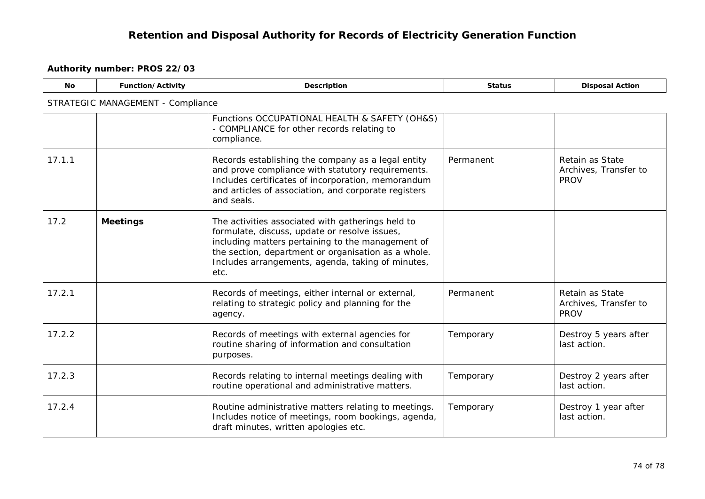| <b>No</b> | Function/Activity                 | Description                                                                                                                                                                                                                                                                 | <b>Status</b> | <b>Disposal Action</b>                                  |  |  |
|-----------|-----------------------------------|-----------------------------------------------------------------------------------------------------------------------------------------------------------------------------------------------------------------------------------------------------------------------------|---------------|---------------------------------------------------------|--|--|
|           | STRATEGIC MANAGEMENT - Compliance |                                                                                                                                                                                                                                                                             |               |                                                         |  |  |
|           |                                   | Functions OCCUPATIONAL HEALTH & SAFETY (OH&S)<br>- COMPLIANCE for other records relating to<br>compliance.                                                                                                                                                                  |               |                                                         |  |  |
| 17.1.1    |                                   | Records establishing the company as a legal entity<br>and prove compliance with statutory requirements.<br>Includes certificates of incorporation, memorandum<br>and articles of association, and corporate registers<br>and seals.                                         | Permanent     | Retain as State<br>Archives, Transfer to<br><b>PROV</b> |  |  |
| 17.2      | <b>Meetings</b>                   | The activities associated with gatherings held to<br>formulate, discuss, update or resolve issues,<br>including matters pertaining to the management of<br>the section, department or organisation as a whole.<br>Includes arrangements, agenda, taking of minutes,<br>etc. |               |                                                         |  |  |
| 17.2.1    |                                   | Records of meetings, either internal or external,<br>relating to strategic policy and planning for the<br>agency.                                                                                                                                                           | Permanent     | Retain as State<br>Archives, Transfer to<br><b>PROV</b> |  |  |
| 17.2.2    |                                   | Records of meetings with external agencies for<br>routine sharing of information and consultation<br>purposes.                                                                                                                                                              | Temporary     | Destroy 5 years after<br>last action.                   |  |  |
| 17.2.3    |                                   | Records relating to internal meetings dealing with<br>routine operational and administrative matters.                                                                                                                                                                       | Temporary     | Destroy 2 years after<br>last action.                   |  |  |
| 17.2.4    |                                   | Routine administrative matters relating to meetings.<br>Includes notice of meetings, room bookings, agenda,<br>draft minutes, written apologies etc.                                                                                                                        | Temporary     | Destroy 1 year after<br>last action.                    |  |  |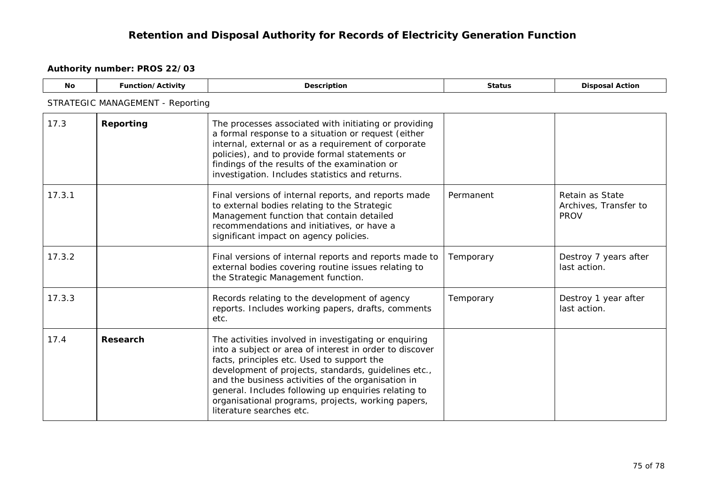| <b>No</b>                               | Function/Activity | <b>Description</b>                                                                                                                                                                                                                                                                                                                                                                                                     | <b>Status</b> | <b>Disposal Action</b>                                  |  |
|-----------------------------------------|-------------------|------------------------------------------------------------------------------------------------------------------------------------------------------------------------------------------------------------------------------------------------------------------------------------------------------------------------------------------------------------------------------------------------------------------------|---------------|---------------------------------------------------------|--|
| <b>STRATEGIC MANAGEMENT - Reporting</b> |                   |                                                                                                                                                                                                                                                                                                                                                                                                                        |               |                                                         |  |
| 17.3                                    | Reporting         | The processes associated with initiating or providing<br>a formal response to a situation or request (either<br>internal, external or as a requirement of corporate<br>policies), and to provide formal statements or<br>findings of the results of the examination or<br>investigation. Includes statistics and returns.                                                                                              |               |                                                         |  |
| 17.3.1                                  |                   | Final versions of internal reports, and reports made<br>to external bodies relating to the Strategic<br>Management function that contain detailed<br>recommendations and initiatives, or have a<br>significant impact on agency policies.                                                                                                                                                                              | Permanent     | Retain as State<br>Archives, Transfer to<br><b>PROV</b> |  |
| 17.3.2                                  |                   | Final versions of internal reports and reports made to<br>external bodies covering routine issues relating to<br>the Strategic Management function.                                                                                                                                                                                                                                                                    | Temporary     | Destroy 7 years after<br>last action.                   |  |
| 17.3.3                                  |                   | Records relating to the development of agency<br>reports. Includes working papers, drafts, comments<br>etc.                                                                                                                                                                                                                                                                                                            | Temporary     | Destroy 1 year after<br>last action.                    |  |
| 17.4                                    | Research          | The activities involved in investigating or enquiring<br>into a subject or area of interest in order to discover<br>facts, principles etc. Used to support the<br>development of projects, standards, guidelines etc.,<br>and the business activities of the organisation in<br>general. Includes following up enquiries relating to<br>organisational programs, projects, working papers,<br>literature searches etc. |               |                                                         |  |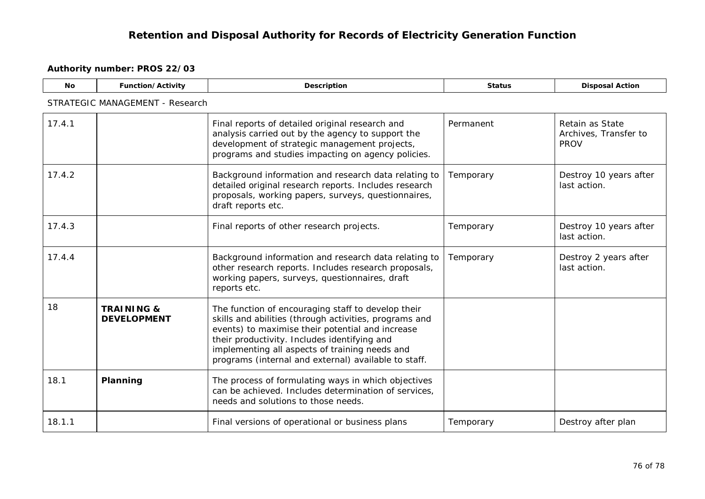| <b>No</b>                       | <b>Function/Activity</b>                    | <b>Description</b>                                                                                                                                                                                                                                                                                                         | <b>Status</b> | <b>Disposal Action</b>                                  |  |  |
|---------------------------------|---------------------------------------------|----------------------------------------------------------------------------------------------------------------------------------------------------------------------------------------------------------------------------------------------------------------------------------------------------------------------------|---------------|---------------------------------------------------------|--|--|
| STRATEGIC MANAGEMENT - Research |                                             |                                                                                                                                                                                                                                                                                                                            |               |                                                         |  |  |
| 17.4.1                          |                                             | Final reports of detailed original research and<br>analysis carried out by the agency to support the<br>development of strategic management projects,<br>programs and studies impacting on agency policies.                                                                                                                | Permanent     | Retain as State<br>Archives, Transfer to<br><b>PROV</b> |  |  |
| 17.4.2                          |                                             | Background information and research data relating to<br>detailed original research reports. Includes research<br>proposals, working papers, surveys, questionnaires,<br>draft reports etc.                                                                                                                                 | Temporary     | Destroy 10 years after<br>last action.                  |  |  |
| 17.4.3                          |                                             | Final reports of other research projects.                                                                                                                                                                                                                                                                                  | Temporary     | Destroy 10 years after<br>last action.                  |  |  |
| 17.4.4                          |                                             | Background information and research data relating to<br>other research reports. Includes research proposals,<br>working papers, surveys, questionnaires, draft<br>reports etc.                                                                                                                                             | Temporary     | Destroy 2 years after<br>last action.                   |  |  |
| 18                              | <b>TRAINING &amp;</b><br><b>DEVELOPMENT</b> | The function of encouraging staff to develop their<br>skills and abilities (through activities, programs and<br>events) to maximise their potential and increase<br>their productivity. Includes identifying and<br>implementing all aspects of training needs and<br>programs (internal and external) available to staff. |               |                                                         |  |  |
| 18.1                            | Planning                                    | The process of formulating ways in which objectives<br>can be achieved. Includes determination of services,<br>needs and solutions to those needs.                                                                                                                                                                         |               |                                                         |  |  |
| 18.1.1                          |                                             | Final versions of operational or business plans                                                                                                                                                                                                                                                                            | Temporary     | Destroy after plan                                      |  |  |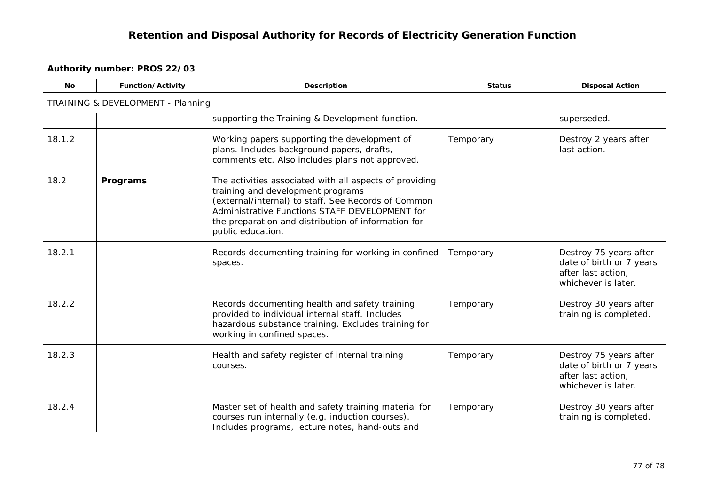| <b>No</b> | Function/Activity                 | <b>Description</b>                                                                                                                                                                                                                                                                | <b>Status</b> | <b>Disposal Action</b>                                                                          |  |  |
|-----------|-----------------------------------|-----------------------------------------------------------------------------------------------------------------------------------------------------------------------------------------------------------------------------------------------------------------------------------|---------------|-------------------------------------------------------------------------------------------------|--|--|
|           | TRAINING & DEVELOPMENT - Planning |                                                                                                                                                                                                                                                                                   |               |                                                                                                 |  |  |
|           |                                   | supporting the Training & Development function.                                                                                                                                                                                                                                   |               | superseded.                                                                                     |  |  |
| 18.1.2    |                                   | Working papers supporting the development of<br>plans. Includes background papers, drafts,<br>comments etc. Also includes plans not approved.                                                                                                                                     | Temporary     | Destroy 2 years after<br>last action.                                                           |  |  |
| 18.2      | Programs                          | The activities associated with all aspects of providing<br>training and development programs<br>(external/internal) to staff. See Records of Common<br>Administrative Functions STAFF DEVELOPMENT for<br>the preparation and distribution of information for<br>public education. |               |                                                                                                 |  |  |
| 18.2.1    |                                   | Records documenting training for working in confined<br>spaces.                                                                                                                                                                                                                   | Temporary     | Destroy 75 years after<br>date of birth or 7 years<br>after last action,<br>whichever is later. |  |  |
| 18.2.2    |                                   | Records documenting health and safety training<br>provided to individual internal staff. Includes<br>hazardous substance training. Excludes training for<br>working in confined spaces.                                                                                           | Temporary     | Destroy 30 years after<br>training is completed.                                                |  |  |
| 18.2.3    |                                   | Health and safety register of internal training<br>courses.                                                                                                                                                                                                                       | Temporary     | Destroy 75 years after<br>date of birth or 7 years<br>after last action,<br>whichever is later. |  |  |
| 18.2.4    |                                   | Master set of health and safety training material for<br>courses run internally (e.g. induction courses).<br>Includes programs, lecture notes, hand-outs and                                                                                                                      | Temporary     | Destroy 30 years after<br>training is completed.                                                |  |  |